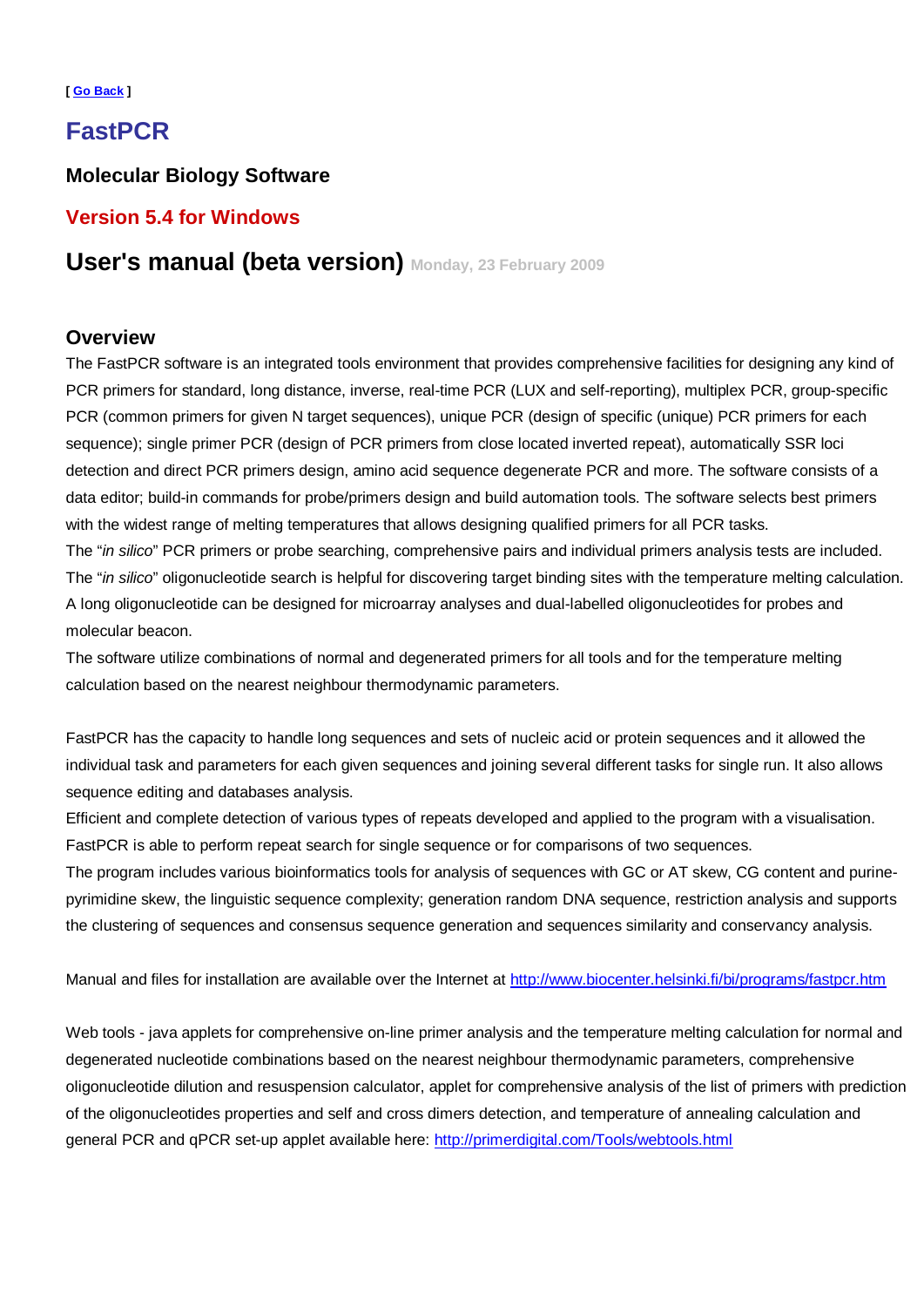#### **[ [Go Back \]](http://www.biocenter.helsinki.fi/bi/Programs/fastpcr.htm)**

# **FastPCR**

### **Molecular Biology Software**

# **Version 5.4 for Windows**

# **User's manual (beta version) Monday, 23 February 2009**

### **Overview**

The FastPCR software is an integrated tools environment that provides comprehensive facilities for designing any kind of PCR primers for standard, long distance, inverse, real-time PCR (LUX and self-reporting), multiplex PCR, group-specific PCR (common primers for given N target sequences), unique PCR (design of specific (unique) PCR primers for each sequence); single primer PCR (design of PCR primers from close located inverted repeat), automatically SSR loci detection and direct PCR primers design, amino acid sequence degenerate PCR and more. The software consists of a data editor; build-in commands for probe/primers design and build automation tools. The software selects best primers with the widest range of melting temperatures that allows designing qualified primers for all PCR tasks. The "*in silico*" PCR primers or probe searching, comprehensive pairs and individual primers analysis tests are included.

The "*in silico*" oligonucleotide search is helpful for discovering target binding sites with the temperature melting calculation. A long oligonucleotide can be designed for microarray analyses and dual-labelled oligonucleotides for probes and molecular beacon.

The software utilize combinations of normal and degenerated primers for all tools and for the temperature melting calculation based on the nearest neighbour thermodynamic parameters.

FastPCR has the capacity to handle long sequences and sets of nucleic acid or protein sequences and it allowed the individual task and parameters for each given sequences and joining several different tasks for single run. It also allows sequence editing and databases analysis.

Efficient and complete detection of various types of repeats developed and applied to the program with a visualisation. FastPCR is able to perform repeat search for single sequence or for comparisons of two sequences.

The program includes various bioinformatics tools for analysis of sequences with GC or AT skew, CG content and purinepyrimidine skew, the linguistic sequence complexity; generation random DNA sequence, restriction analysis and supports the clustering of sequences and consensus sequence generation and sequences similarity and conservancy analysis.

Manual and files for installation are available over the Internet at <http://www.biocenter.helsinki.fi/bi/programs/fastpcr.htm>

Web tools - java applets for comprehensive on-line primer analysis and the temperature melting calculation for normal and degenerated nucleotide combinations based on the nearest neighbour thermodynamic parameters, comprehensive oligonucleotide dilution and resuspension calculator, applet for comprehensive analysis of the list of primers with prediction of the oligonucleotides properties and self and cross dimers detection, and temperature of annealing calculation and general PCR and qPCR set-up applet available here: <http://primerdigital.com/Tools/webtools.html>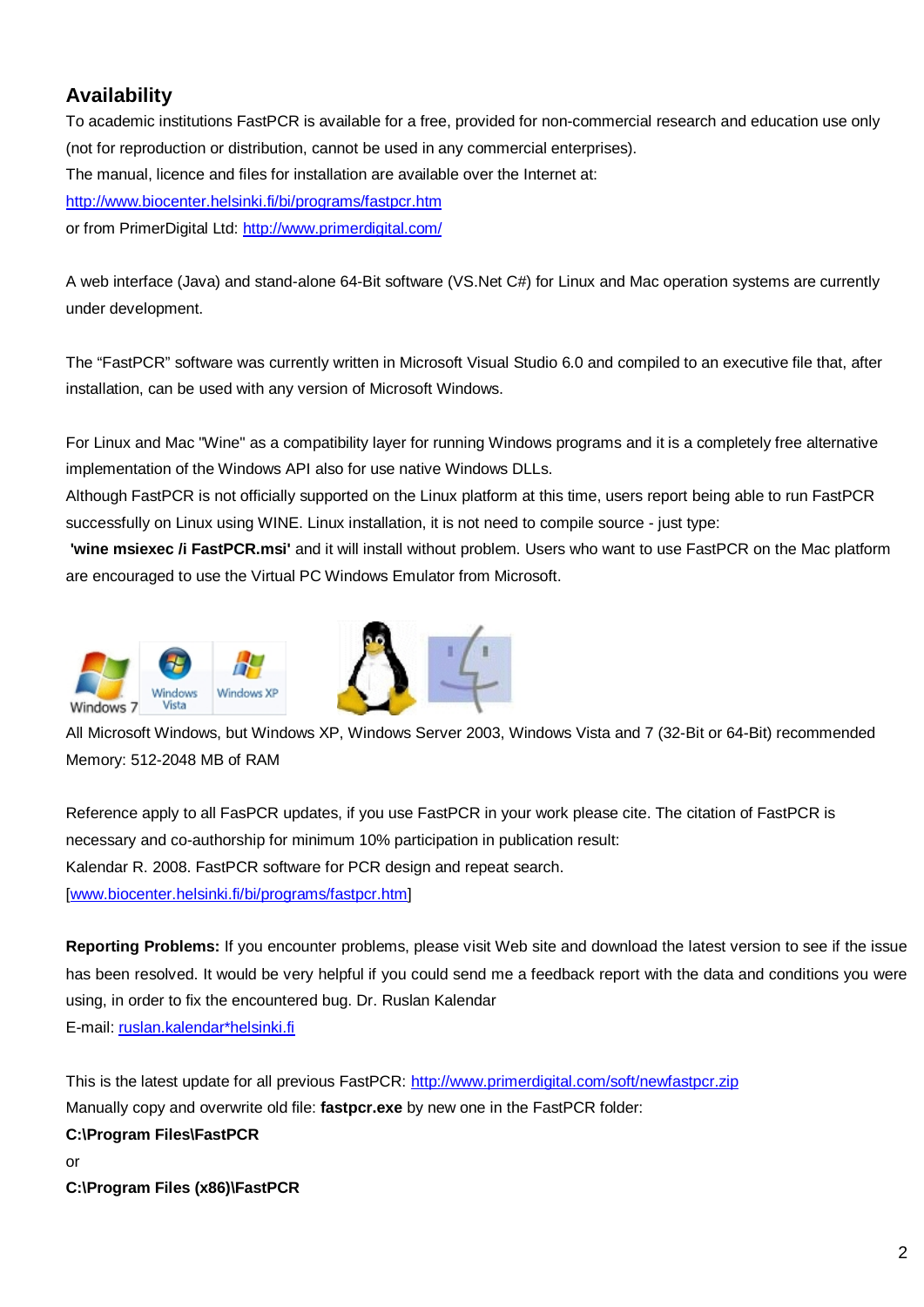# **Availability**

To academic institutions FastPCR is available for a free, provided for non-commercial research and education use only (not for reproduction or distribution, cannot be used in any commercial enterprises). The manual, licence and files for installation are available over the Internet at: <http://www.biocenter.helsinki.fi/bi/programs/fastpcr.htm> or from PrimerDigital Ltd: <http://www.primerdigital.com/>

A web interface (Java) and stand-alone 64-Bit software (VS.Net C#) for Linux and Mac operation systems are currently under development.

The "FastPCR" software was currently written in Microsoft Visual Studio 6.0 and compiled to an executive file that, after installation, can be used with any version of Microsoft Windows.

For Linux and Mac "Wine" as a compatibility layer for running Windows programs and it is a completely free alternative implementation of the Windows API also for use native Windows DLLs.

Although FastPCR is not officially supported on the Linux platform at this time, users report being able to run FastPCR successfully on Linux using WINE. Linux installation, it is not need to compile source - just type:

**'wine msiexec /i FastPCR.msi'** and it will install without problem. Users who want to use FastPCR on the Mac platform are encouraged to use the Virtual PC Windows Emulator from Microsoft.



All Microsoft Windows, but Windows XP, Windows Server 2003, Windows Vista and 7 (32-Bit or 64-Bit) recommended Memory: 512-2048 MB of RAM

Reference apply to all FasPCR updates, if you use FastPCR in your work please cite. The citation of FastPCR is necessary and co-authorship for minimum 10% participation in publication result: Kalendar R. 2008. FastPCR software for PCR design and repeat search. [[www.biocenter.helsinki.fi/bi/programs/fastpcr.htm](http://www.biocenter.helsinki.fi/bi/programs/fastpcr.htm)]

**Reporting Problems:** If you encounter problems, please visit Web site and download the latest version to see if the issue has been resolved. It would be very helpful if you could send me a feedback report with the data and conditions you were using, in order to fix the encountered bug. Dr. Ruslan Kalendar E-mail: [ruslan.kalendar\\*helsinki.fi](mailto:ruslan.kalendar*helsinki.fi?subject=FastPCR)

This is the latest update for all previous FastPCR: <http://www.primerdigital.com/soft/newfastpcr.zip> Manually copy and overwrite old file: **fastpcr.exe** by new one in the FastPCR folder: **C:\Program Files\FastPCR** or

**C:\Program Files (x86)\FastPCR**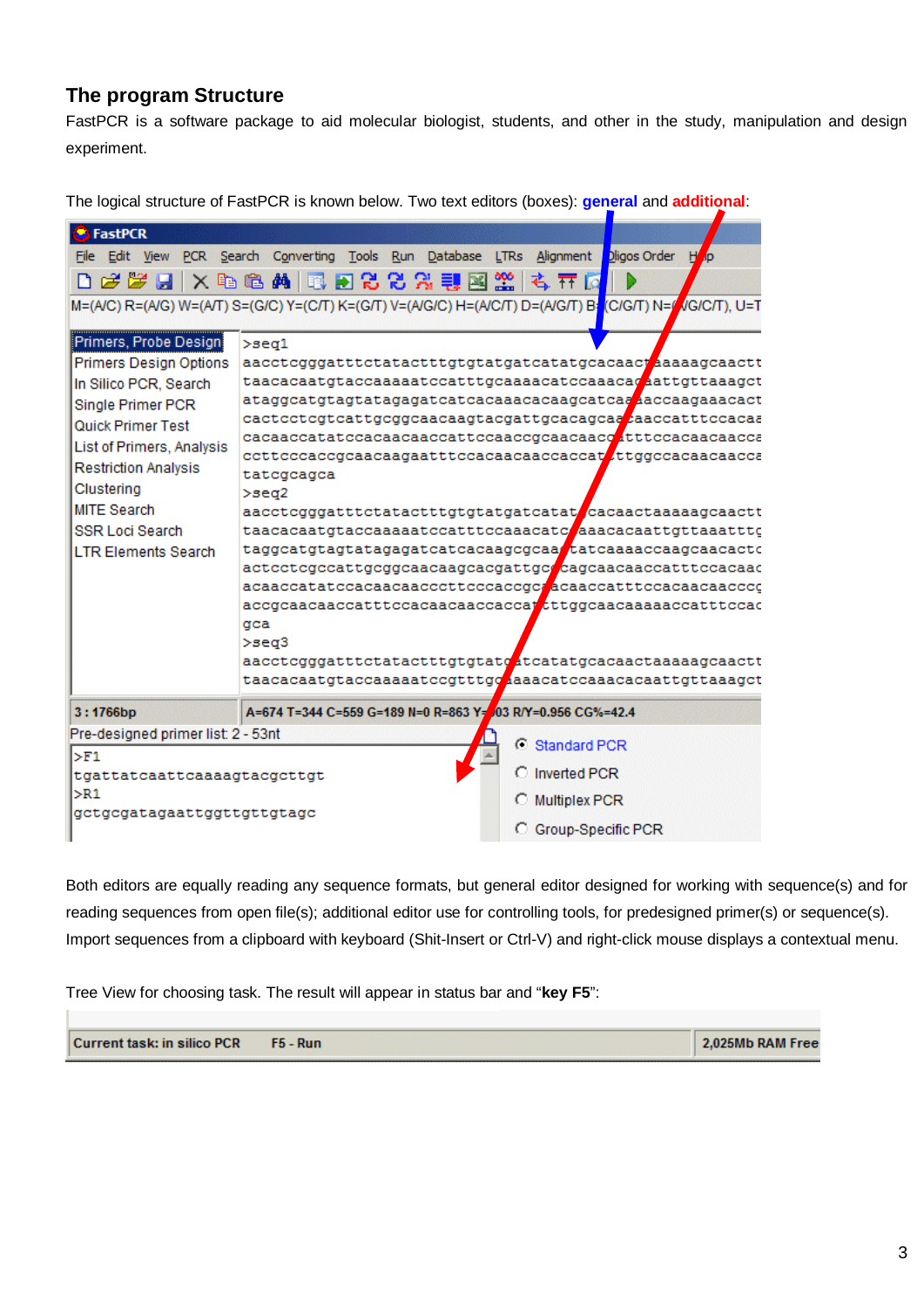## **The program Structure**

FastPCR is a software package to aid molecular biologist, students, and other in the study, manipulation and design experiment.

The logical structure of FastPCR is known below. Two text editors (boxes): **general** and **additional**:

| <b>FastPCR</b>                                                                                                                                                                                                                                                                     |                                                           |                      |                                                                                                                                                                                                                                                                                                                                                                                                                                                                                                                                                                                                                                                                                                                                            |
|------------------------------------------------------------------------------------------------------------------------------------------------------------------------------------------------------------------------------------------------------------------------------------|-----------------------------------------------------------|----------------------|--------------------------------------------------------------------------------------------------------------------------------------------------------------------------------------------------------------------------------------------------------------------------------------------------------------------------------------------------------------------------------------------------------------------------------------------------------------------------------------------------------------------------------------------------------------------------------------------------------------------------------------------------------------------------------------------------------------------------------------------|
| File                                                                                                                                                                                                                                                                               | Edit View PCR Search Converting Tools Run Database LTRs   | Alignment            | Dligos Order                                                                                                                                                                                                                                                                                                                                                                                                                                                                                                                                                                                                                                                                                                                               |
|                                                                                                                                                                                                                                                                                    | <i>. 2 2 .</i> 1 × 4 6 A 0 . 2 2 2 3 U 2 2                | 专开区                  |                                                                                                                                                                                                                                                                                                                                                                                                                                                                                                                                                                                                                                                                                                                                            |
| M=(A/C) R=(A/G) W=(A/T) S=(G/C) Y=(C/T) K=(G/T) V=(A/G/C) H=(A/C/T) D=(A/G/T) B <mark>=</mark> (C/G/T) N=/ <mark>/</mark> /G/C/T), U=T                                                                                                                                             |                                                           |                      |                                                                                                                                                                                                                                                                                                                                                                                                                                                                                                                                                                                                                                                                                                                                            |
| Primers, Probe Design<br><b>Primers Design Options</b><br>In Silico PCR, Search<br>Single Primer PCR<br>Quick Primer Test<br>List of Primers, Analysis<br><b>Restriction Analysis</b><br>Clustering<br><b>MITE Search</b><br><b>SSR Loci Search</b><br><b>I TR Flements Search</b> | >seq1<br>tatcgcagca<br>$>$ se $q2$<br>qca<br>$>$ seq $3$  |                      | aacctcgggatttctatactttgtgtatgatcatatgcacaactaaagcaactt<br>ataggcatgtagtatagagatcatcacaaacacaagcatcaaacacaagaaacact<br>cactcctcgtcattgcggcaacaagtacgattgcacagcaa caccatttccacaa<br>cacaaccatatccacaacaaccattccaaccqcaacaaccatttccacaacaacca<br>ccttcccaccgcaacaagaatttccacaacaaccaccat ttggccacaacaacca<br>aacctcgggatttctatactttgtgtatgatcatat cacaactaaaaagcaactt<br>taacacaatgtaccaaaaatccatttccaaacatceaaacacaattgttaaatttc<br>taggcatgtagtatagagatcatcacaagcgcaa tatcaaaaccaagcaacactc<br>actcctcgccattgcggcaacaagcacgattgc cagcaacaaccatttccacaac<br>acaaccatatccacaacaacccttcccaccgc acaaccatttccacaacaacccc<br>accgcaacaaccatttccacaacaaccaccattttggcaacaaaaaccatttccac<br>aacctcgggatttctatactttgtgtatgatcatatgcacaactaaaaagcaactt |
|                                                                                                                                                                                                                                                                                    |                                                           |                      | taacacaatgtaccaaaaatccgtttgoaaacatccaaacacaattgttaaagct                                                                                                                                                                                                                                                                                                                                                                                                                                                                                                                                                                                                                                                                                    |
| 3:1766bp                                                                                                                                                                                                                                                                           | A=674 T=344 C=559 G=189 N=0 R=863 Y=03 R/Y=0.956 CG%=42.4 |                      |                                                                                                                                                                                                                                                                                                                                                                                                                                                                                                                                                                                                                                                                                                                                            |
| Pre-designed primer list: 2 - 53nt                                                                                                                                                                                                                                                 |                                                           | C Standard PCR       |                                                                                                                                                                                                                                                                                                                                                                                                                                                                                                                                                                                                                                                                                                                                            |
| $>$ F1<br>tgattatcaattcaaaagtacgcttgt                                                                                                                                                                                                                                              |                                                           | C Inverted PCR       |                                                                                                                                                                                                                                                                                                                                                                                                                                                                                                                                                                                                                                                                                                                                            |
| $>$ R1                                                                                                                                                                                                                                                                             |                                                           | <b>Multiplex PCR</b> |                                                                                                                                                                                                                                                                                                                                                                                                                                                                                                                                                                                                                                                                                                                                            |
| gctgcgatagaattggttgttgtagc                                                                                                                                                                                                                                                         |                                                           |                      |                                                                                                                                                                                                                                                                                                                                                                                                                                                                                                                                                                                                                                                                                                                                            |
|                                                                                                                                                                                                                                                                                    |                                                           | C Group-Specific PCR |                                                                                                                                                                                                                                                                                                                                                                                                                                                                                                                                                                                                                                                                                                                                            |

Both editors are equally reading any sequence formats, but general editor designed for working with sequence(s) and for reading sequences from open file(s); additional editor use for controlling tools, for predesigned primer(s) or sequence(s). Import sequences from a clipboard with keyboard (Shit-Insert or Ctrl-V) and right-click mouse displays a contextual menu.

Tree View for choosing task. The result will appear in status bar and "**key F5**":

T.

| Current task: in silico PCR |                 | 2.025Mb RAM Free |
|-----------------------------|-----------------|------------------|
|                             | <b>F5 - Run</b> |                  |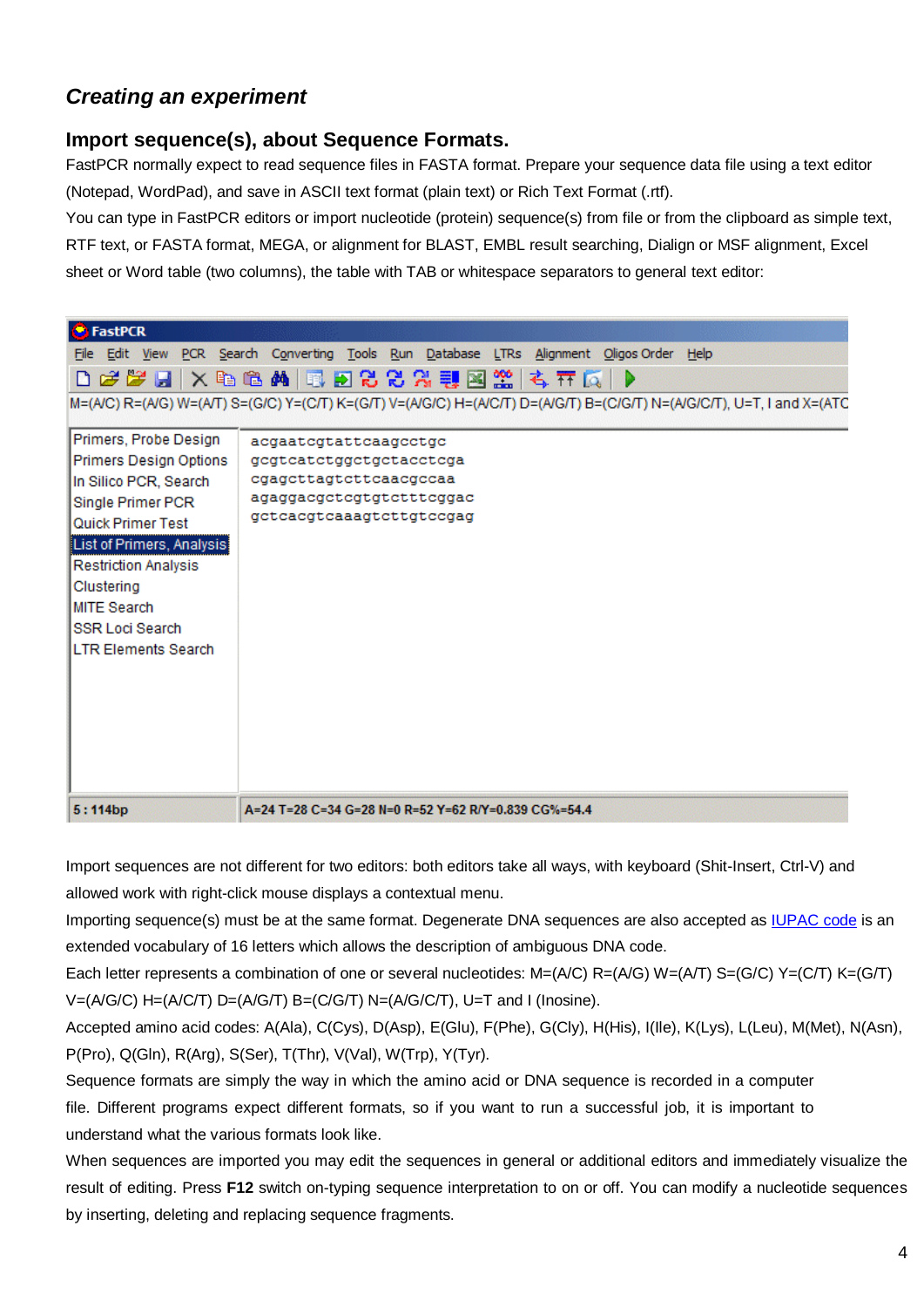# *Creating an experiment*

### **Import sequence(s), about Sequence Formats.**

FastPCR normally expect to read sequence files in FASTA format. Prepare your sequence data file using a text editor (Notepad, WordPad), and save in ASCII text format (plain text) or Rich Text Format (.rtf).

You can type in FastPCR editors or import nucleotide (protein) sequence(s) from file or from the clipboard as simple text, RTF text, or FASTA format, MEGA, or alignment for BLAST, EMBL result searching, Dialign or MSF alignment, Excel sheet or Word table (two columns), the table with TAB or whitespace separators to general text editor:

| <b>S</b> FastPCR                                                                                                                                                                                                                                                           |                                                                                                                                                                                                                                                |
|----------------------------------------------------------------------------------------------------------------------------------------------------------------------------------------------------------------------------------------------------------------------------|------------------------------------------------------------------------------------------------------------------------------------------------------------------------------------------------------------------------------------------------|
|                                                                                                                                                                                                                                                                            | File Edit View PCR Search Converting Tools Run Database LTRs Alignment Oligos Order Help<br>DFFFFX电色的同时2CRRW图案 专开区 P<br>M=(A/C) R=(A/G) W=(A/T) S=(G/C) Y=(C/T) K=(G/T) V=(A/G/C) H=(A/C/T) D=(A/G/T) B=(C/G/T) N=(A/G/C/T), U=T, I and X=(ATC |
| Primers, Probe Design<br>Primers Design Options<br>In Silico PCR, Search<br>Single Primer PCR<br>Quick Primer Test<br>List of Primers, Analysis<br><b>Restriction Analysis</b><br>Clustering<br><b>MITE Search</b><br><b>SSR Loci Search</b><br><b>LTR Elements Search</b> | acgaatcgtattcaagcctgc<br>gegteatetggetgetaeetega<br>cgagettagtettcaaegecaa<br>agaggacgctcgtgtctttcggac<br>geteaegteaaagtettgteegag                                                                                                             |
| 5:114bp                                                                                                                                                                                                                                                                    | A=24 T=28 C=34 G=28 N=0 R=52 Y=62 R/Y=0.839 CG%=54.4                                                                                                                                                                                           |

Import sequences are not different for two editors: both editors take all ways, with keyboard (Shit-Insert, Ctrl-V) and allowed work with right-click mouse displays a contextual menu.

Importing sequence(s) must be at the same format. Degenerate DNA sequences are also accepted as [IUPAC code i](http://www.chem.qmul.ac.uk/iubmb/misc/naseq.html)s an extended vocabulary of 16 letters which allows the description of ambiguous DNA code.

Each letter represents a combination of one or several nucleotides: M=(A/C) R=(A/G) W=(A/T) S=(G/C) Y=(C/T) K=(G/T)  $V=(A/G/C)$  H=(A/C/T) D=(A/G/T) B=(C/G/T) N=(A/G/C/T), U=T and I (Inosine).

Accepted amino acid codes: A(Ala), C(Cys), D(Asp), E(Glu), F(Phe), G(Cly), H(His), I(Ile), K(Lys), L(Leu), M(Met), N(Asn), P(Pro), Q(Gln), R(Arg), S(Ser), T(Thr), V(Val), W(Trp), Y(Tyr).

Sequence formats are simply the way in which the amino acid or DNA sequence is recorded in a computer file. Different programs expect different formats, so if you want to run a successful job, it is important to understand what the various formats look like.

When sequences are imported you may edit the sequences in general or additional editors and immediately visualize the result of editing. Press **F12** switch on-typing sequence interpretation to on or off. You can modify a nucleotide sequences by inserting, deleting and replacing sequence fragments.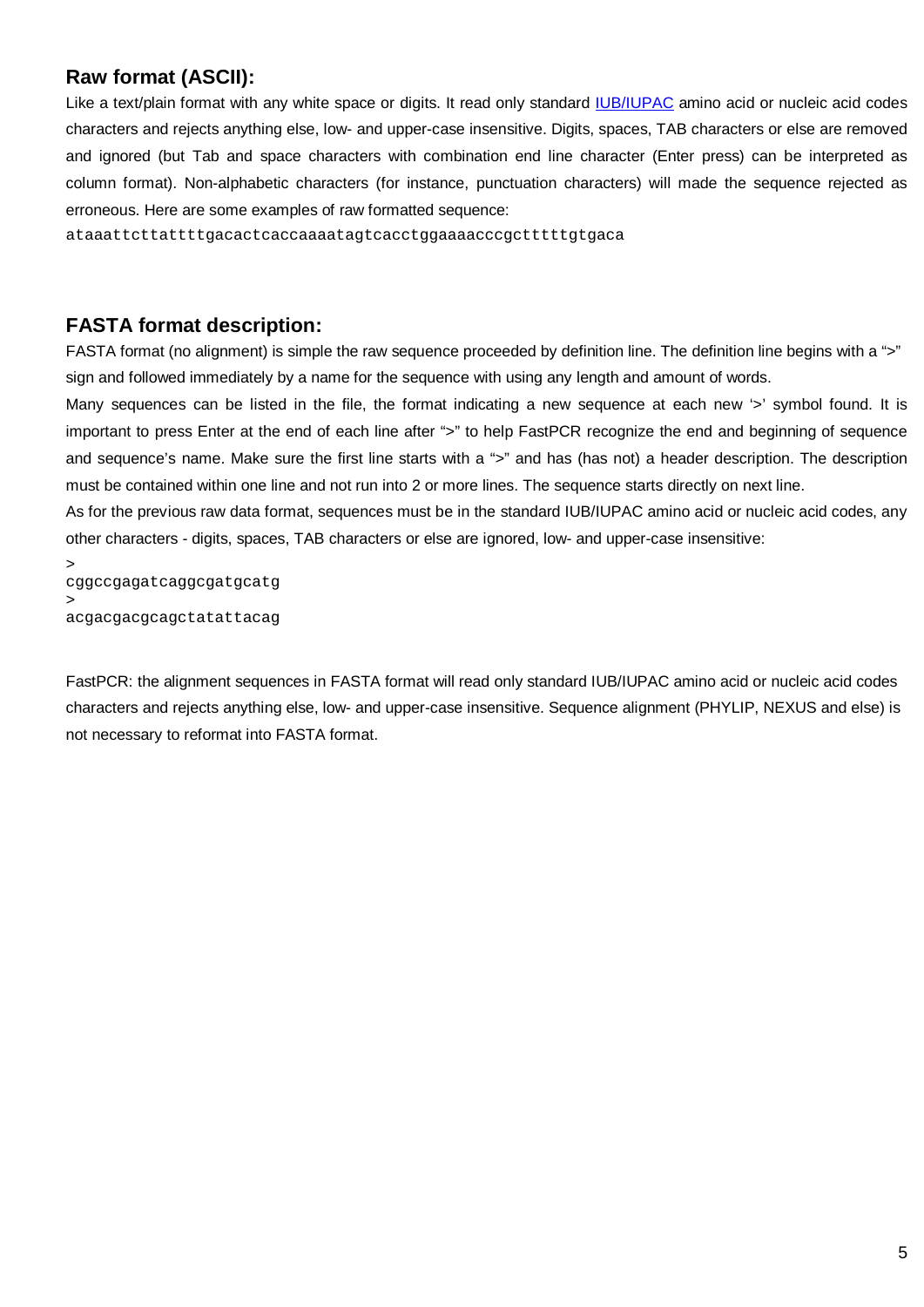### **Raw format (ASCII):**

Like a text/plain format with any white space or digits. It read only standard [IUB/IUPAC](http://www.chem.qmul.ac.uk/iubmb/misc/naseq.html) amino acid or nucleic acid codes characters and rejects anything else, low- and upper-case insensitive. Digits, spaces, TAB characters or else are removed and ignored (but Tab and space characters with combination end line character (Enter press) can be interpreted as column format). Non-alphabetic characters (for instance, punctuation characters) will made the sequence rejected as erroneous. Here are some examples of raw formatted sequence:

ataaattcttattttgacactcaccaaaatagtcacctggaaaacccgctttttgtgaca

### **FASTA format description:**

FASTA format (no alignment) is simple the raw sequence proceeded by definition line. The definition line begins with a ">" sign and followed immediately by a name for the sequence with using any length and amount of words.

Many sequences can be listed in the file, the format indicating a new sequence at each new '>' symbol found. It is important to press Enter at the end of each line after ">" to help FastPCR recognize the end and beginning of sequence and sequence's name. Make sure the first line starts with a ">" and has (has not) a header description. The description must be contained within one line and not run into 2 or more lines. The sequence starts directly on next line.

As for the previous raw data format, sequences must be in the standard IUB/IUPAC amino acid or nucleic acid codes, any other characters - digits, spaces, TAB characters or else are ignored, low- and upper-case insensitive:

> cggccgagatcaggcgatgcatg > acgacgacgcagctatattacag

FastPCR: the alignment sequences in FASTA format will read only standard IUB/IUPAC amino acid or nucleic acid codes characters and rejects anything else, low- and upper-case insensitive. Sequence alignment (PHYLIP, NEXUS and else) is not necessary to reformat into FASTA format.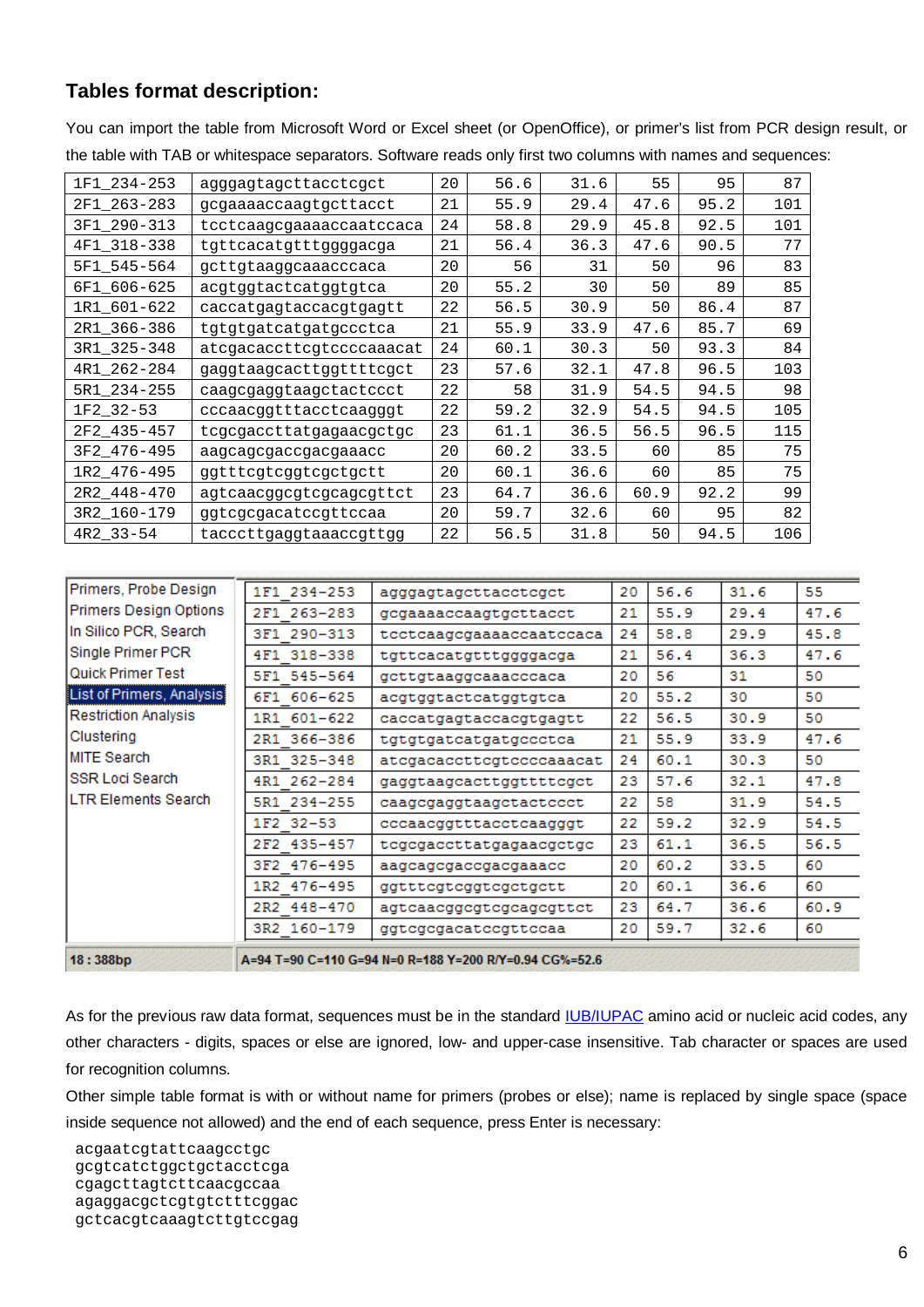# **Tables format description:**

You can import the table from Microsoft Word or Excel sheet (or OpenOffice), or primer's list from PCR design result, or the table with TAB or whitespace separators. Software reads only first two columns with names and sequences:

| 1F1_234-253     | agggagtagcttacctcgct     | 20 | 56.6 | 31.6 | 55   | 95   | 87  |
|-----------------|--------------------------|----|------|------|------|------|-----|
| 2F1_263-283     | gcgaaaaccaagtgcttacct    | 21 | 55.9 | 29.4 | 47.6 | 95.2 | 101 |
| 3F1_290-313     | tcctcaagcgaaaaccaatccaca | 24 | 58.8 | 29.9 | 45.8 | 92.5 | 101 |
| 4F1_318-338     | tgttcacatgtttggggacga    | 21 | 56.4 | 36.3 | 47.6 | 90.5 | 77  |
| 5F1_545-564     | gcttgtaaggcaaacccaca     | 20 | 56   | 31   | 50   | 96   | 83  |
| 6F1_606-625     | acgtggtactcatggtgtca     | 20 | 55.2 | 30   | 50   | 89   | 85  |
| 1R1_601-622     | caccatgagtaccacgtgagtt   | 22 | 56.5 | 30.9 | 50   | 86.4 | 87  |
| 2R1_366-386     | tgtgtgatcatgatgccctca    | 21 | 55.9 | 33.9 | 47.6 | 85.7 | 69  |
| 3R1_325-348     | atcgacaccttcgtccccaaacat | 24 | 60.1 | 30.3 | 50   | 93.3 | 84  |
| 4R1_262-284     | gaggtaagcacttggttttcgct  | 23 | 57.6 | 32.1 | 47.8 | 96.5 | 103 |
| 5R1_234-255     | caagcgaggtaagctactccct   | 22 | 58   | 31.9 | 54.5 | 94.5 | 98  |
| 1F2_32-53       | cccaacggtttacctcaagggt   | 22 | 59.2 | 32.9 | 54.5 | 94.5 | 105 |
| 2F2_435-457     | tcgcgaccttatgagaacgctgc  | 23 | 61.1 | 36.5 | 56.5 | 96.5 | 115 |
| 3F2_476-495     | aagcagcgaccgacgaaacc     | 20 | 60.2 | 33.5 | 60   | 85   | 75  |
| 1R2_476-495     | ggtttcgtcggtcgctgctt     | 20 | 60.1 | 36.6 | 60   | 85   | 75  |
| 2R2_448-470     | agtcaacggcgtcgcagcgttct  | 23 | 64.7 | 36.6 | 60.9 | 92.2 | 99  |
| 3R2_160-179     | ggtcgcgacatccgttccaa     | 20 | 59.7 | 32.6 | 60   | 95   | 82  |
| $4R2 - 33 - 54$ | tacccttgaggtaaaccgttgg   | 22 | 56.5 | 31.8 | 50   | 94.5 | 106 |

| Primers, Probe Design       | 1F1 234-253 | agggagtagcttacctcgct                                   | 20 | 56.6 | 31.6 | 55   |
|-----------------------------|-------------|--------------------------------------------------------|----|------|------|------|
| Primers Design Options      | 2F1 263-283 | gcgaaaaccaagtgcttacct                                  | 21 | 55.9 | 29.4 | 47.6 |
| In Silico PCR, Search       | 3F1 290-313 | tcctcaagcgaaaaccaatccaca                               | 24 | 58.8 | 29.9 | 45.8 |
| Single Primer PCR           | 4F1 318-338 | tgttcacatgtttggggacga                                  | 21 | 56.4 | 36.3 | 47.6 |
| Quick Primer Test           | 5F1 545-564 | gcttgtaaggcaaacccaca                                   | 20 | 56   | 31   | 50   |
| List of Primers, Analysis   | 6F1 606-625 | acgtggtactcatggtgtca                                   | 20 | 55.2 | 30   | 50   |
| <b>Restriction Analysis</b> | 1R1 601-622 | caccatgagtaccacgtgagtt                                 | 22 | 56.5 | 30.9 | 50   |
| Clustering                  | 2R1 366-386 | tgtgtgatcatgatgccctca                                  | 21 | 55.9 | 33.9 | 47.6 |
| <b>MITE Search</b>          | 3R1 325-348 | atcgacaccttcgtccccaaacat                               | 24 | 60.1 | 30.3 | 50   |
| <b>SSR Loci Search</b>      | 4R1 262-284 | gaggtaagcacttggttttcgct                                | 23 | 57.6 | 32.1 | 47.8 |
| LTR Elements Search         | 5R1 234-255 | caagcgaggtaagctactccct                                 | 22 | 58   | 31.9 | 54.5 |
|                             | 1F2 32-53   | cccaacggtttacctcaagggt                                 | 22 | 59.2 | 32.9 | 54.5 |
|                             | 2F2 435-457 | tcgcgaccttatgagaacgctgc                                | 23 | 61.1 | 36.5 | 56.5 |
|                             | 3F2 476-495 | aagcagcgaccgacgaaacc                                   | 20 | 60.2 | 33.5 | 60   |
|                             | 1R2 476-495 | ggtttcgtcggtcgctgctt                                   | 20 | 60.1 | 36.6 | 60   |
|                             | 2R2 448-470 | agtcaacggcgtcgcagcgttct                                | 23 | 64.7 | 36.6 | 60.9 |
|                             | 3R2 160-179 | ggtcgcgacatccgttccaa                                   | 20 | 59.7 | 32.6 | 60   |
| 18:388bp                    |             | A=94 T=90 C=110 G=94 N=0 R=188 Y=200 R/Y=0.94 CG%=52.6 |    |      |      |      |

As for the previous raw data format, sequences must be in the standard [IUB/IUPAC](http://www.chem.qmul.ac.uk/iubmb/misc/naseq.html) amino acid or nucleic acid codes, any other characters - digits, spaces or else are ignored, low- and upper-case insensitive. Tab character or spaces are used for recognition columns.

Other simple table format is with or without name for primers (probes or else); name is replaced by single space (space inside sequence not allowed) and the end of each sequence, press Enter is necessary:

 acgaatcgtattcaagcctgc gcgtcatctggctgctacctcga cgagcttagtcttcaacgccaa agaggacgctcgtgtctttcggac gctcacgtcaaagtcttgtccgag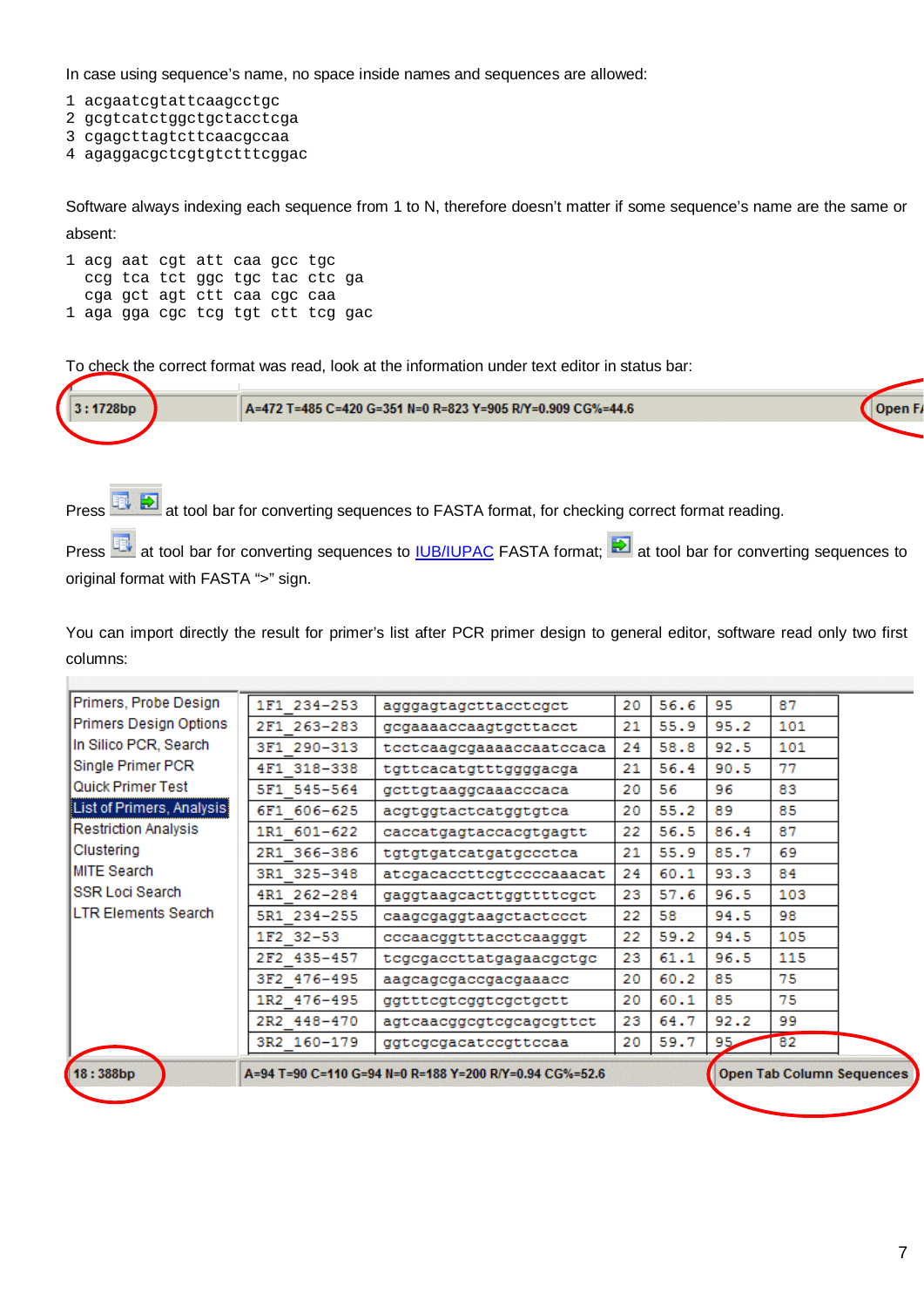In case using sequence's name, no space inside names and sequences are allowed:

1 acgaatcgtattcaagcctgc

 $\mathbb{R}$ 

- 2 gcgtcatctggctgctacctcga
- 3 cgagcttagtcttcaacgccaa
- 4 agaggacgctcgtgtctttcggac

Software always indexing each sequence from 1 to N, therefore doesn't matter if some sequence's name are the same or absent:

1 acg aat cgt att caa gcc tgc ccg tca tct ggc tgc tac ctc ga cga gct agt ctt caa cgc caa 1 aga gga cgc tcg tgt ctt tcg gac

To check the correct format was read, look at the information under text editor in status bar:



Press **BU B** at tool bar for converting sequences to FASTA format, for checking correct format reading.

Press **EN** at tool bar for converting sequences to **IUB/IUPAC** FASTA format; **A** at tool bar for converting sequences to original format with FASTA ">" sign.

You can import directly the result for primer's list after PCR primer design to general editor, software read only two first columns:

| Primers, Probe Design<br>1F1 234-253<br>agggagtagettaeeteget<br>Primers Design Options<br>2F1 263-283<br>gcgaaaaccaagtgcttacct<br>In Silico PCR, Search<br>3F1 290-313<br>tcctcaagcgaaaaccaatccaca<br>Single Primer PCR<br>4F1 318-338<br>tgttcacatgtttggggacga<br>Quick Primer Test<br>5F1 545-564<br>gettgtaaggeaaaeeeaca<br>List of Primers, Analysis<br>6F1 606-625<br>acgtggtactcatggtgtca<br>Restriction Analysis<br>1R1 601-622<br>caccatgagtaccacgtgagtt<br>Clustering<br>2R1 366-386<br>tgtgtgatcatgatgccctca<br><b>MITE Search</b><br>3R1 325-348<br>atcgacaccttcgtccccaaacat<br>SSR Loci Search<br>4R1 262-284<br>gaggtaagcacttggttttcgct<br>LTR Elements Search<br>5R1 234-255<br>caagcgaggtaagctactccct<br>1F2 32-53<br>cccaacggtttacctcaagggt<br>2F2 435-457<br>tegegaeettatgagaaegetge<br>3F2 476-495<br>aagcagcgaccgacgaaacc<br>1R2 476-495<br>ggtttcgtcggtcgctgctt | 20<br>21<br>24<br>21<br>20<br>20<br>22<br>21<br>24<br>23 | 56.6<br>55.9<br>58.8<br>56.4<br>56<br>55.2<br>56.5<br>55.9<br>60.1 | 95<br>95.2<br>92.5<br>90.5<br>96<br>89<br>86.4<br>85.7<br>93.3 | 87<br>101<br>101<br>77<br>83<br>85<br>87<br>69<br>84 |
|-------------------------------------------------------------------------------------------------------------------------------------------------------------------------------------------------------------------------------------------------------------------------------------------------------------------------------------------------------------------------------------------------------------------------------------------------------------------------------------------------------------------------------------------------------------------------------------------------------------------------------------------------------------------------------------------------------------------------------------------------------------------------------------------------------------------------------------------------------------------------------------|----------------------------------------------------------|--------------------------------------------------------------------|----------------------------------------------------------------|------------------------------------------------------|
|                                                                                                                                                                                                                                                                                                                                                                                                                                                                                                                                                                                                                                                                                                                                                                                                                                                                                     |                                                          |                                                                    |                                                                |                                                      |
|                                                                                                                                                                                                                                                                                                                                                                                                                                                                                                                                                                                                                                                                                                                                                                                                                                                                                     |                                                          |                                                                    |                                                                |                                                      |
|                                                                                                                                                                                                                                                                                                                                                                                                                                                                                                                                                                                                                                                                                                                                                                                                                                                                                     |                                                          |                                                                    |                                                                |                                                      |
|                                                                                                                                                                                                                                                                                                                                                                                                                                                                                                                                                                                                                                                                                                                                                                                                                                                                                     |                                                          |                                                                    |                                                                |                                                      |
|                                                                                                                                                                                                                                                                                                                                                                                                                                                                                                                                                                                                                                                                                                                                                                                                                                                                                     |                                                          |                                                                    |                                                                |                                                      |
|                                                                                                                                                                                                                                                                                                                                                                                                                                                                                                                                                                                                                                                                                                                                                                                                                                                                                     |                                                          |                                                                    |                                                                |                                                      |
|                                                                                                                                                                                                                                                                                                                                                                                                                                                                                                                                                                                                                                                                                                                                                                                                                                                                                     |                                                          |                                                                    |                                                                |                                                      |
|                                                                                                                                                                                                                                                                                                                                                                                                                                                                                                                                                                                                                                                                                                                                                                                                                                                                                     |                                                          |                                                                    |                                                                |                                                      |
|                                                                                                                                                                                                                                                                                                                                                                                                                                                                                                                                                                                                                                                                                                                                                                                                                                                                                     |                                                          |                                                                    |                                                                |                                                      |
|                                                                                                                                                                                                                                                                                                                                                                                                                                                                                                                                                                                                                                                                                                                                                                                                                                                                                     |                                                          | 57.6                                                               | 96.5                                                           | 103                                                  |
|                                                                                                                                                                                                                                                                                                                                                                                                                                                                                                                                                                                                                                                                                                                                                                                                                                                                                     | 22                                                       | 58                                                                 | 94.5                                                           | 98                                                   |
|                                                                                                                                                                                                                                                                                                                                                                                                                                                                                                                                                                                                                                                                                                                                                                                                                                                                                     | 22                                                       | 59.2                                                               | 94.5                                                           | 105                                                  |
|                                                                                                                                                                                                                                                                                                                                                                                                                                                                                                                                                                                                                                                                                                                                                                                                                                                                                     | 23                                                       | 61.1                                                               | 96.5                                                           | 115                                                  |
|                                                                                                                                                                                                                                                                                                                                                                                                                                                                                                                                                                                                                                                                                                                                                                                                                                                                                     | 20                                                       | 60.2                                                               | 85                                                             | 75                                                   |
|                                                                                                                                                                                                                                                                                                                                                                                                                                                                                                                                                                                                                                                                                                                                                                                                                                                                                     | 20                                                       | 60.1                                                               | 85                                                             | 75                                                   |
| 2R2 448-470<br>agtcaacggcgtcgcagcgttct                                                                                                                                                                                                                                                                                                                                                                                                                                                                                                                                                                                                                                                                                                                                                                                                                                              | 23                                                       | 64.7                                                               | 92.2                                                           | 99                                                   |
| 3R2 160-179<br>ggtcgcgacatccgttccaa                                                                                                                                                                                                                                                                                                                                                                                                                                                                                                                                                                                                                                                                                                                                                                                                                                                 | 20                                                       | 59.7                                                               | 95                                                             | 82                                                   |
| 18:388bp<br>A=94 T=90 C=110 G=94 N=0 R=188 Y=200 R/Y=0.94 CG%=52.6                                                                                                                                                                                                                                                                                                                                                                                                                                                                                                                                                                                                                                                                                                                                                                                                                  |                                                          |                                                                    |                                                                | <b>Open Tab Column Sequences</b>                     |
|                                                                                                                                                                                                                                                                                                                                                                                                                                                                                                                                                                                                                                                                                                                                                                                                                                                                                     |                                                          |                                                                    |                                                                |                                                      |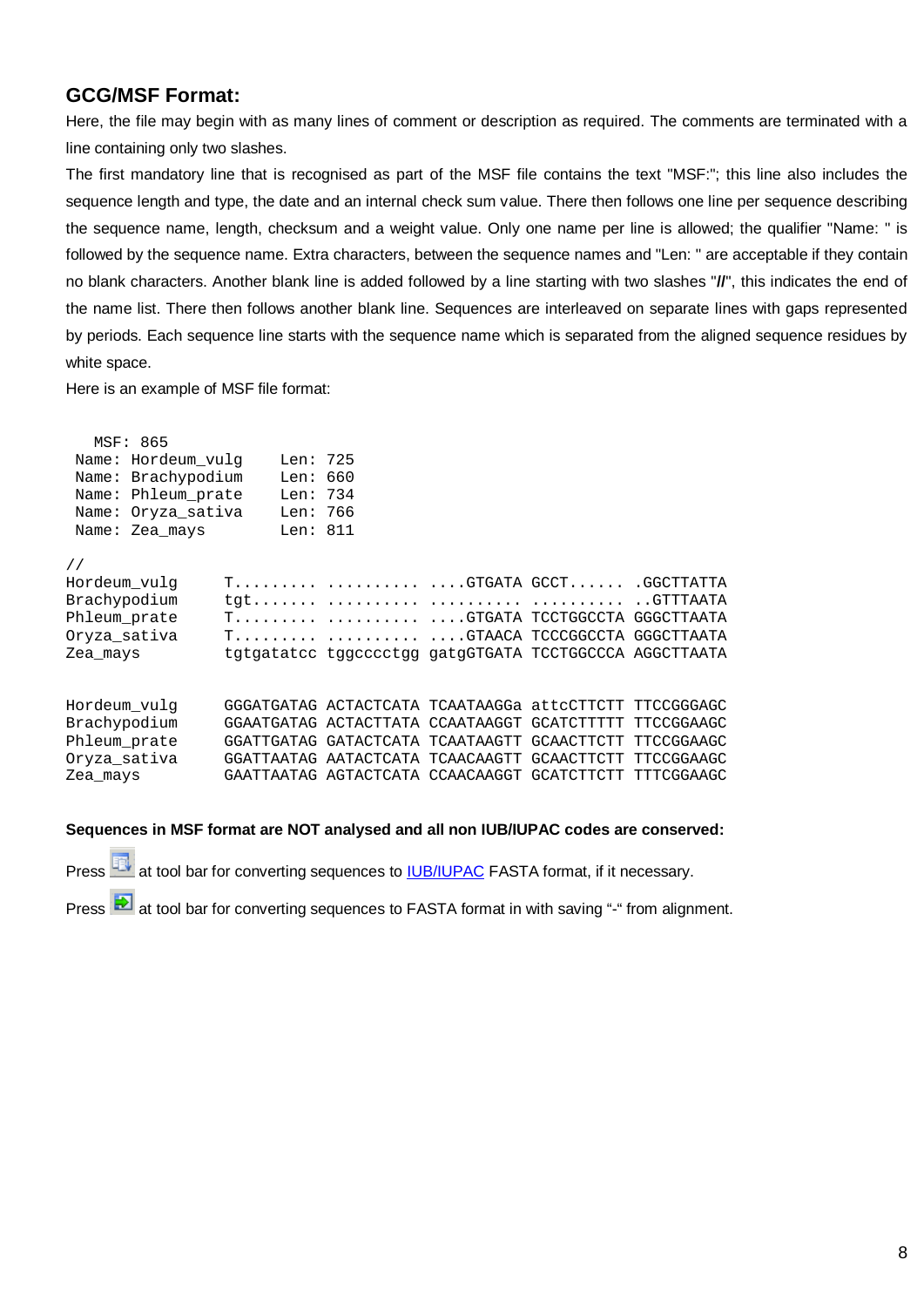### **GCG/MSF Format:**

Here, the file may begin with as many lines of comment or description as required. The comments are terminated with a line containing only two slashes.

The first mandatory line that is recognised as part of the MSF file contains the text "MSF:"; this line also includes the sequence length and type, the date and an internal check sum value. There then follows one line per sequence describing the sequence name, length, checksum and a weight value. Only one name per line is allowed; the qualifier "Name: " is followed by the sequence name. Extra characters, between the sequence names and "Len: " are acceptable if they contain no blank characters. Another blank line is added followed by a line starting with two slashes "**//**", this indicates the end of the name list. There then follows another blank line. Sequences are interleaved on separate lines with gaps represented by periods. Each sequence line starts with the sequence name which is separated from the aligned sequence residues by white space.

Here is an example of MSF file format:

|               | MSF: 865       |                             |                                                        |  |
|---------------|----------------|-----------------------------|--------------------------------------------------------|--|
|               |                | Name: Hordeum vulg Len: 725 |                                                        |  |
|               |                | Name: Brachypodium Len: 660 |                                                        |  |
|               |                | Name: Phleum_prate Len: 734 |                                                        |  |
|               |                | Name: Oryza sativa Len: 766 |                                                        |  |
|               | Name: Zea mays | Len: 811                    |                                                        |  |
| $\frac{1}{2}$ |                |                             |                                                        |  |
| Hordeum vulg  |                |                             | T  GTGATA GCCT .GGCTTATTA                              |  |
| Brachypodium  |                |                             |                                                        |  |
| Phleum prate  |                |                             | T  GTGATA TCCTGGCCTA GGGCTTAATA                        |  |
| Oryza sativa  |                |                             | T  GTAACA TCCCGGCCTA GGGCTTAATA                        |  |
| Zea mays      |                |                             | tgtgatatcc tggcccctgg gatgGTGATA TCCTGGCCCA AGGCTTAATA |  |
|               |                |                             |                                                        |  |
| Hordeum_vulg  |                |                             | GGGATGATAG ACTACTCATA TCAATAAGGa attcCTTCTT TTCCGGGAGC |  |
| Brachypodium  |                |                             | GGAATGATAG ACTACTTATA CCAATAAGGT GCATCTTTTT TTCCGGAAGC |  |
| Phleum prate  |                |                             | GGATTGATAG GATACTCATA TCAATAAGTT GCAACTTCTT TTCCGGAAGC |  |
| Oryza sativa  |                |                             | GGATTAATAG AATACTCATA TCAACAAGTT GCAACTTCTT TTCCGGAAGC |  |
| Zea mays      |                |                             | GAATTAATAG AGTACTCATA CCAACAAGGT GCATCTTCTT TTTCGGAAGC |  |
|               |                |                             |                                                        |  |

### **Sequences in MSF format are NOT analysed and all non IUB/IUPAC codes are conserved:**

Press **FR** at tool bar for converting sequences to [IUB/IUPAC](http://www.chem.qmul.ac.uk/iubmb/misc/naseq.html) FASTA format, if it necessary.

Press at tool bar for converting sequences to FASTA format in with saving "-" from alignment.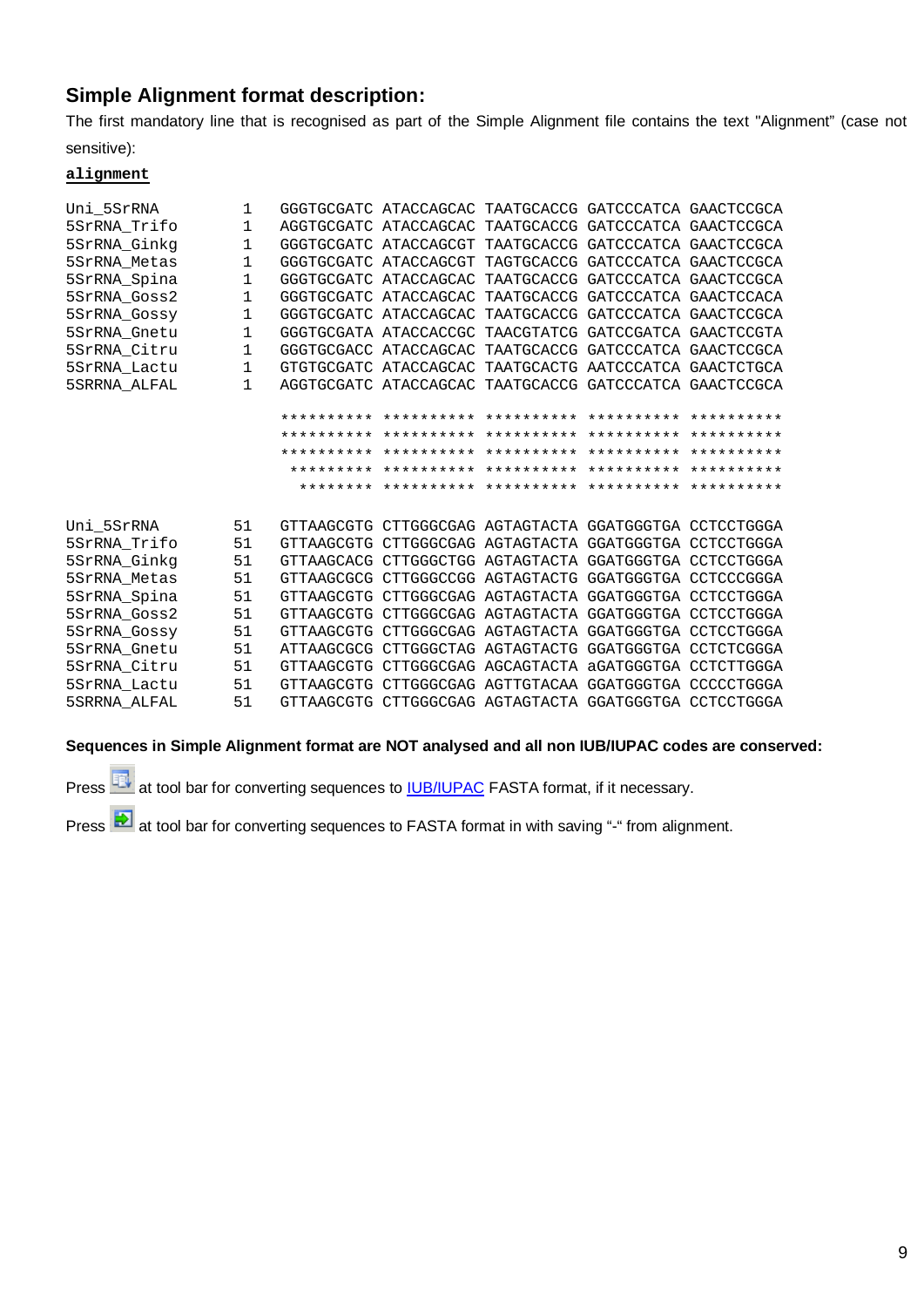# **Simple Alignment format description:**

The first mandatory line that is recognised as part of the Simple Alignment file contains the text "Alignment" (case not sensitive):

#### **alignment**

| Uni 5SrRNA   | 1            | GGGTGCGATC ATACCAGCAC TAATGCACCG GATCCCATCA GAACTCCGCA |  |  |
|--------------|--------------|--------------------------------------------------------|--|--|
| 5SrRNA Trifo | $\mathbf{1}$ | AGGTGCGATC ATACCAGCAC TAATGCACCG GATCCCATCA GAACTCCGCA |  |  |
| 5SrRNA Ginkq | 1            | GGGTGCGATC ATACCAGCGT TAATGCACCG GATCCCATCA GAACTCCGCA |  |  |
| 5SrRNA Metas | 1            | GGGTGCGATC ATACCAGCGT TAGTGCACCG GATCCCATCA GAACTCCGCA |  |  |
| 5SrRNA Spina | 1            | GGGTGCGATC ATACCAGCAC TAATGCACCG GATCCCATCA GAACTCCGCA |  |  |
| 5SrRNA Goss2 | 1            | GGGTGCGATC ATACCAGCAC TAATGCACCG GATCCCATCA GAACTCCACA |  |  |
| 5SrRNA_Gossy | 1            | GGGTGCGATC ATACCAGCAC TAATGCACCG GATCCCATCA GAACTCCGCA |  |  |
| 5SrRNA Gnetu | $\mathbf{1}$ | GGGTGCGATA ATACCACCGC TAACGTATCG GATCCGATCA GAACTCCGTA |  |  |
| 5SrRNA Citru | 1            | GGGTGCGACC ATACCAGCAC TAATGCACCG GATCCCATCA GAACTCCGCA |  |  |
| 5SrRNA_Lactu | $\mathbf{1}$ | GTGTGCGATC ATACCAGCAC TAATGCACTG AATCCCATCA GAACTCTGCA |  |  |
| 5SRRNA ALFAL | $\mathbf{1}$ | AGGTGCGATC ATACCAGCAC TAATGCACCG GATCCCATCA GAACTCCGCA |  |  |
|              |              |                                                        |  |  |
|              |              |                                                        |  |  |
|              |              |                                                        |  |  |
|              |              |                                                        |  |  |
|              |              |                                                        |  |  |
|              |              |                                                        |  |  |
|              |              |                                                        |  |  |
| Uni 5SrRNA   | 51           | GTTAAGCGTG CTTGGGCGAG AGTAGTACTA GGATGGGTGA CCTCCTGGGA |  |  |
| 5SrRNA Trifo | 51           | GTTAAGCGTG CTTGGGCGAG AGTAGTACTA GGATGGGTGA CCTCCTGGGA |  |  |
| 5SrRNA Ginkq | 51           | GTTAAGCACG CTTGGGCTGG AGTAGTACTA GGATGGGTGA CCTCCTGGGA |  |  |
| 5SrRNA Metas | 51           | GTTAAGCGCG CTTGGGCCGG AGTAGTACTG GGATGGGTGA CCTCCCGGGA |  |  |
| 5SrRNA Spina | 51           | GTTAAGCGTG CTTGGGCGAG AGTAGTACTA GGATGGGTGA CCTCCTGGGA |  |  |
| 5SrRNA Goss2 | 51           | GTTAAGCGTG CTTGGGCGAG AGTAGTACTA GGATGGGTGA CCTCCTGGGA |  |  |
| 5SrRNA Gossy | 51           | GTTAAGCGTG CTTGGGCGAG AGTAGTACTA GGATGGGTGA CCTCCTGGGA |  |  |
| 5SrRNA Gnetu | 51           | ATTAAGCGCG CTTGGGCTAG AGTAGTACTG GGATGGGTGA CCTCTCGGGA |  |  |
| 5SrRNA Citru | 51           | GTTAAGCGTG CTTGGGCGAG AGCAGTACTA aGATGGGTGA CCTCTTGGGA |  |  |
| 5SrRNA Lactu |              |                                                        |  |  |
|              | 51           | GTTAAGCGTG CTTGGGCGAG AGTTGTACAA GGATGGGTGA CCCCCTGGGA |  |  |

### **Sequences in Simple Alignment format are NOT analysed and all non IUB/IUPAC codes are conserved:**

Press **BU** at tool bar for converting sequences to **IUB/IUPAC** FASTA format, if it necessary.

Press  $\Box$  at tool bar for converting sequences to FASTA format in with saving "-" from alignment.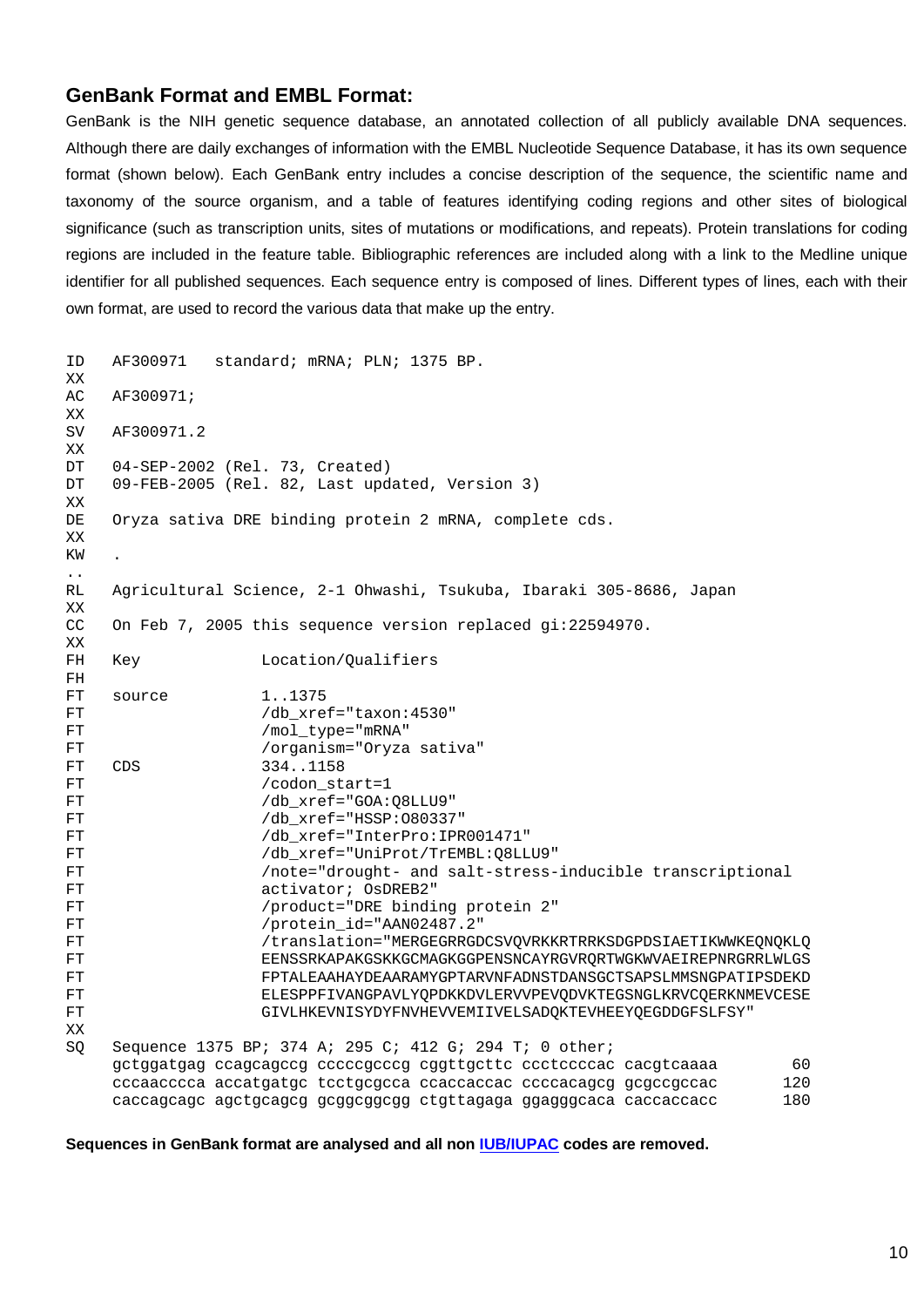#### **GenBank Format and EMBL Format:**

GenBank is the NIH genetic sequence database, an annotated collection of all publicly available DNA sequences. Although there are daily exchanges of information with the [EMBL Nucleotide Sequence Database,](http://www.ebi.ac.uk/help/formats.html#embl%23embl) it has its own sequence format (shown below). Each GenBank entry includes a concise description of the sequence, the scientific name and taxonomy of the source organism, and a table of features identifying coding regions and other sites of biological significance (such as transcription units, sites of mutations or modifications, and repeats). Protein translations for coding regions are included in the feature table. Bibliographic references are included along with a link to the Medline unique identifier for all published sequences. Each sequence entry is composed of lines. Different types of lines, each with their own format, are used to record the various data that make up the entry.

```
ID AF300971 standard; mRNA; PLN; 1375 BP.
XX
AC AF300971;
XX
SV AF300971.2
XX
DT 04-SEP-2002 (Rel. 73, Created)
DT 09-FEB-2005 (Rel. 82, Last updated, Version 3)
XX
DE Oryza sativa DRE binding protein 2 mRNA, complete cds.
XX
KW .
..
RL Agricultural Science, 2-1 Ohwashi, Tsukuba, Ibaraki 305-8686, Japan
XX
CC On Feb 7, 2005 this sequence version replaced gi:22594970.
XX
FH Key Location/Qualifiers
FH
FT source 1..1375
FT /db_xref="taxon:4530"
FT /mol_type="mRNA"
FT /organism="Oryza sativa"
FT CDS 334..1158
FT /codon start=1
FT /db xref="GOA:Q8LLU9"
FT /db_xref="HSSP:O80337"
FT /db_xref="InterPro:IPR001471"
FT /db_xref="UniProt/TrEMBL:Q8LLU9"
FT /note="drought- and salt-stress-inducible transcriptional
FT activator; OsDREB2"
FT /product="DRE binding protein 2"
FT /protein id="AAN02487.2"
FT /translation="MERGEGRRGDCSVQVRKKRTRRKSDGPDSIAETIKWWKEQNQKLQ
FT EENSSRKAPAKGSKKGCMAGKGGPENSNCAYRGVRQRTWGKWVAEIREPNRGRRLWLGS
FT FPTALEAAHAYDEAARAMYGPTARVNFADNSTDANSGCTSAPSLMMSNGPATIPSDEKD
FT ELESPPFIVANGPAVLYQPDKKDVLERVVPEVQDVKTEGSNGLKRVCQERKNMEVCESE
FT GIVLHKEVNISYDYFNVHEVVEMIIVELSADQKTEVHEEYQEGDDGFSLFSY"
XX
SQ Sequence 1375 BP; 374 A; 295 C; 412 G; 294 T; 0 other;
    gctggatgag ccagcagccg cccccgcccg cggttgcttc ccctccccac cacgtcaaaa 60
    cccaacccca accatgatgc tcctgcgcca ccaccaccac ccccacagcg gcgccgccac 120
     caccagcagc agctgcagcg gcggcggcgg ctgttagaga ggagggcaca caccaccacc 180
```
**Sequences in GenBank format are analysed and all non [IUB/IUPAC](http://www.chem.qmul.ac.uk/iubmb/misc/naseq.html) codes are removed.**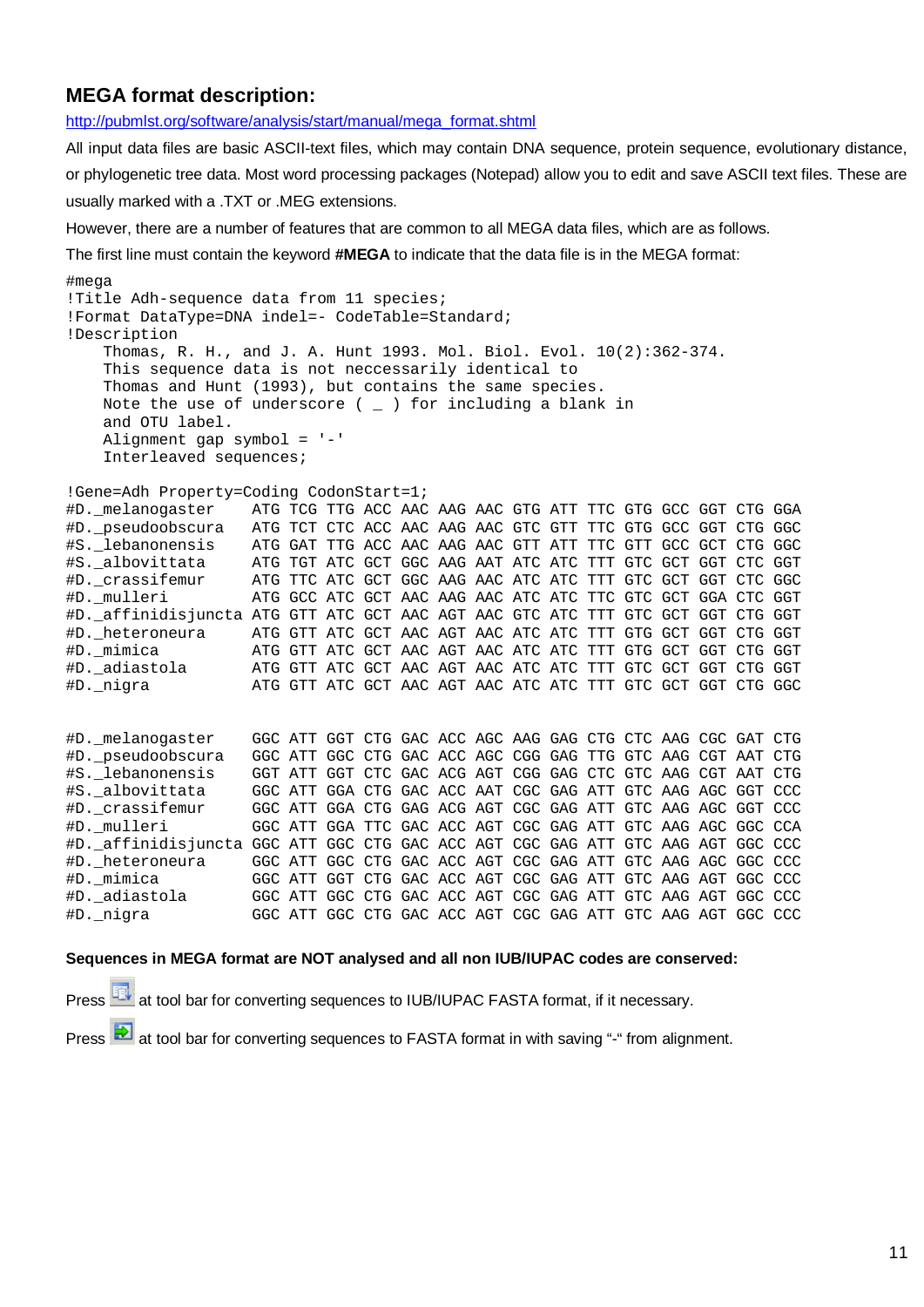## **MEGA format description:**

[http://pubmlst.org/software/analysis/start/manual/mega\\_format.shtml](http://pubmlst.org/software/analysis/start/manual/mega_format.shtml)

All input data files are basic ASCII-text files, which may contain DNA sequence, protein sequence, evolutionary distance, or phylogenetic tree data. Most word processing packages (Notepad) allow you to edit and save ASCII text files. These are usually marked with a .TXT or .MEG extensions.

However, there are a number of features that are common to all MEGA data files, which are as follows.

The first line must contain the keyword **#MEGA** to indicate that the data file is in the MEGA format:

```
#mega
!Title Adh-sequence data from 11 species;
!Format DataType=DNA indel=- CodeTable=Standard;
!Description
     Thomas, R. H., and J. A. Hunt 1993. Mol. Biol. Evol. 10(2):362-374.
     This sequence data is not neccessarily identical to
     Thomas and Hunt (1993), but contains the same species.
    Note the use of underscore (\overline{\phantom{a}}) for including a blank in
     and OTU label.
     Alignment gap symbol = '-'
     Interleaved sequences;
!Gene=Adh Property=Coding CodonStart=1;
#D._melanogaster ATG TCG TTG ACC AAC AAG AAC GTG ATT TTC GTG GCC GGT CTG GGA
#D._pseudoobscura ATG TCT CTC ACC AAC AAG AAC GTC GTT TTC GTG GCC GGT CTG GGC
#S._lebanonensis ATG GAT TTG ACC AAC AAG AAC GTT ATT TTC GTT GCC GCT CTG GGC
#S._albovittata ATG TGT ATC GCT GGC AAG AAT ATC ATC TTT GTC GCT GGT CTC GGT
#D._crassifemur ATG TTC ATC GCT GGC AAG AAC ATC ATC TTT GTC GCT GGT CTC GGC
#D._mulleri ATG GCC ATC GCT AAC AAG AAC ATC ATC TTC GTC GCT GGA CTC GGT
#D._affinidisjuncta ATG GTT ATC GCT AAC AGT AAC GTC ATC TTT GTC GCT GGT CTG GGT
#D._heteroneura ATG GTT ATC GCT AAC AGT AAC ATC ATC TTT GTG GCT GGT CTG GGT
#D._mimica ATG GTT ATC GCT AAC AGT AAC ATC ATC TTT GTG GCT GGT CTG GGT
#D._adiastola         ATG GTT ATC GCT AAC AGT AAC ATC ATC TTT GTC GCT GGT CTG GGT<br>#D._nigra              ATG GTT ATC GCT AAC AGT AAC ATC ATC TTT GTC GCT GTC CTG GGC
                   ATG GTT ATC GCT AAC AGT AAC ATC ATC TTT GTC GCT GGT CTG GGC
#D._melanogaster GGC ATT GGT CTG GAC ACC AGC AAG GAG CTG CTC AAG CGC GAT CTG
#D._pseudoobscura GGC ATT GGC CTG GAC ACC AGC CGG GAG TTG GTC AAG CGT AAT CTG
#S._lebanonensis GGT ATT GGT CTC GAC ACG AGT CGG GAG CTC GTC AAG CGT AAT CTG
#S._albovittata GGC ATT GGA CTG GAC ACC AAT CGC GAG ATT GTC AAG AGC GGT CCC
#D._crassifemur GGC ATT GGA CTG GAG ACG AGT CGC GAG ATT GTC AAG AGC GGT CCC
#D._mulleri GGC ATT GGA TTC GAC ACC AGT CGC GAG ATT GTC AAG AGC GGC CCA
#D._affinidisjuncta GGC ATT GGC CTG GAC ACC AGT CGC GAG ATT GTC AAG AGT GGC CCC
#D._heteroneura GGC ATT GGC CTG GAC ACC AGT CGC GAG ATT GTC AAG AGC GGC CCC
#D._mimica GGC ATT GGT CTG GAC ACC AGT CGC GAG ATT GTC AAG AGT GGC CCC
#D._adiastola GGC ATT GGC CTG GAC ACC AGT CGC GAG ATT GTC AAG AGT GGC CCC
#D._nigra GGC ATT GGC CTG GAC ACC AGT CGC GAG ATT GTC AAG AGT GGC CCC
```
#### **Sequences in MEGA format are NOT analysed and all non IUB/IUPAC codes are conserved:**

Press at tool bar for converting sequences to IUB/IUPAC FASTA format, if it necessary.

Press at tool bar for converting sequences to FASTA format in with saving "-" from alignment.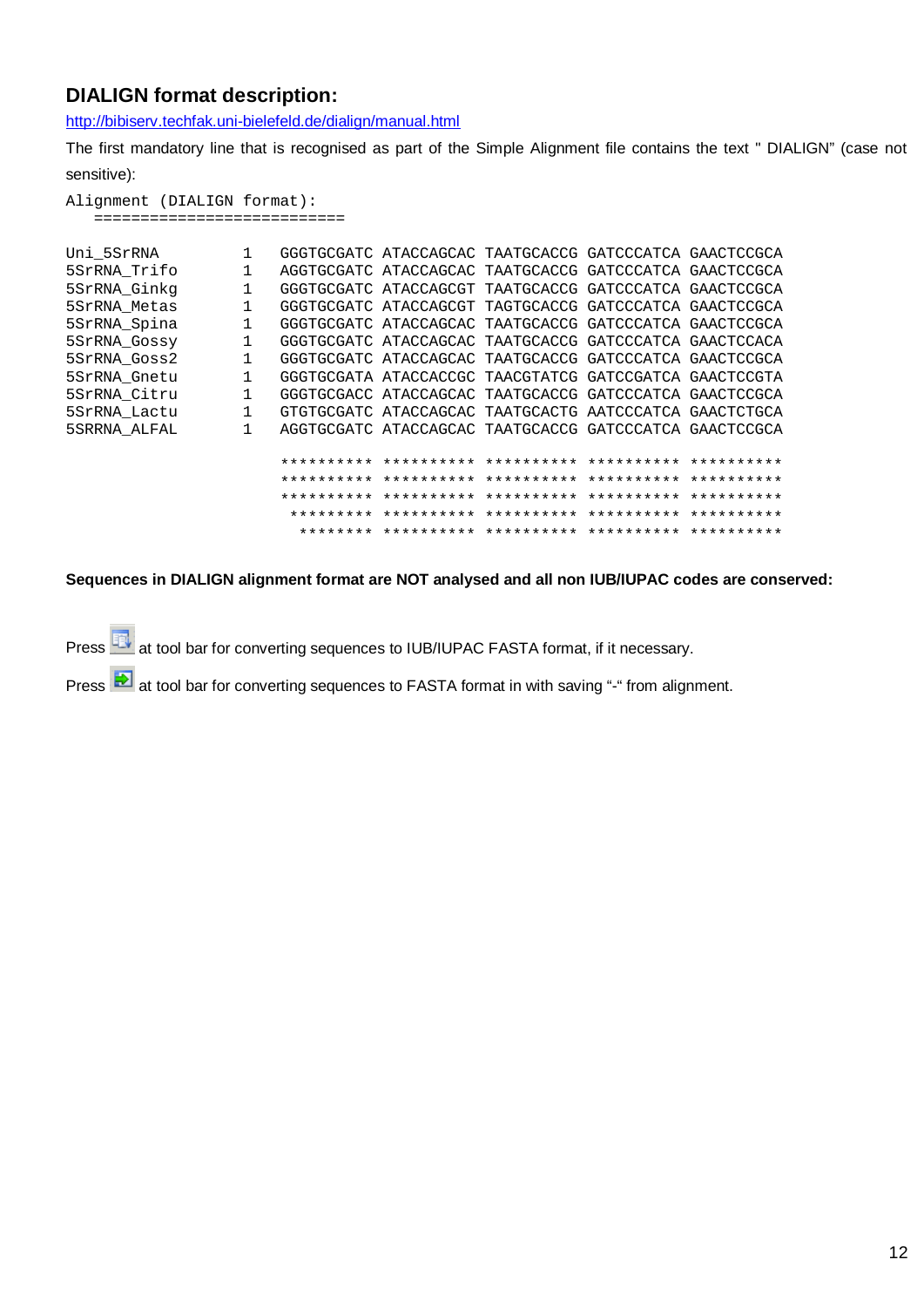# **DIALIGN format description:**

<http://bibiserv.techfak.uni-bielefeld.de/dialign/manual.html>

The first mandatory line that is recognised as part of the Simple Alignment file contains the text " DIALIGN" (case not sensitive):

Alignment (DIALIGN format): ===========================

| Uni 5SrRNA   |   | GGGTGCGATC ATACCAGCAC TAATGCACCG GATCCCATCA GAACTCCGCA |  |  |
|--------------|---|--------------------------------------------------------|--|--|
| 5SrRNA Trifo |   | AGGTGCGATC ATACCAGCAC TAATGCACCG GATCCCATCA GAACTCCGCA |  |  |
| 5SrRNA Ginkq |   | GGGTGCGATC ATACCAGCGT TAATGCACCG GATCCCATCA GAACTCCGCA |  |  |
| 5SrRNA Metas |   | GGGTGCGATC ATACCAGCGT TAGTGCACCG GATCCCATCA GAACTCCGCA |  |  |
| 5SrRNA Spina |   | GGGTGCGATC ATACCAGCAC TAATGCACCG GATCCCATCA GAACTCCGCA |  |  |
| 5SrRNA Gossy |   | GGGTGCGATC ATACCAGCAC TAATGCACCG GATCCCATCA GAACTCCACA |  |  |
| 5SrRNA Goss2 |   | GGGTGCGATC ATACCAGCAC TAATGCACCG GATCCCATCA GAACTCCGCA |  |  |
| 5SrRNA Gnetu |   | GGGTGCGATA ATACCACCGC TAACGTATCG GATCCGATCA GAACTCCGTA |  |  |
| 5SrRNA Citru |   | GGGTGCGACC ATACCAGCAC TAATGCACCG GATCCCATCA GAACTCCGCA |  |  |
| 5SrRNA Lactu | 1 | GTGTGCGATC ATACCAGCAC TAATGCACTG AATCCCATCA GAACTCTGCA |  |  |
| 5SRRNA ALFAL |   | AGGTGCGATC ATACCAGCAC TAATGCACCG GATCCCATCA GAACTCCGCA |  |  |
|              |   |                                                        |  |  |
|              |   |                                                        |  |  |
|              |   |                                                        |  |  |
|              |   |                                                        |  |  |
|              |   |                                                        |  |  |
|              |   |                                                        |  |  |
|              |   |                                                        |  |  |

**Sequences in DIALIGN alignment format are NOT analysed and all non IUB/IUPAC codes are conserved:**

Press  $\overline{H}$  at tool bar for converting sequences to IUB/IUPAC FASTA format, if it necessary.

Press at tool bar for converting sequences to FASTA format in with saving "-" from alignment.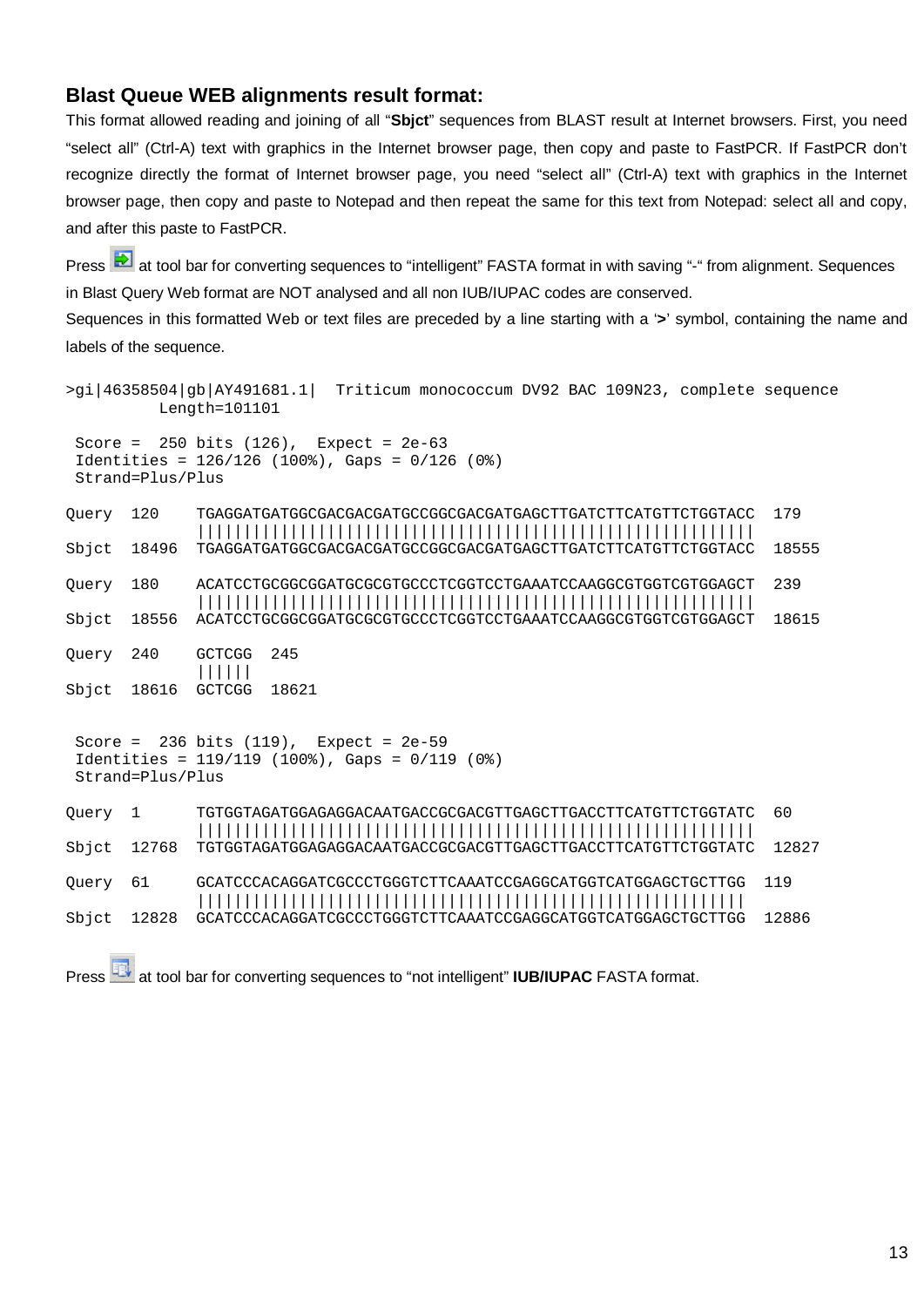### **Blast Queue WEB alignments result format:**

This format allowed reading and joining of all "**Sbjct**" sequences from BLAST result at Internet browsers. First, you need "select all" (Ctrl-A) text with graphics in the Internet browser page, then copy and paste to FastPCR. If FastPCR don't recognize directly the format of Internet browser page, you need "select all" (Ctrl-A) text with graphics in the Internet browser page, then copy and paste to Notepad and then repeat the same for this text from Notepad: select all and copy, and after this paste to FastPCR.

Press at tool bar for converting sequences to "intelligent" FASTA format in with saving "-" from alignment. Sequences in Blast Query Web format are NOT analysed and all non IUB/IUPAC codes are conserved.

Sequences in this formatted Web or text files are preceded by a line starting with a '**>**' symbol, containing the name and labels of the sequence.

```
>gi|46358504|gb|AY491681.1| Triticum monococcum DV92 BAC 109N23, complete sequence
          Length=101101
 Score = 250 bits (126), Expect = 2e-63 Identities = 126/126 (100%), Gaps = 0/126 (0%)
  Strand=Plus/Plus
Query 120 TGAGGATGATGGCGACGACGATGCCGGCGACGATGAGCTTGATCTTCATGTTCTGGTACC 179
               ||||||||||||||||||||||||||||||||||||||||||||||||||||||||||||
Sbjct 18496 TGAGGATGATGGCGACGACGATGCCGGCGACGATGAGCTTGATCTTCATGTTCTGGTACC 18555
Query 180 ACATCCTGCGGCGGATGCGCGTGCCCTCGGTCCTGAAATCCAAGGCGTGGTCGTGGAGCT 239
               ||||||||||||||||||||||||||||||||||||||||||||||||||||||||||||
Sbjct 18556 ACATCCTGCGGCGGATGCGCGTGCCCTCGGTCCTGAAATCCAAGGCGTGGTCGTGGAGCT 18615
Query 240 GCTCGG 245
               ||||||
Sbjct 18616 GCTCGG 18621
 Score = 236 bits (119), Expect = 2e-59
  Identities = 119/119 (100%), Gaps = 0/119 (0%)
 Strand=Plus/Plus
Query 1 TGTGGTAGATGGAGAGGACAATGACCGCGACGTTGAGCTTGACCTTCATGTTCTGGTATC 60
               ||||||||||||||||||||||||||||||||||||||||||||||||||||||||||||
Sbjct 12768 TGTGGTAGATGGAGAGGACAATGACCGCGACGTTGAGCTTGACCTTCATGTTCTGGTATC 12827
Query 61 GCATCCCACAGGATCGCCCTGGGTCTTCAAATCCGAGGCATGGTCATGGAGCTGCTTGG 119
               |||||||||||||||||||||||||||||||||||||||||||||||||||||||||||
Sbjct 12828 GCATCCCACAGGATCGCCCTGGGTCTTCAAATCCGAGGCATGGTCATGGAGCTGCTTGG 12886
```
Press **BR** at tool bar for converting sequences to "not intelligent" **IUB/IUPAC** FASTA format.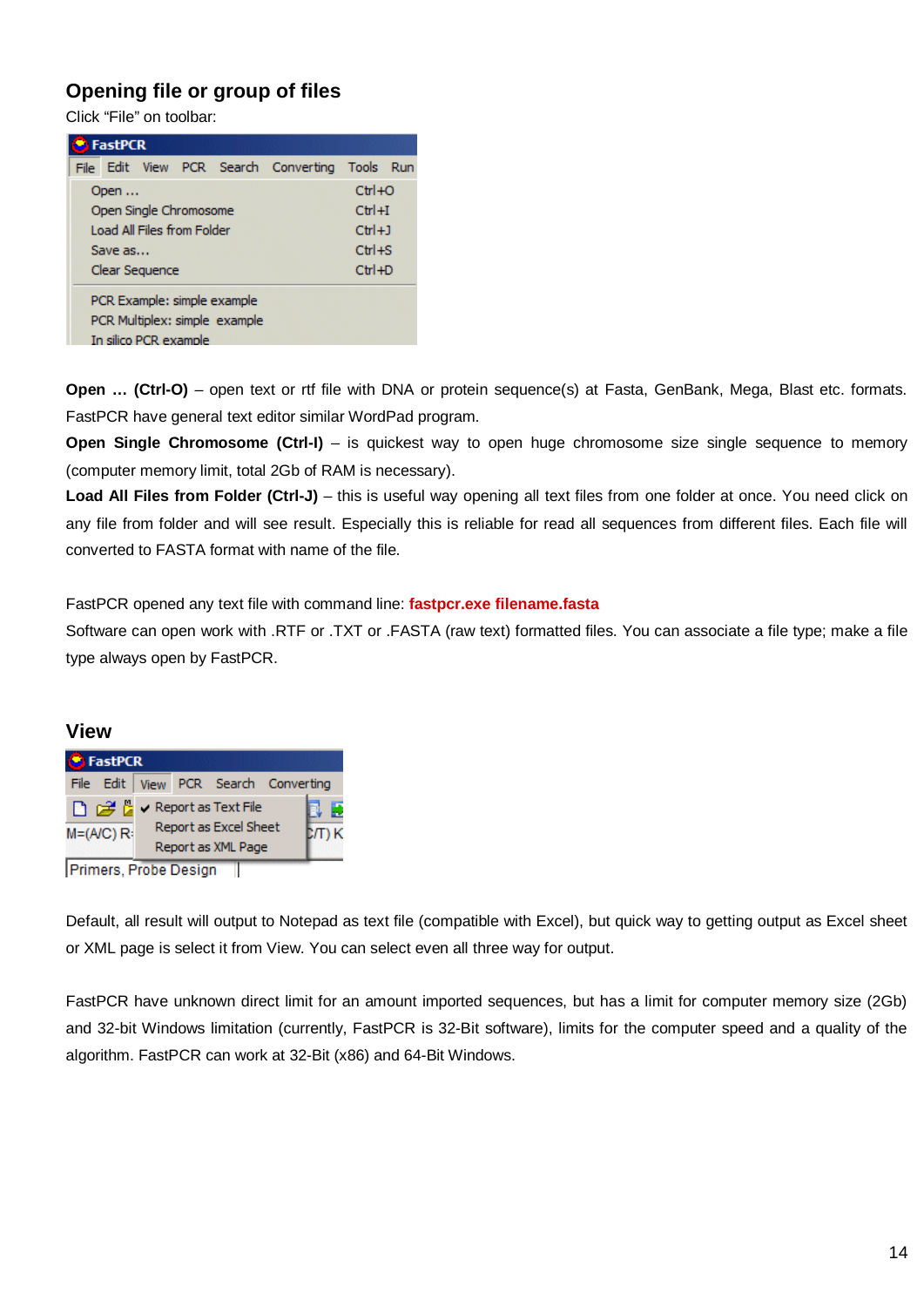# **Opening file or group of files**

Click "File" on toolbar:

| FastPCR                                        |            |  |
|------------------------------------------------|------------|--|
| File Edit View PCR Search Converting Tools Run |            |  |
| Open                                           | $Ctr1+O$   |  |
| Open Single Chromosome                         | $Ctr1 + I$ |  |
| Load All Files from Folder                     | $Ctr[+1]$  |  |
| Save as                                        | $Ctr1 + S$ |  |
| Clear Sequence                                 | $Ctr1+D$   |  |
| PCR Example: simple example                    |            |  |
| PCR Multiplex: simple example                  |            |  |
| In silico PCR example                          |            |  |

**Open ... (Ctrl-O)** – open text or rtf file with DNA or protein sequence(s) at Fasta, GenBank, Mega, Blast etc. formats. FastPCR have general text editor similar WordPad program.

**Open Single Chromosome (Ctrl-I)** – is quickest way to open huge chromosome size single sequence to memory (computer memory limit, total 2Gb of RAM is necessary).

Load All Files from Folder (Ctrl-J) – this is useful way opening all text files from one folder at once. You need click on any file from folder and will see result. Especially this is reliable for read all sequences from different files. Each file will converted to FASTA format with name of the file.

FastPCR opened any text file with command line: **fastpcr.exe filename.fasta**

Software can open work with .RTF or .TXT or .FASTA (raw text) formatted files. You can associate a file type; make a file type always open by FastPCR.

### **View**

| File Edit   View PCR Search Converting<br>□ 2 □ × Report as Text File |             |
|-----------------------------------------------------------------------|-------------|
|                                                                       |             |
| Report as Excel Sheet<br>$M=(A/C)R$<br>Report as XML Page             | Đ<br>D/T) K |

Primers, Probe Design

Default, all result will output to Notepad as text file (compatible with Excel), but quick way to getting output as Excel sheet or XML page is select it from View. You can select even all three way for output.

FastPCR have unknown direct limit for an amount imported sequences, but has a limit for computer memory size (2Gb) and 32-bit Windows limitation (currently, FastPCR is 32-Bit software), limits for the computer speed and a quality of the algorithm. FastPCR can work at 32-Bit (x86) and 64-Bit Windows.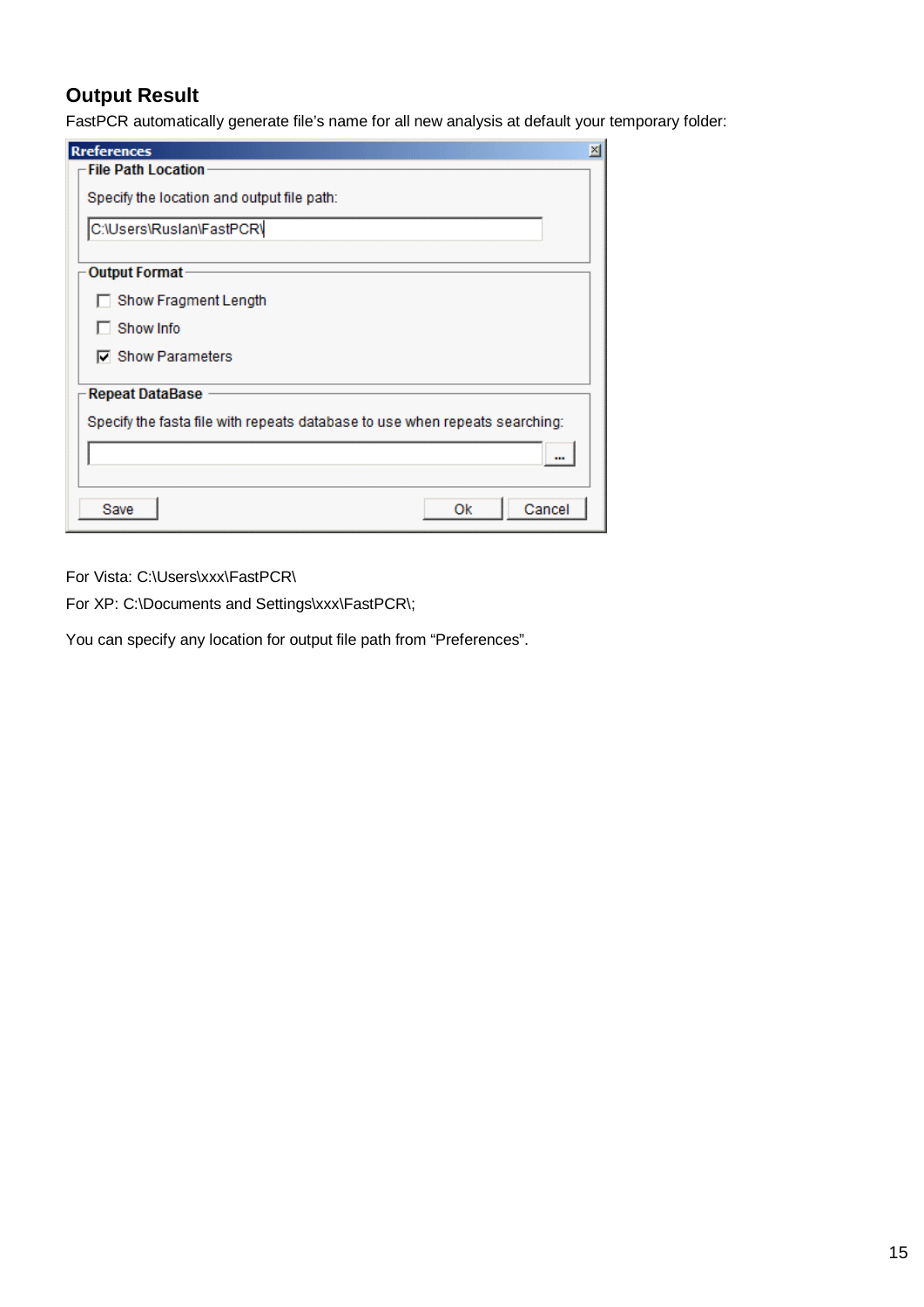# **Output Result**

FastPCR automatically generate file's name for all new analysis at default your temporary folder:

| <b>Rreferences</b>                                                          | $\mathbb{X}$ |
|-----------------------------------------------------------------------------|--------------|
| <b>File Path Location</b>                                                   |              |
| Specify the location and output file path:                                  |              |
| C:\Users\Ruslan\FastPCR\                                                    |              |
|                                                                             |              |
| <b>Output Format</b>                                                        |              |
| Show Fragment Length                                                        |              |
| Show Info                                                                   |              |
| <b>□</b> Show Parameters                                                    |              |
| <b>Repeat DataBase</b>                                                      |              |
| Specify the fasta file with repeats database to use when repeats searching: |              |
|                                                                             |              |
| Cancel<br>Save<br>0k                                                        |              |

For Vista: C:\Users\xxx\FastPCR\

For XP: C:\Documents and Settings\xxx\FastPCR\;

You can specify any location for output file path from "Preferences".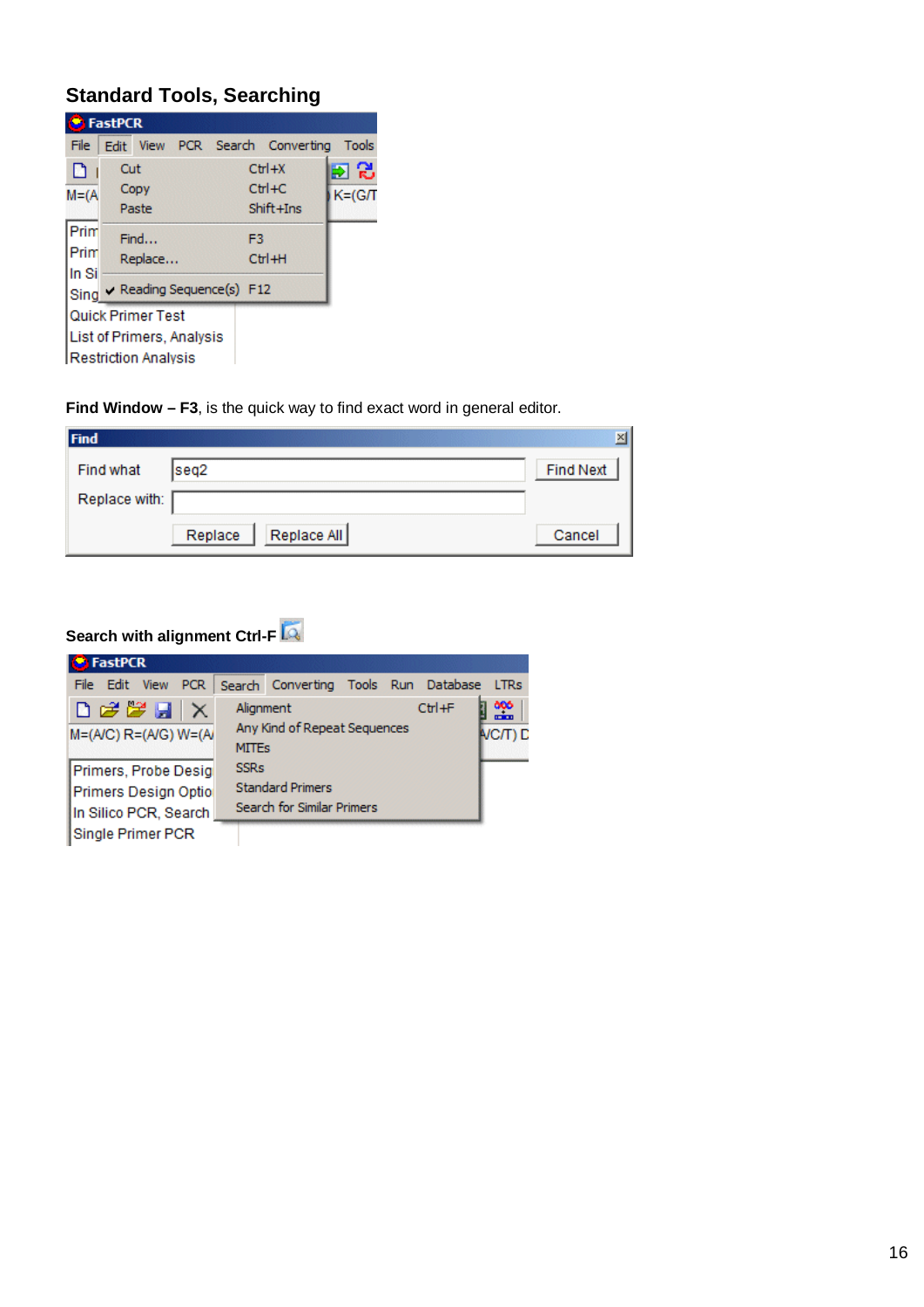# **Standard Tools, Searching**

|                       | <b>FastPCR</b> |                                                                               |                                |                                    |                   |
|-----------------------|----------------|-------------------------------------------------------------------------------|--------------------------------|------------------------------------|-------------------|
| File                  |                |                                                                               |                                | Edit View PCR Search Converting    | <b>Tools</b>      |
| D<br>$M = (A)$        | Cut            | Copy<br>Paste                                                                 |                                | $Ctrl+X$<br>$Ctr1+C$<br>Shift +Ins | 回記<br>$K = (G/I)$ |
| Prim<br>Prim<br>In Si |                | Find<br>Replace                                                               | F3                             | Ctrl+H                             |                   |
|                       |                | Quick Primer Test<br>List of Primers, Analysis<br><b>Restriction Analysis</b> | Sing V Reading Sequence(s) F12 |                                    |                   |

**Find Window – F3**, is the quick way to find exact word in general editor.

| Find          |                        |                  | $\mathbb{X}$ |
|---------------|------------------------|------------------|--------------|
| Find what     | seq <sub>2</sub>       | <b>Find Next</b> |              |
| Replace with: |                        |                  |              |
|               | Replace All<br>Replace | Cancel           |              |

# **Search with alignment Ctrl-F**

| <b>B</b> FastPCR                                                                                                                 |                                                           |            |                        |
|----------------------------------------------------------------------------------------------------------------------------------|-----------------------------------------------------------|------------|------------------------|
| File Edit<br><b>View</b><br><b>PCR</b>                                                                                           | Search Converting Tools Run Database                      |            | <b>LTRs</b>            |
| $\begin{array}{c}\n\Box \mathcal{B} \mathcal{B} \mathcal{B} \mathcal{A} \mathcal{A}\n\end{array}$<br>$M=(A/C)$ $R=(A/G)$ $W=(A)$ | Alianment<br>Any Kind of Repeat Sequences<br><b>MITEs</b> | $Ctr1 + F$ | 886<br>1111<br>VC/T) D |
| Primers, Probe Desig                                                                                                             | <b>SSRs</b>                                               |            |                        |
| Primers Design Optio                                                                                                             | <b>Standard Primers</b>                                   |            |                        |
| In Silico PCR, Search                                                                                                            | Search for Similar Primers                                |            |                        |
| Single Primer PCR                                                                                                                |                                                           |            |                        |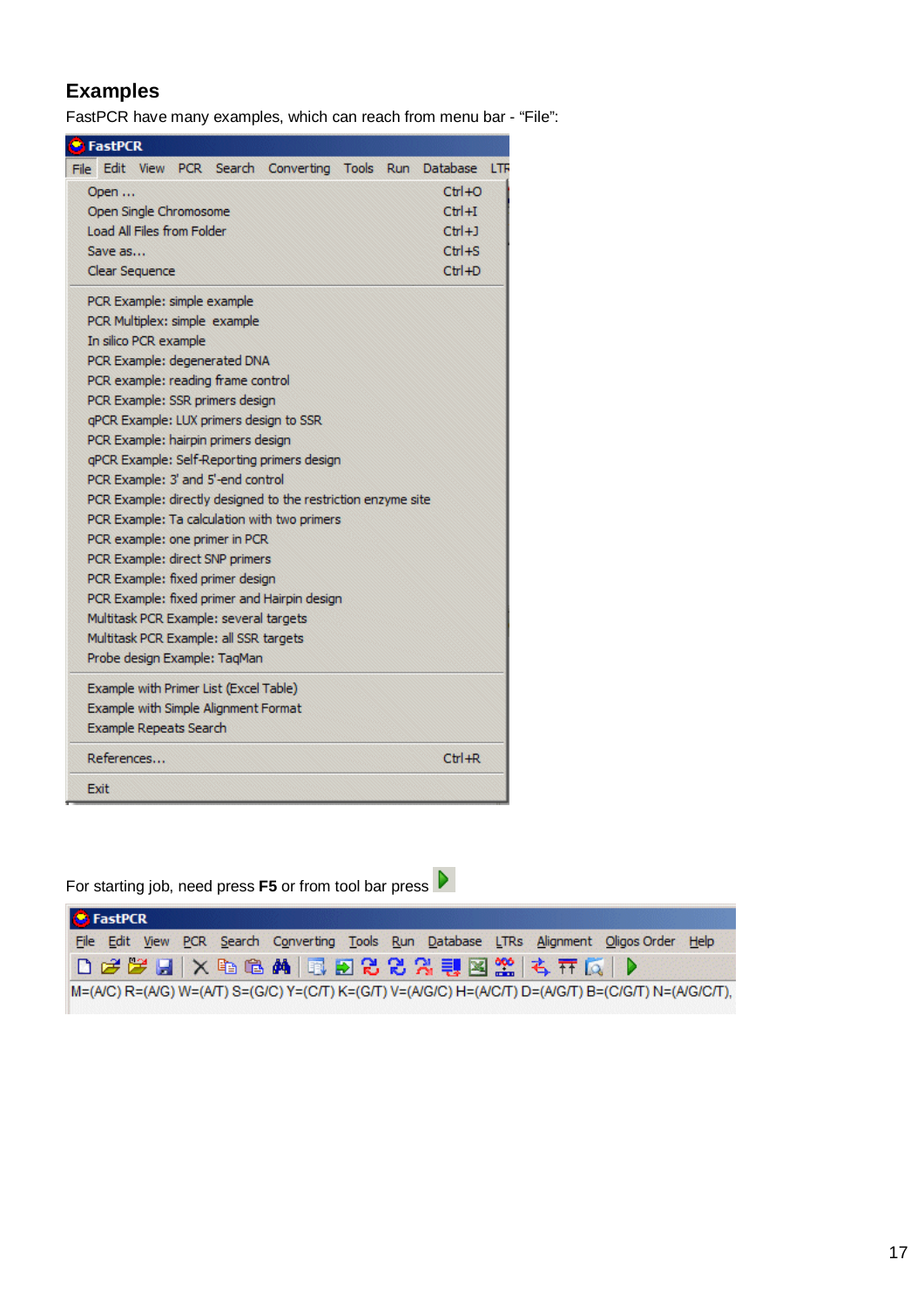# **Examples**

FastPCR have many examples, which can reach from menu bar - "File":

| <b>FastPCR</b>                                                |            |     |
|---------------------------------------------------------------|------------|-----|
| Edit View PCR Search Converting<br>Tools Run Database<br>File |            | LTR |
| Open                                                          | $Ctr1+O$   |     |
| Open Single Chromosome                                        | $CtrI + I$ |     |
| Load All Files from Folder                                    | $Ctrl+1$   |     |
| Save as                                                       | $Ctr1 + S$ |     |
| <b>Clear Sequence</b>                                         | $Ctr1+D$   |     |
| PCR Example: simple example                                   |            |     |
| PCR Multiplex: simple example                                 |            |     |
| In silico PCR example                                         |            |     |
| PCR Example: degenerated DNA                                  |            |     |
| PCR example: reading frame control                            |            |     |
| PCR Example: SSR primers design                               |            |     |
| qPCR Example: LUX primers design to SSR                       |            |     |
| PCR Example: hairpin primers design                           |            |     |
| gPCR Example: Self-Reporting primers design                   |            |     |
| PCR Example: 3' and 5'-end control                            |            |     |
| PCR Example: directly designed to the restriction enzyme site |            |     |
| PCR Example: Ta calculation with two primers                  |            |     |
| PCR example: one primer in PCR                                |            |     |
| PCR Example: direct SNP primers                               |            |     |
| PCR Example: fixed primer design                              |            |     |
| PCR Example: fixed primer and Hairpin design                  |            |     |
| Multitask PCR Example: several targets                        |            |     |
| Multitask PCR Example: all SSR targets                        |            |     |
| Probe design Example: TaqMan                                  |            |     |
| Example with Primer List (Excel Table)                        |            |     |
| Example with Simple Alignment Format                          |            |     |
| <b>Example Repeats Search</b>                                 |            |     |
| References                                                    | $Ctr1 + R$ |     |
| Exit                                                          |            |     |

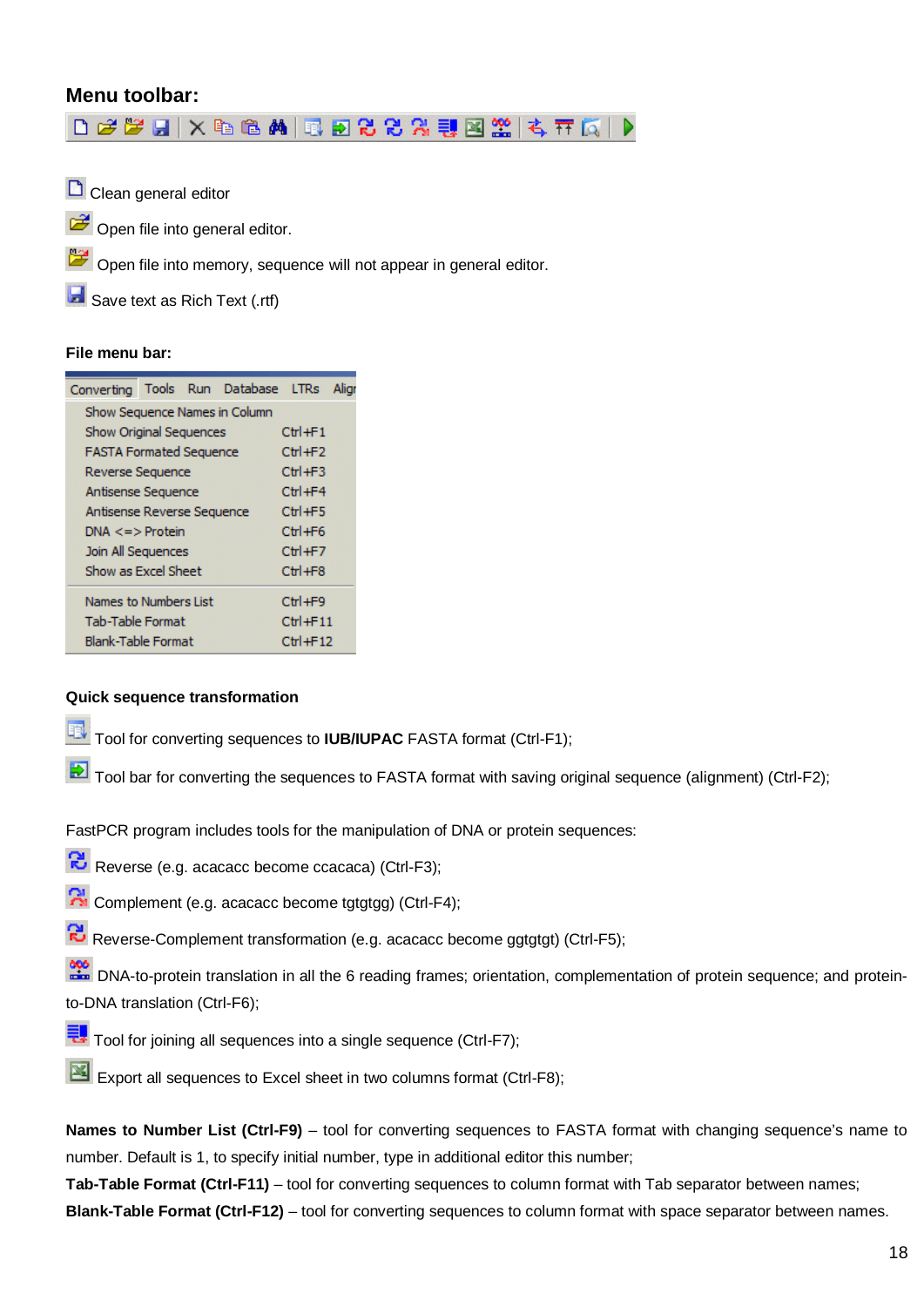### **Menu toolbar:**

D 2 2 日 | X 4 8 4 | 1 8 8 2 2 2 3 1 2 3 | 4 7 5 | 0

Clean general editor

Open file into general editor.

Open file into memory, sequence will not appear in general editor.

**B** Save text as Rich Text (.rtf)

#### **File menu bar:**

| Converting Tools Run Database LTRs |  |                               |               | Aliar |
|------------------------------------|--|-------------------------------|---------------|-------|
|                                    |  | Show Sequence Names in Column |               |       |
| <b>Show Original Sequences</b>     |  |                               | $Ctr$ $H$ +F1 |       |
| <b>FASTA Formated Sequence</b>     |  |                               | $Ctr1 + F2$   |       |
| Reverse Sequence                   |  |                               | $Ctr1 + F3$   |       |
| <b>Antisense Sequence</b>          |  |                               | $Ctr1 + F4$   |       |
| Antisense Reverse Sequence         |  |                               | $Ctrl + F5$   |       |
| $DNA \leq z$ Protein               |  |                               | $Ctr$ +F6     |       |
| Join All Sequences                 |  |                               | $Ctr1 + F7$   |       |
| Show as Excel Sheet                |  |                               | $Ctr1 + F8$   |       |
| Names to Numbers List              |  |                               | $Ctrl + F9$   |       |
| <b>Tab-Table Format</b>            |  |                               | $Ctr$ -F11    |       |
| <b>Blank-Table Format</b>          |  |                               | $Ctr1 + F12$  |       |

#### **Quick sequence transformation**

Tool for converting sequences to **IUB/IUPAC** FASTA format (Ctrl-F1);

Tool bar for converting the sequences to FASTA format with saving original sequence (alignment) (Ctrl-F2);

FastPCR program includes tools for the manipulation of DNA or protein sequences:

- Reverse (e.g. acacacc become ccacaca) (Ctrl-F3);
- **R** Complement (e.g. acacacc become tgtgtgg) (Ctrl-F4);
- Reverse-Complement transformation (e.g. acacacc become ggtgtgt) (Ctrl-F5);

**DNA-to-protein translation in all the 6 reading frames**; orientation, complementation of protein sequence; and proteinto-DNA translation (Ctrl-F6);

- Tool for joining all sequences into a single sequence (Ctrl-F7);
- Export all sequences to Excel sheet in two columns format (Ctrl-F8);

**Names to Number List (Ctrl-F9)** – tool for converting sequences to FASTA format with changing sequence's name to number. Default is 1, to specify initial number, type in additional editor this number;

**Tab-Table Format (Ctrl-F11)** – tool for converting sequences to column format with Tab separator between names;

**Blank-Table Format (Ctrl-F12)** – tool for converting sequences to column format with space separator between names.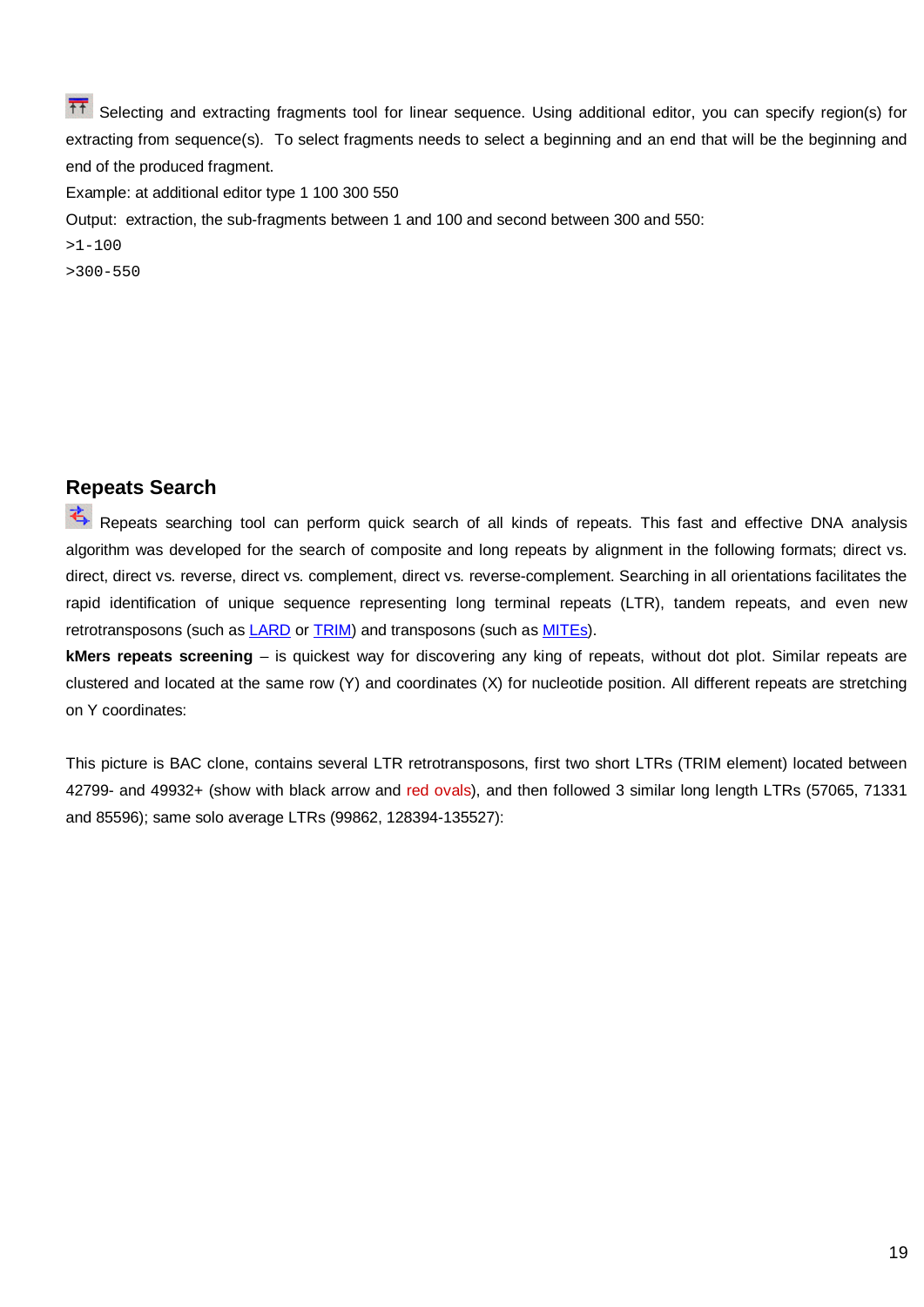The Selecting and extracting fragments tool for linear sequence. Using additional editor, you can specify region(s) for extracting from sequence(s). To select fragments needs to select a beginning and an end that will be the beginning and end of the produced fragment.

Example: at additional editor type 1 100 300 550

Output: extraction, the sub-fragments between 1 and 100 and second between 300 and 550:

 $>1-100$ 

>300-550

### **Repeats Search**

Repeats searching tool can perform quick search of all kinds of repeats. This fast and effective DNA analysis algorithm was developed for the search of composite and long repeats by alignment in the following formats; direct vs. direct, direct vs. reverse, direct vs. complement, direct vs. reverse-complement. Searching in all orientations facilitates the rapid identification of unique sequence representing long terminal repeats (LTR), tandem repeats, and even new retrotransposons (such as [LARD](http://www.genetics.org/cgi/content/abstract/166/3/1437) or [TRIM](http://www.pubmedcentral.nih.gov/articlerender.fcgi?tool=pubmed&pubmedid=11717436)) and transposons (such as [MITEs\)](http://www.ncbi.nlm.nih.gov/entrez/query.fcgi?cmd=Retrieve&db=PubMed&list_uids=11962634&dopt=Abstract).

**kMers repeats screening** – is quickest way for discovering any king of repeats, without dot plot. Similar repeats are clustered and located at the same row (Y) and coordinates (X) for nucleotide position. All different repeats are stretching on Y coordinates:

This picture is BAC clone, contains several LTR retrotransposons, first two short LTRs (TRIM element) located between 42799- and 49932+ (show with black arrow and red ovals), and then followed 3 similar long length LTRs (57065, 71331 and 85596); same solo average LTRs (99862, 128394-135527):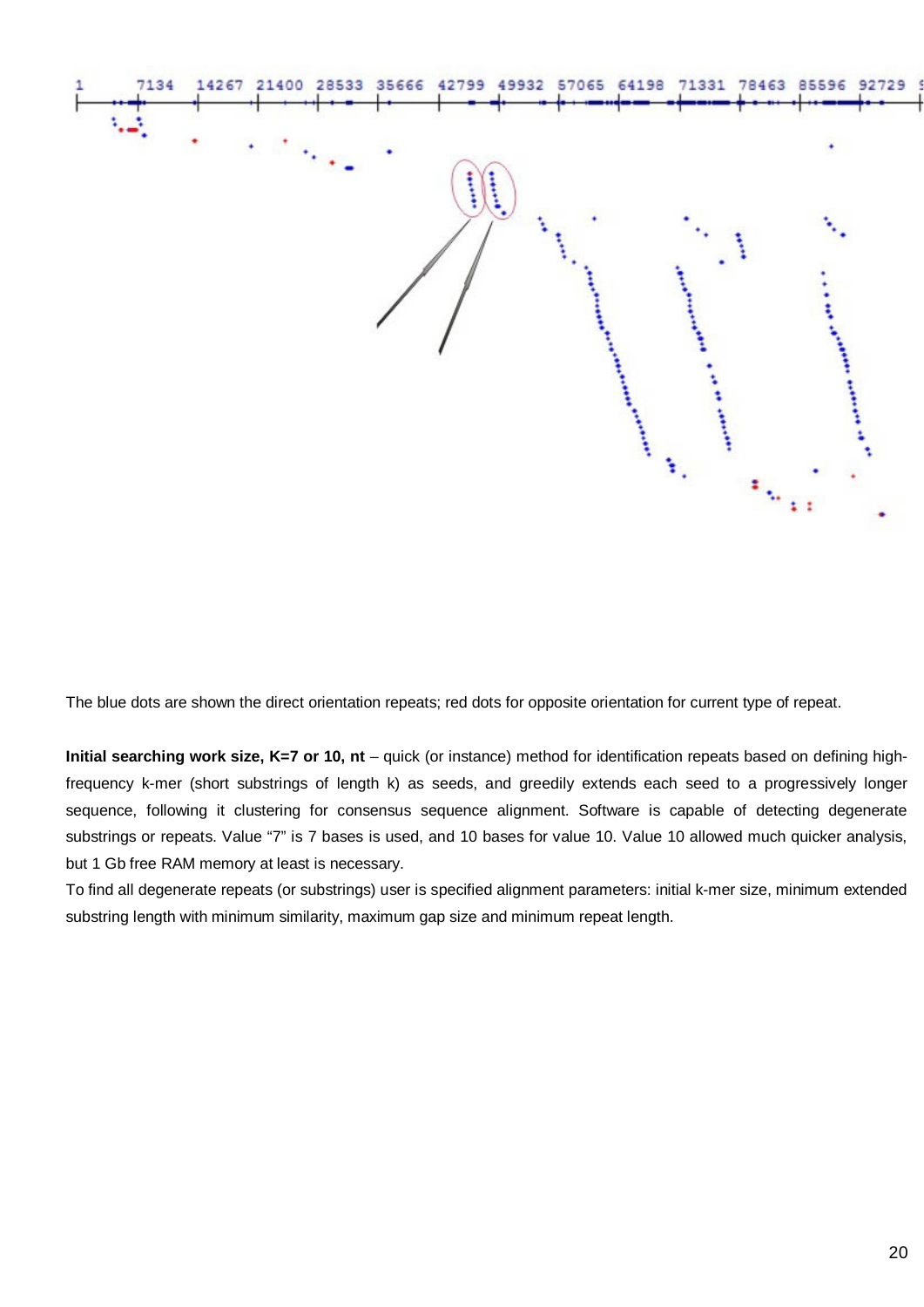

The blue dots are shown the direct orientation repeats; red dots for opposite orientation for current type of repeat.

**Initial searching work size, K=7 or 10, nt** – quick (or instance) method for identification repeats based on defining highfrequency k-mer (short substrings of length k) as seeds, and greedily extends each seed to a progressively longer sequence, following it clustering for consensus sequence alignment. Software is capable of detecting degenerate substrings or repeats. Value "7" is 7 bases is used, and 10 bases for value 10. Value 10 allowed much quicker analysis, but 1 Gb free RAM memory at least is necessary.

To find all degenerate repeats (or substrings) user is specified alignment parameters: initial k-mer size, minimum extended substring length with minimum similarity, maximum gap size and minimum repeat length.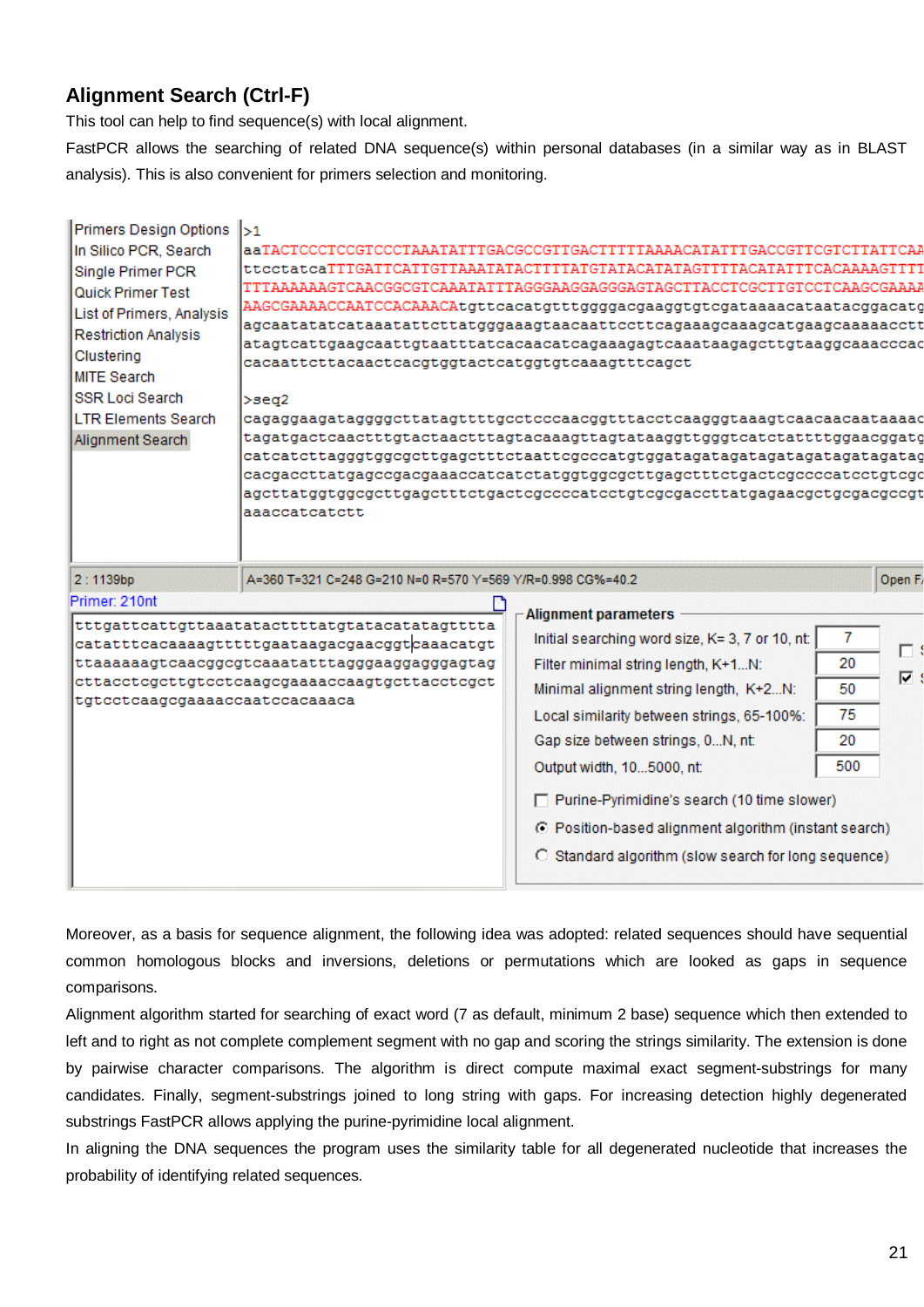# **Alignment Search (Ctrl-F)**

This tool can help to find sequence(s) with local alignment.

FastPCR allows the searching of related DNA sequence(s) within personal databases (in a similar way as in BLAST analysis). This is also convenient for primers selection and monitoring.

| In Silico PCR, Search<br>Single Primer PCR<br>Quick Primer Test<br>List of Primers, Analysis<br><b>Restriction Analysis</b><br>Clustering<br><b>MITE Search</b><br><b>SSR Loci Search</b><br><b>LTR Elements Search</b><br>Alignment Search | l>1<br>cacaattcttacaactcacqtqqtactcatqqtqtcaaaqtttcaqct<br>l>seα2<br>aaaccatcatctt | aaTACTCCCTCCGTCCCTAAATATTTGACGCCGTTGACTTTTTAAAACATATTTGACCGTTCGTCTTATTCAA<br>ttcctatcaTTTGATTCATTGTTAAATATACTTTTATGTATACATATAGTTTTACATATTTCACAAAAGTTTT<br>TTTAAAAAAGTCAACGGCGTCAAATATTTAGGGAAGGAGGAGTAGCTTACCTCGCTTGTCCTCAAGCGAAAA<br>AAGCGAAAACCAATCCACAAACAtgttcacatgtttggggacgaaggtgtcgataaaacataatacggacatg<br>atagtcattgaagcaattgtaatttatcacaacatcagaaagagtcaaataagagcttgtaaggcaaacccac<br>cagaggaagataggggcttatagttttgcctcccaacggtttacctcaagggtaaagtcaacaacaataaaac<br>tagatgactcaactttgtactaactttagtacaaagttagtataaggttgggtcatctattttggaacggatg<br>cacgaccttatgagccgacgaaaccatcatctatggtggcgcttgagctttctgactcgccccatcctgtcgc<br>agettatggtggegettgagetttetgaetegeeeeateetgtegegaeettatgagaaegetgegaegeegt |     |         |
|---------------------------------------------------------------------------------------------------------------------------------------------------------------------------------------------------------------------------------------------|------------------------------------------------------------------------------------|------------------------------------------------------------------------------------------------------------------------------------------------------------------------------------------------------------------------------------------------------------------------------------------------------------------------------------------------------------------------------------------------------------------------------------------------------------------------------------------------------------------------------------------------------------------------------------------------------------------------------------------------------------------------------------------------------------------|-----|---------|
| 2:1139bp                                                                                                                                                                                                                                    | A=360 T=321 C=248 G=210 N=0 R=570 Y=569 Y/R=0.998 CG%=40.2                         |                                                                                                                                                                                                                                                                                                                                                                                                                                                                                                                                                                                                                                                                                                                  |     |         |
|                                                                                                                                                                                                                                             |                                                                                    |                                                                                                                                                                                                                                                                                                                                                                                                                                                                                                                                                                                                                                                                                                                  |     | Open F/ |
| Primer: 210nt                                                                                                                                                                                                                               |                                                                                    | <b>Alignment parameters</b>                                                                                                                                                                                                                                                                                                                                                                                                                                                                                                                                                                                                                                                                                      |     |         |
|                                                                                                                                                                                                                                             | tttgattcattgttaaatatacttttatgtatacatatagtttta                                      | Initial searching word size, K= 3, 7 or 10, nt:                                                                                                                                                                                                                                                                                                                                                                                                                                                                                                                                                                                                                                                                  | 7   |         |
|                                                                                                                                                                                                                                             | catatttcacaaaagtttttgaataagacgaacggtcaaacatgt                                      | Filter minimal string length, K+1N:                                                                                                                                                                                                                                                                                                                                                                                                                                                                                                                                                                                                                                                                              | 20  | п       |
|                                                                                                                                                                                                                                             | cttacctcgcttgtcctcaagcgaaaaccaagtgcttacctcgct                                      | Minimal alignment string length, K+2N:                                                                                                                                                                                                                                                                                                                                                                                                                                                                                                                                                                                                                                                                           | 50  | ⊽       |
| tgtcctcaagcgaaaaccaatccacaaaca                                                                                                                                                                                                              |                                                                                    | Local similarity between strings, 65-100%:                                                                                                                                                                                                                                                                                                                                                                                                                                                                                                                                                                                                                                                                       | 75  |         |
|                                                                                                                                                                                                                                             |                                                                                    | Gap size between strings, 0N, nt:                                                                                                                                                                                                                                                                                                                                                                                                                                                                                                                                                                                                                                                                                | 20  |         |
|                                                                                                                                                                                                                                             |                                                                                    | Output width, 105000, nt:                                                                                                                                                                                                                                                                                                                                                                                                                                                                                                                                                                                                                                                                                        | 500 |         |

Moreover, as a basis for sequence alignment, the following idea was adopted: related sequences should have sequential common homologous blocks and inversions, deletions or permutations which are looked as gaps in sequence comparisons.

Alignment algorithm started for searching of exact word (7 as default, minimum 2 base) sequence which then extended to left and to right as not complete complement segment with no gap and scoring the strings similarity. The extension is done by pairwise character comparisons. The algorithm is direct compute maximal exact segment-substrings for many candidates. Finally, segment-substrings joined to long string with gaps. For increasing detection highly degenerated substrings FastPCR allows applying the purine-pyrimidine local alignment.

In aligning the DNA sequences the program uses the similarity table for all degenerated nucleotide that increases the probability of identifying related sequences.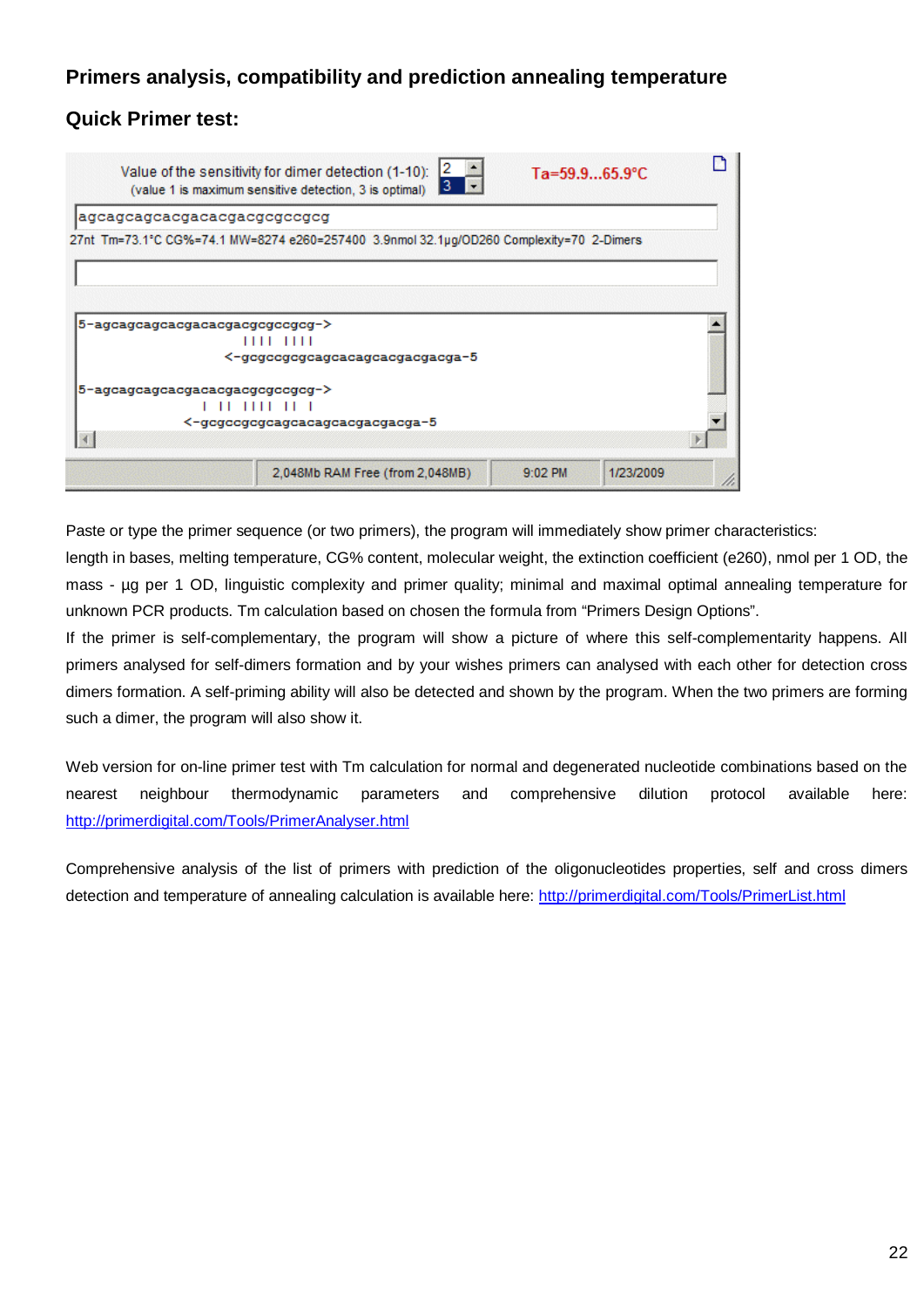# **Primers analysis, compatibility and prediction annealing temperature**

# **Quick Primer test:**

|                                 | 2<br>Value of the sensitivity for dimer detection (1-10):<br>з.<br>(value 1 is maximum sensitive detection, 3 is optimal) | $Ta = 59.965.9^{\circ}C$ |           |
|---------------------------------|---------------------------------------------------------------------------------------------------------------------------|--------------------------|-----------|
| agcagcagcacgacacgacgcgccgcg     |                                                                                                                           |                          |           |
|                                 | 27nt Tm=73.1°C CG%=74.1 MW=8274 e260=257400 3.9nmol 32.1µg/OD260 Complexity=70 2-Dimers                                   |                          |           |
| 5-agcagcagcacgacacgacgcgccgcg-> |                                                                                                                           |                          |           |
|                                 | 1111 1111<br><-gcgccgcgcagcacagcacgacgacga-5                                                                              |                          |           |
| 5-agcagcagcacgacacgacgcgccgcg-> | , ,, ,,,, ,, ,<br><-gcgccgcgcagcacagcacgacgacga-5                                                                         |                          |           |
|                                 |                                                                                                                           |                          |           |
|                                 | 2,048Mb RAM Free (from 2,048MB)                                                                                           | $9:02$ PM                | 1/23/2009 |

Paste or type the primer sequence (or two primers), the program will immediately show primer characteristics:

length in bases, melting temperature, CG% content, molecular weight, the extinction coefficient (e260), nmol per 1 OD, the mass - µg per 1 OD, linguistic complexity and primer quality; minimal and maximal optimal annealing temperature for unknown PCR products. Tm calculation based on chosen the formula from "Primers Design Options".

If the primer is self-complementary, the program will show a picture of where this self-complementarity happens. All primers analysed for self-dimers formation and by your wishes primers can analysed with each other for detection cross dimers formation. A self-priming ability will also be detected and shown by the program. When the two primers are forming such a dimer, the program will also show it.

Web version for on-line primer test with Tm calculation for normal and degenerated nucleotide combinations based on the nearest neighbour thermodynamic parameters and comprehensive dilution protocol available here: http://primerdigital.com/Tools/PrimerAnalyser.html

Comprehensive analysis of the list of primers with prediction of the oligonucleotides properties, self and cross dimers detection and temperature of annealing calculation is available here: http://primerdigital.com/Tools/PrimerList.html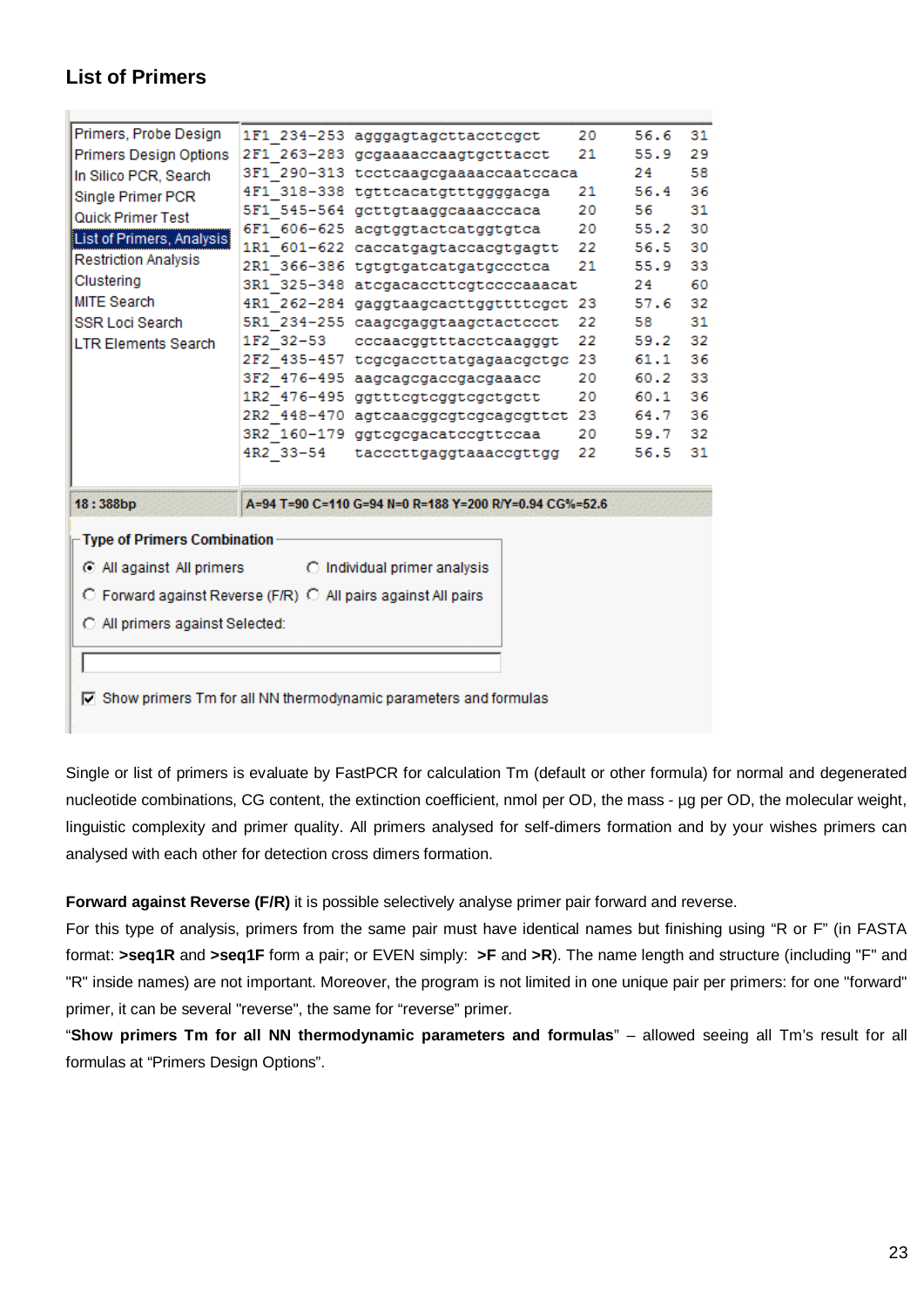# **List of Primers**

H.

| Primers, Probe Design                                                     |           | 1F1 234-253 agggagtagcttacctcgct                       | 20 | 56.6 | 31  |
|---------------------------------------------------------------------------|-----------|--------------------------------------------------------|----|------|-----|
| <b>Primers Design Options</b>                                             |           | 2F1 263-283 gcgaaaaccaagtgcttacct                      | 21 | 55.9 | 29. |
| In Silico PCR, Search                                                     |           | 3F1 290-313 tectcaagegaaaaccaatecaca                   |    | 24   | 58  |
| Single Primer PCR                                                         |           | 4F1 318-338 tgttcacatgtttggggacga                      | 21 | 56.4 | 36  |
| Quick Primer Test                                                         |           | 5F1 545-564 gettgtaaggcaaacccaca                       | 20 | 56   | 31  |
| List of Primers, Analysis                                                 |           | 6F1 606-625 acgtggtactcatggtgtca                       | 20 | 55.2 | 30  |
|                                                                           |           | 1R1 601-622 caccatgagtaccacgtgagtt                     | 22 | 56.5 | 30  |
| <b>Restriction Analysis</b>                                               |           | 2R1 366-386 tgtgtgatcatgatgccctca                      | 21 | 55.9 | 33  |
| Clustering                                                                |           | 3R1 325-348 atcgacaccttcgtccccaaacat                   |    | 24   | 60  |
| <b>MITE Search</b>                                                        |           | 4R1 262-284 gaggtaagcacttggttttcgct 23                 |    | 57.6 | 32  |
| <b>SSR Loci Search</b>                                                    |           | 5R1 234-255 caagcgaggtaagctactccct                     | 22 | 58   | 31  |
| <b>LTR Elements Search</b>                                                |           | 1F2 32-53 cccaacggtttacctcaagggt                       | 22 | 59.2 | 32  |
|                                                                           |           | 2F2 435-457 tcgcgaccttatgagaacgctgc 23                 |    | 61.1 | 36  |
|                                                                           |           | 3F2 476-495 aagcagcgaccgacgaaacc                       | 20 | 60.2 | 33  |
|                                                                           |           | 1R2 476-495 ggtttcgtcggtcgctgctt                       | 20 | 60.1 | 36  |
|                                                                           |           | 2R2 448-470 agtcaacggcgtcgcagcgttct 23                 |    | 64.7 | 36  |
|                                                                           |           | 3R2 160-179 ggtcgcgacatccgttccaa                       | 20 | 59.7 | 32. |
|                                                                           | 4R2 33-54 | tacccttgaggtaaaccgttgg                                 | 22 | 56.5 | 31  |
|                                                                           |           |                                                        |    |      |     |
| 18:388bp                                                                  |           | A=94 T=90 C=110 G=94 N=0 R=188 Y=200 R/Y=0.94 CG%=52.6 |    |      |     |
| <b>Type of Primers Combination</b>                                        |           |                                                        |    |      |     |
| $\odot$ All against All primers                                           |           | C Individual primer analysis                           |    |      |     |
| $\circ$ Forward against Reverse (F/R) $\circ$ All pairs against All pairs |           |                                                        |    |      |     |
|                                                                           |           |                                                        |    |      |     |
| O All primers against Selected:                                           |           |                                                        |    |      |     |
|                                                                           |           |                                                        |    |      |     |
|                                                                           |           |                                                        |    |      |     |
|                                                                           |           |                                                        |    |      |     |

☑ Show primers Tm for all NN thermodynamic parameters and formulas

Single or list of primers is evaluate by FastPCR for calculation Tm (default or other formula) for normal and degenerated nucleotide combinations, CG content, the extinction coefficient, nmol per OD, the mass - µg per OD, the molecular weight, linguistic complexity and primer quality. All primers analysed for self-dimers formation and by your wishes primers can analysed with each other for detection cross dimers formation.

**Forward against Reverse (F/R)** it is possible selectively analyse primer pair forward and reverse.

For this type of analysis, primers from the same pair must have identical names but finishing using "R or F" (in FASTA format: **>seq1R** and **>seq1F** form a pair; or EVEN simply: **>F** and **>R**). The name length and structure (including "F" and "R" inside names) are not important. Moreover, the program is not limited in one unique pair per primers: for one "forward" primer, it can be several "reverse", the same for "reverse" primer.

"**Show primers Tm for all NN thermodynamic parameters and formulas**" – allowed seeing all Tm's result for all formulas at "Primers Design Options".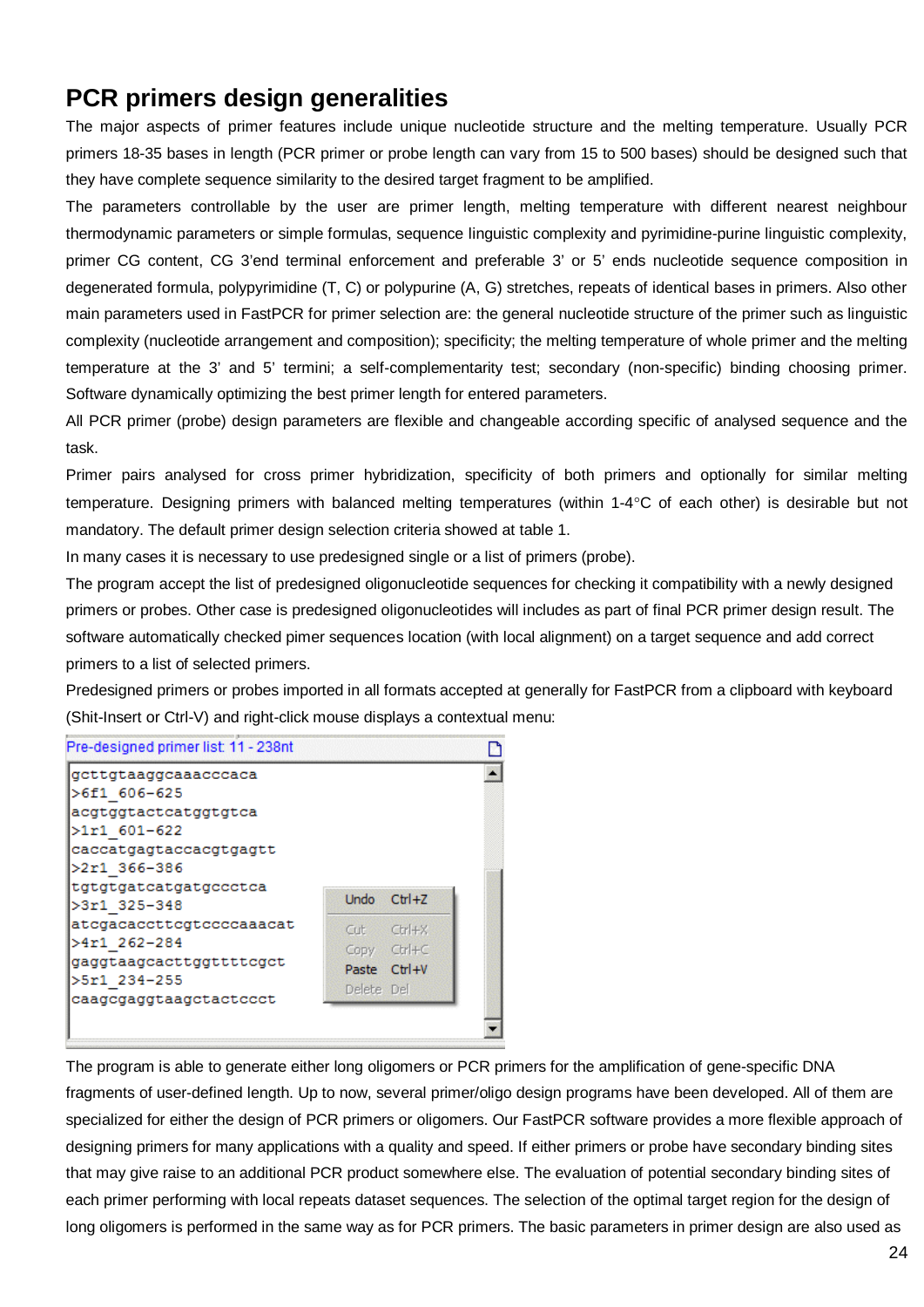# **PCR primers design generalities**

The major aspects of primer features include unique nucleotide structure and the melting temperature. Usually PCR primers 18-35 bases in length (PCR primer or probe length can vary from 15 to 500 bases) should be designed such that they have complete sequence similarity to the desired target fragment to be amplified.

The parameters controllable by the user are primer length, melting temperature with different nearest neighbour thermodynamic parameters or simple formulas, sequence linguistic complexity and pyrimidine-purine linguistic complexity, primer CG content, CG 3'end terminal enforcement and preferable 3' or 5' ends nucleotide sequence composition in degenerated formula, polypyrimidine (T, C) or polypurine (A, G) stretches, repeats of identical bases in primers. Also other main parameters used in FastPCR for primer selection are: the general nucleotide structure of the primer such as linguistic complexity (nucleotide arrangement and composition); specificity; the melting temperature of whole primer and the melting temperature at the 3' and 5' termini; a self-complementarity test; secondary (non-specific) binding choosing primer. Software dynamically optimizing the best primer length for entered parameters.

All PCR primer (probe) design parameters are flexible and changeable according specific of analysed sequence and the task.

Primer pairs analysed for cross primer hybridization, specificity of both primers and optionally for similar melting temperature. Designing primers with balanced melting temperatures (within 1-4°C of each other) is desirable but not mandatory. The default primer design selection criteria showed at table 1.

In many cases it is necessary to use predesigned single or a list of primers (probe).

The program accept the list of predesigned oligonucleotide sequences for checking it compatibility with a newly designed primers or probes. Other case is predesigned oligonucleotides will includes as part of final PCR primer design result. The software automatically checked pimer sequences location (with local alignment) on a target sequence and add correct primers to a list of selected primers.

Predesigned primers or probes imported in all formats accepted at generally for FastPCR from a clipboard with keyboard (Shit-Insert or Ctrl-V) and right-click mouse displays a contextual menu:



The program is able to generate either long oligomers or PCR primers for the amplification of gene-specific DNA fragments of user-defined length. Up to now, several primer/oligo design programs have been developed. All of them are specialized for either the design of PCR primers or oligomers. Our FastPCR software provides a more flexible approach of designing primers for many applications with a quality and speed. If either primers or probe have secondary binding sites that may give raise to an additional PCR product somewhere else. The evaluation of potential secondary binding sites of each primer performing with local repeats dataset sequences. The selection of the optimal target region for the design of long oligomers is performed in the same way as for PCR primers. The basic parameters in primer design are also used as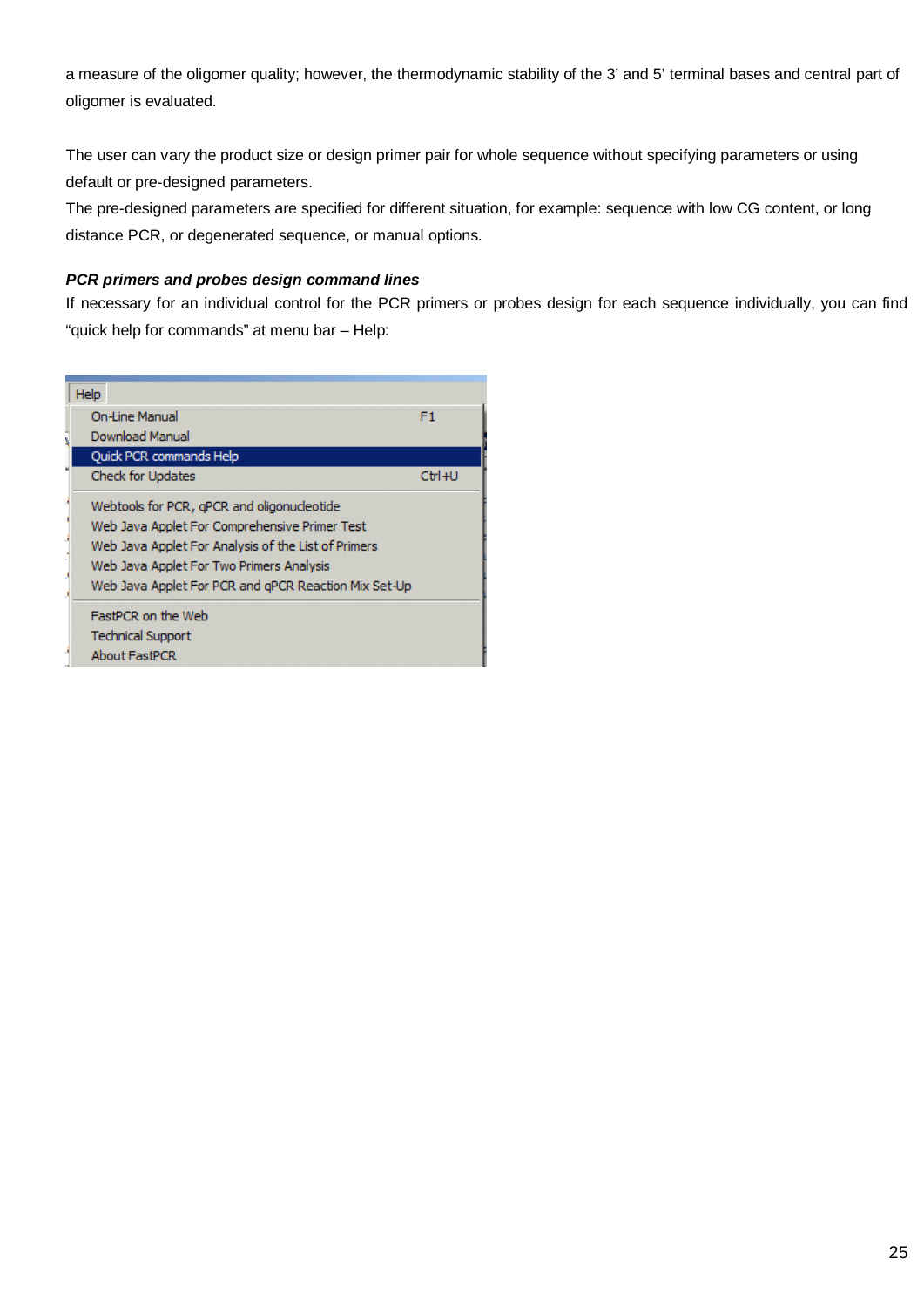a measure of the oligomer quality; however, the thermodynamic stability of the 3' and 5' terminal bases and central part of oligomer is evaluated.

The user can vary the product size or design primer pair for whole sequence without specifying parameters or using default or pre-designed parameters.

The pre-designed parameters are specified for different situation, for example: sequence with low CG content, or long distance PCR, or degenerated sequence, or manual options.

#### *PCR primers and probes design command lines*

If necessary for an individual control for the PCR primers or probes design for each sequence individually, you can find "quick help for commands" at menu bar – Help:

| Help                                                 |          |
|------------------------------------------------------|----------|
| <b>On-Line Manual</b>                                | F1       |
| Download Manual                                      |          |
| <b>Ouick PCR commands Help</b>                       |          |
| <b>Check for Updates</b>                             | $Ctr1+U$ |
| Webtools for PCR, gPCR and oligonucleotide           |          |
| Web Java Applet For Comprehensive Primer Test        |          |
| Web Java Applet For Analysis of the List of Primers  |          |
| Web Java Applet For Two Primers Analysis             |          |
| Web Java Applet For PCR and gPCR Reaction Mix Set-Up |          |
| FastPCR on the Web                                   |          |
| <b>Technical Support</b>                             |          |
| <b>About FastPCR</b>                                 |          |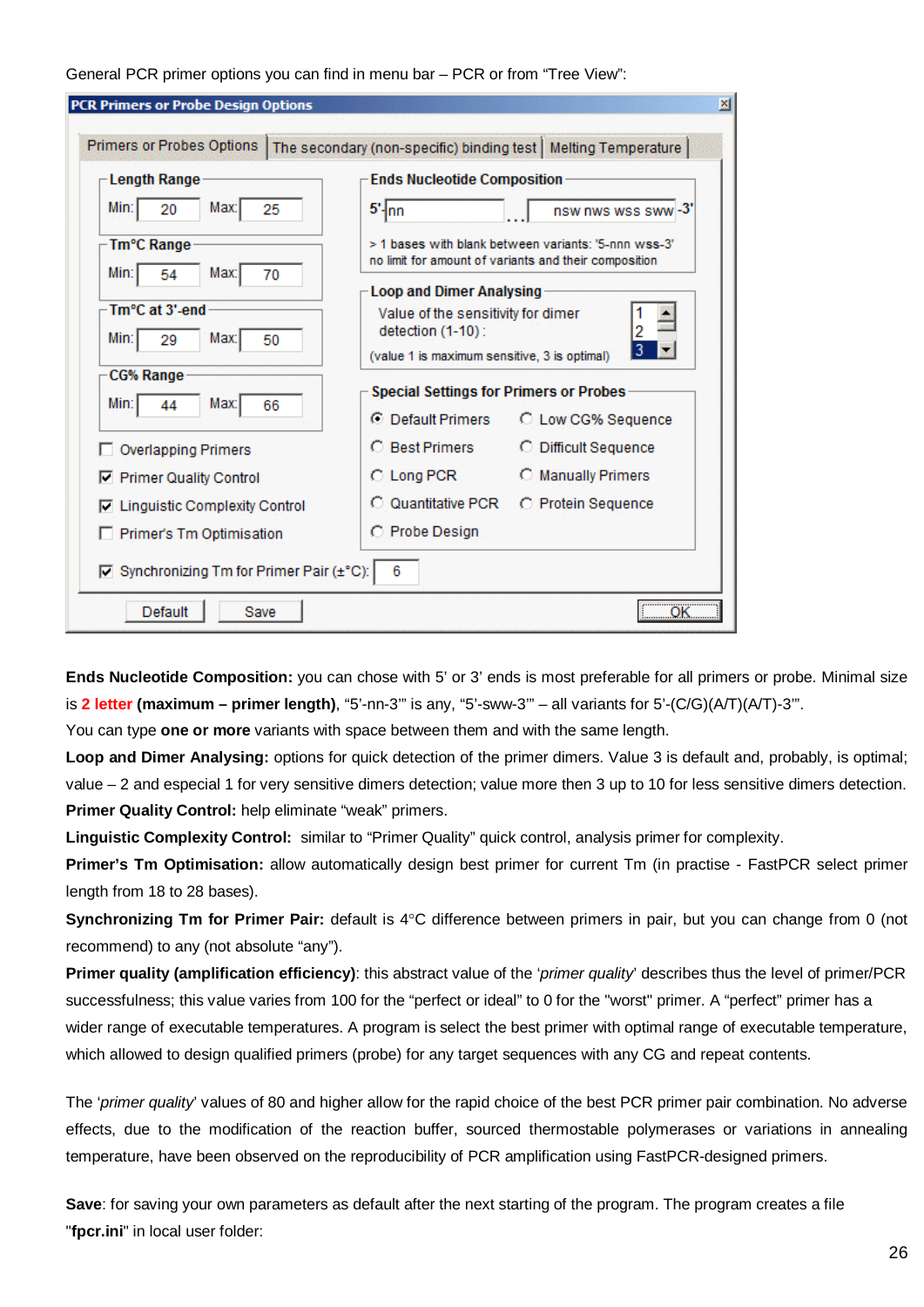General PCR primer options you can find in menu bar – PCR or from "Tree View":

| <b>Primers or Probes Options</b>          |                                                                   | The secondary (non-specific) binding test   Melting Temperature                                               |
|-------------------------------------------|-------------------------------------------------------------------|---------------------------------------------------------------------------------------------------------------|
| <b>Length Range</b>                       | <b>Ends Nucleotide Composition</b>                                |                                                                                                               |
| Min:<br>Max:<br>20<br>25                  | $5'$ <sub>nn</sub>                                                | nsw nws wss sww -3'                                                                                           |
| Tm°C Range<br>Min:<br>Max:<br>54<br>70    |                                                                   | > 1 bases with blank between variants: '5-nnn wss-3'<br>no limit for amount of variants and their composition |
|                                           | <b>Loop and Dimer Analysing</b>                                   |                                                                                                               |
| Tm°C at 3'-end                            | Value of the sensitivity for dimer                                |                                                                                                               |
| Min:<br>Max:<br>29<br>50                  | detection (1-10):<br>(value 1 is maximum sensitive, 3 is optimal) | 2                                                                                                             |
| <b>CG% Range</b>                          |                                                                   |                                                                                                               |
| Min:<br>Max:<br>66<br>44                  | Special Settings for Primers or Probes                            |                                                                                                               |
|                                           | C Default Primers                                                 | C Low CG% Sequence                                                                                            |
| <b>Overlapping Primers</b>                | Best Primers<br>0                                                 | O Difficult Sequence                                                                                          |
| Ⅳ Primer Quality Control                  | $\circ$ Long PCR $\circ$                                          | <b>C</b> Manually Primers                                                                                     |
| <b>Linguistic Complexity Control</b>      | <b>Quantitative PCR</b>                                           | C Protein Sequence                                                                                            |
| Primer's Tm Optimisation                  | C Probe Design                                                    |                                                                                                               |
| ☑ Synchronizing Tm for Primer Pair (±°C): | 6                                                                 |                                                                                                               |

**Ends Nucleotide Composition:** you can chose with 5' or 3' ends is most preferable for all primers or probe. Minimal size is **2 letter (maximum – primer length)**, "5'-nn-3'" is any, "5'-sww-3'" – all variants for 5'-(C/G)(A/T)(A/T)-3'".

You can type **one or more** variants with space between them and with the same length.

**Loop and Dimer Analysing:** options for quick detection of the primer dimers. Value 3 is default and, probably, is optimal; value – 2 and especial 1 for very sensitive dimers detection; value more then 3 up to 10 for less sensitive dimers detection. **Primer Quality Control:** help eliminate "weak" primers.

**Linguistic Complexity Control:** similar to "Primer Quality" quick control, analysis primer for complexity.

**Primer's Tm Optimisation:** allow automatically design best primer for current Tm (in practise - FastPCR select primer length from 18 to 28 bases).

**Synchronizing Tm for Primer Pair:** default is 4°C difference between primers in pair, but you can change from 0 (not recommend) to any (not absolute "any").

**Primer quality (amplification efficiency)**: this abstract value of the '*primer quality*' describes thus the level of primer/PCR successfulness; this value varies from 100 for the "perfect or ideal" to 0 for the "worst" primer. A "perfect" primer has a wider range of executable temperatures. A program is select the best primer with optimal range of executable temperature, which allowed to design qualified primers (probe) for any target sequences with any CG and repeat contents.

The '*primer quality*' values of 80 and higher allow for the rapid choice of the best PCR primer pair combination. No adverse effects, due to the modification of the reaction buffer, sourced thermostable polymerases or variations in annealing temperature, have been observed on the reproducibility of PCR amplification using FastPCR-designed primers.

**Save**: for saving your own parameters as default after the next starting of the program. The program creates a file "**fpcr.ini**" in local user folder: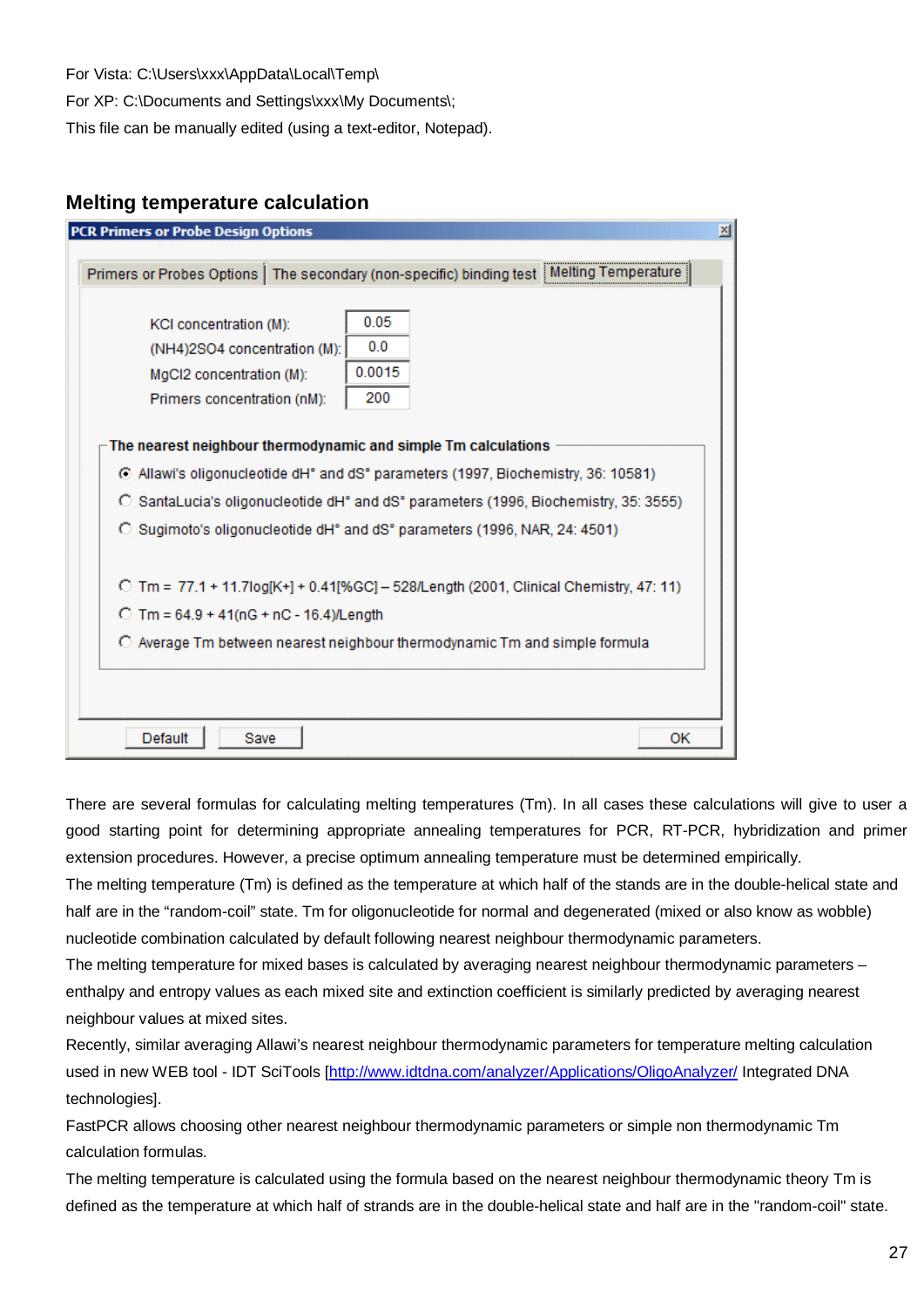For Vista: C:\Users\xxx\AppData\Local\Temp\

For XP: C:\Documents and Settings\xxx\My Documents\;

This file can be manually edited (using a text-editor, Notepad).

### **Melting temperature calculation**

| <b>PCR Primers or Probe Design Options</b>                                                                        |                                                                                          |
|-------------------------------------------------------------------------------------------------------------------|------------------------------------------------------------------------------------------|
|                                                                                                                   | Primers or Probes Options   The secondary (non-specific) binding test   Melting Temperat |
| KCI concentration (M):<br>(NH4)2SO4 concentration (M):<br>MgCl2 concentration (M):<br>Primers concentration (nM): | 0.05<br>0.0<br>0.0015<br>200                                                             |
|                                                                                                                   | The nearest neighbour thermodynamic and simple Tm calculations                           |
|                                                                                                                   | C Allawi's oligonucleotide dH° and dS° parameters (1997, Biochemistry, 36: 10581)        |
|                                                                                                                   | C SantaLucia's oligonucleotide dH° and dS° parameters (1996, Biochemistry, 35: 3555)     |
|                                                                                                                   | C Sugimoto's oligonucleotide dH° and dS° parameters (1996, NAR, 24: 4501)                |
| $C$ Tm = 64.9 + 41(nG + nC - 16.4)/Length                                                                         | C Tm = 77.1 + 11.7log[K+] + 0.41[%GC] - 528/Length (2001, Clinical Chemistry, 47: 11)    |
|                                                                                                                   | C Average Tm between nearest neighbour thermodynamic Tm and simple formula               |
|                                                                                                                   |                                                                                          |
| Default<br>Save                                                                                                   | 0K                                                                                       |

There are several formulas for calculating melting temperatures (Tm). In all cases these calculations will give to user a good starting point for determining appropriate annealing temperatures for PCR, RT-PCR, hybridization and primer extension procedures. However, a precise optimum annealing temperature must be determined empirically.

The melting temperature (Tm) is defined as the temperature at which half of the stands are in the double-helical state and half are in the "random-coil" state. Tm for oligonucleotide for normal and degenerated (mixed or also know as wobble) nucleotide combination calculated by default following nearest neighbour thermodynamic parameters.

The melting temperature for mixed bases is calculated by averaging nearest neighbour thermodynamic parameters – enthalpy and entropy values as each mixed site and extinction coefficient is similarly predicted by averaging nearest neighbour values at mixed sites.

Recently, similar averaging Allawi's nearest neighbour thermodynamic parameters for temperature melting calculation used in new WEB tool - IDT SciTools [[http://www.idtdna.com/analyzer/Applications/OligoAnalyzer/ I](http://www.idtdna.com/analyzer/Applications/OligoAnalyzer/)ntegrated DNA technologies].

FastPCR allows choosing other nearest neighbour thermodynamic parameters or simple non thermodynamic Tm calculation formulas.

The melting temperature is calculated using the formula based on the nearest neighbour thermodynamic theory Tm is defined as the temperature at which half of strands are in the double-helical state and half are in the "random-coil" state.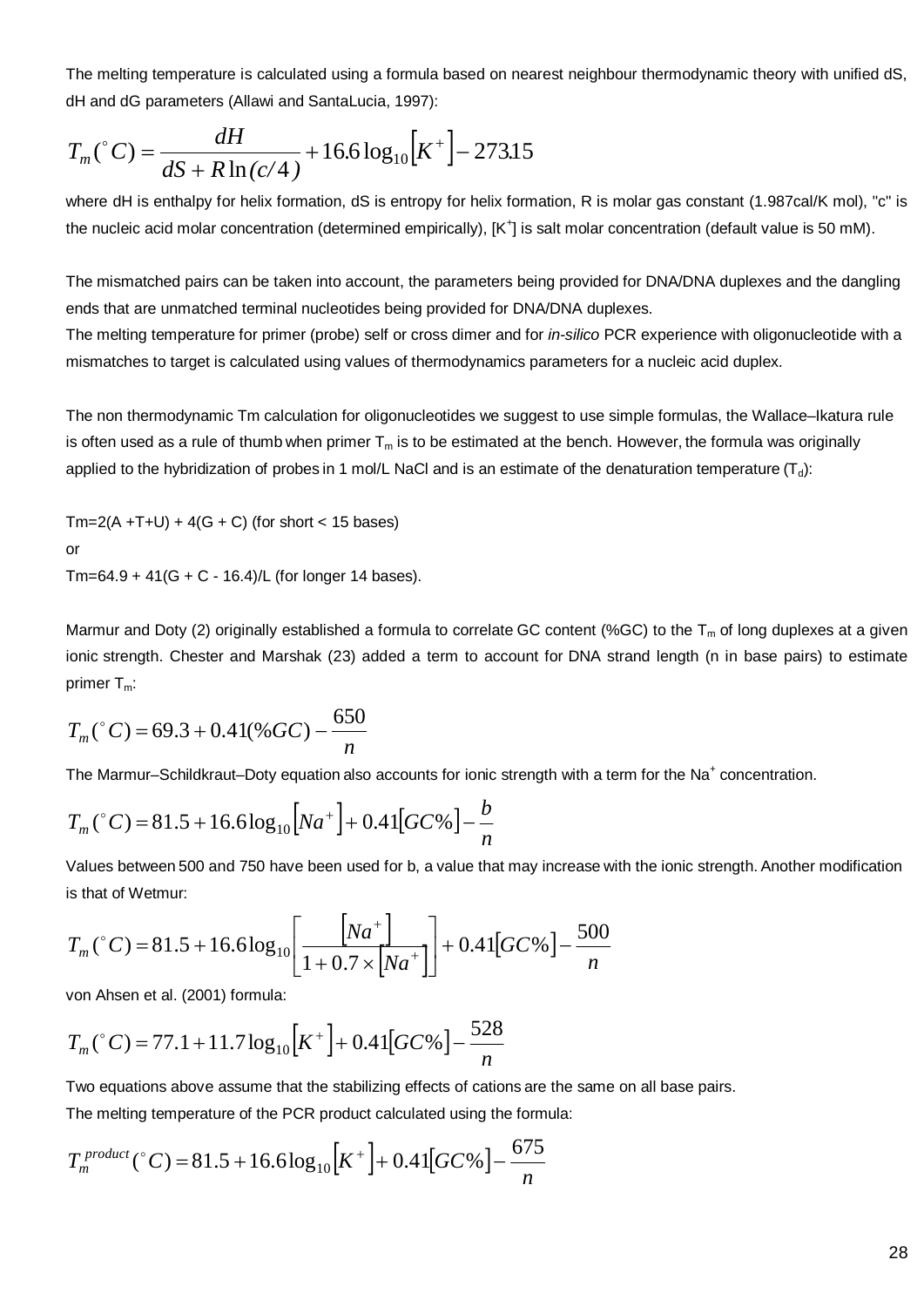The melting temperature is calculated using a formula based on nearest neighbour thermodynamic theory with unified dS, dH and dG parameters (Allawi and SantaLucia, 1997):

$$
T_m(^{\circ}C) = \frac{dH}{dS + R\ln(c/4)} + 16.6\log_{10}\left[K^{+}\right] - 273.15
$$

where dH is enthalpy for helix formation, dS is entropy for helix formation, R is molar gas constant (1.987cal/K mol), "c" is the nucleic acid molar concentration (determined empirically), [K<sup>+</sup>] is salt molar concentration (default value is 50 mM).

The mismatched pairs can be taken into account, the parameters being provided for DNA/DNA duplexes and the dangling ends that are unmatched terminal nucleotides being provided for DNA/DNA duplexes.

The melting temperature for primer (probe) self or cross dimer and for *in-silico* PCR experience with oligonucleotide with a mismatches to target is calculated using values of thermodynamics parameters for a nucleic acid duplex.

The non thermodynamic Tm calculation for oligonucleotides we suggest to use simple formulas, the Wallace–Ikatura rule is often used as a rule of thumb when primer  $T_m$  is to be estimated at the bench. However, the formula was originally applied to the hybridization of probes in 1 mol/L NaCl and is an estimate of the denaturation temperature  $(T_d)$ :

 $Tm=2(A + T+U) + 4(G + C)$  (for short < 15 bases) or

Tm=64.9 + 41(G + C - 16.4)/L (for longer 14 bases).

Marmur and Doty ([2\)](http://www.clinchem.org/cgi/content/full/47/11/1956#R2%23R2) originally established a formula to correlate GC content (%GC) to the  $T_m$  of long duplexes at a given ionic strength. Chester and Marshak ([23\)](http://www.clinchem.org/cgi/content/full/47/11/1956#R23%23R23) added a term to account for DNA strand length (n in base pairs) to estimate primer  $T_m$ :

$$
T_m(^{\circ}C) = 69.3 + 0.41(^{\circ}\!\!\!\!\!/\,\mathit{GC}) - \frac{650}{n}
$$

The Marmur–Schildkraut–Doty equation also accounts for ionic strength with a term for the Na<sup>+</sup> concentration.

$$
T_m(^{\circ}C) = 81.5 + 16.6 \log_{10} \left[ Na^+ \right] + 0.41 \left[ GC\% \right] - \frac{b}{n}
$$

Values between 500 and 750 have been used for b, a value that may increase with the ionic strength. Another modification is that of Wetmur:

$$
T_m(^{\circ}C) = 81.5 + 16.6 \log_{10} \left[ \frac{Na^+}{1 + 0.7 \times Na^+} \right] + 0.41 \left[ GC\% \right] - \frac{500}{n}
$$

von Ahsen et al. (2001) formula:

$$
T_m(^{\circ}C) = 77.1 + 11.7 \log_{10} \left[ K^+ \right] + 0.41 \left[ GC\% \right] - \frac{528}{n}
$$

Two equations above assume that the stabilizing effects of cations are the same on all base pairs.

The melting temperature of the PCR product calculated using the formula:

$$
T_m^{product}(^{\circ}C) = 81.5 + 16.6 \log_{10}[K^+] + 0.41[GC\%] - \frac{675}{n}
$$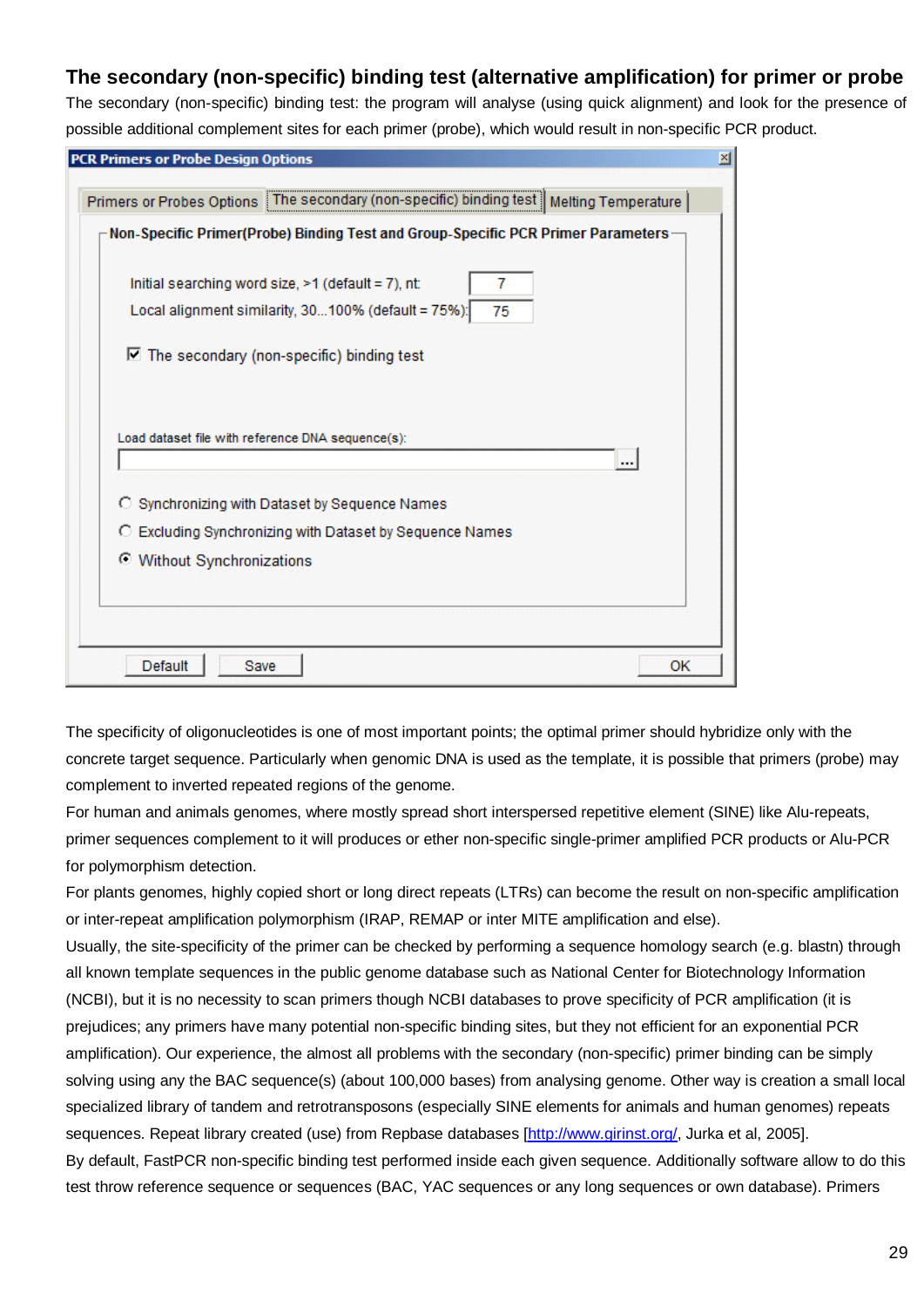# **The secondary (non-specific) binding test (alternative amplification) for primer or probe**

The secondary (non-specific) binding test: the program will analyse (using quick alignment) and look for the presence of possible additional complement sites for each primer (probe), which would result in non-specific PCR product.

| Primers or Probes Options The secondary (non-specific) binding test   Melting Temperature                                  |  |
|----------------------------------------------------------------------------------------------------------------------------|--|
| Non-Specific Primer(Probe) Binding Test and Group-Specific PCR Primer Parameters -                                         |  |
| Initial searching word size, $\geq 1$ (default = 7), nt:<br>7<br>Local alignment similarity, 30100% (default = 75%):<br>75 |  |
| $\nabla$ The secondary (non-specific) binding test                                                                         |  |
|                                                                                                                            |  |
| Load dataset file with reference DNA sequence(s):<br><br>C Synchronizing with Dataset by Sequence Names                    |  |
| C Excluding Synchronizing with Dataset by Sequence Names                                                                   |  |
| <b>C</b> Without Synchronizations                                                                                          |  |
|                                                                                                                            |  |

The specificity of oligonucleotides is one of most important points; the optimal primer should hybridize only with the concrete target sequence. Particularly when genomic DNA is used as the template, it is possible that primers (probe) may complement to inverted repeated regions of the genome.

For human and animals genomes, where mostly spread short interspersed repetitive element (SINE) like Alu-repeats, primer sequences complement to it will produces or ether non-specific single-primer amplified PCR products or Alu-PCR for polymorphism detection.

For plants genomes, highly copied short or long direct repeats (LTRs) can become the result on non-specific amplification or inter-repeat amplification polymorphism (IRAP, REMAP or inter MITE amplification and else).

Usually, the site-specificity of the primer can be checked by performing a sequence homology search (e.g. blastn) through all known template sequences in the public genome database such as National Center for Biotechnology Information (NCBI), but it is no necessity to scan primers though NCBI databases to prove specificity of PCR amplification (it is prejudices; any primers have many potential non-specific binding sites, but they not efficient for an exponential PCR amplification). Our experience, the almost all problems with the secondary (non-specific) primer binding can be simply solving using any the BAC sequence(s) (about 100,000 bases) from analysing genome. Other way is creation a small local specialized library of tandem and retrotransposons (especially SINE elements for animals and human genomes) repeats sequences. Repeat library created (use) from Repbase databases [[http://www.girinst.org/,](http://www.girinst.org/) Jurka et al, 2005]. By default, FastPCR non-specific binding test performed inside each given sequence. Additionally software allow to do this test throw reference sequence or sequences (BAC, YAC sequences or any long sequences or own database). Primers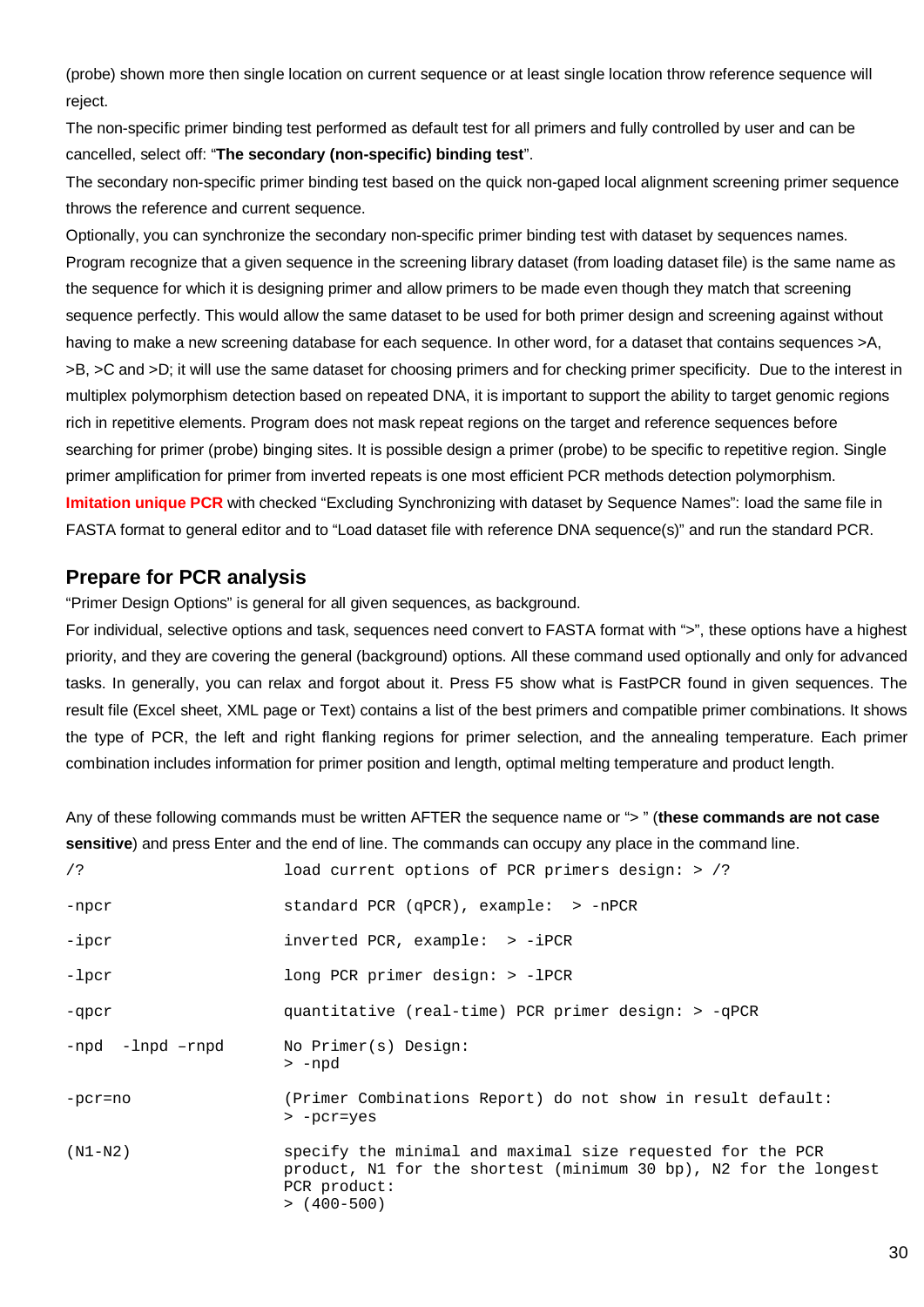(probe) shown more then single location on current sequence or at least single location throw reference sequence will reject.

The non-specific primer binding test performed as default test for all primers and fully controlled by user and can be cancelled, select off: "**The secondary (non-specific) binding test**".

The secondary non-specific primer binding test based on the quick non-gaped local alignment screening primer sequence throws the reference and current sequence.

Optionally, you can synchronize the secondary non-specific primer binding test with dataset by sequences names. Program recognize that a given sequence in the screening library dataset (from loading dataset file) is the same name as the sequence for which it is designing primer and allow primers to be made even though they match that screening sequence perfectly. This would allow the same dataset to be used for both primer design and screening against without having to make a new screening database for each sequence. In other word, for a dataset that contains sequences >A, >B, >C and >D; it will use the same dataset for choosing primers and for checking primer specificity. Due to the interest in multiplex polymorphism detection based on repeated DNA, it is important to support the ability to target genomic regions rich in repetitive elements. Program does not mask repeat regions on the target and reference sequences before searching for primer (probe) binging sites. It is possible design a primer (probe) to be specific to repetitive region. Single primer amplification for primer from inverted repeats is one most efficient PCR methods detection polymorphism. **Imitation unique PCR** with checked "Excluding Synchronizing with dataset by Sequence Names": load the same file in FASTA format to general editor and to "Load dataset file with reference DNA sequence(s)" and run the standard PCR.

### **Prepare for PCR analysis**

"Primer Design Options" is general for all given sequences, as background.

For individual, selective options and task, sequences need convert to FASTA format with ">", these options have a highest priority, and they are covering the general (background) options. All these command used optionally and only for advanced tasks. In generally, you can relax and forgot about it. Press F5 show what is FastPCR found in given sequences. The result file (Excel sheet, XML page or Text) contains a list of the best primers and compatible primer combinations. It shows the type of PCR, the left and right flanking regions for primer selection, and the annealing temperature. Each primer combination includes information for primer position and length, optimal melting temperature and product length.

Any of these following commands must be written AFTER the sequence name or "> " (**these commands are not case sensitive**) and press Enter and the end of line. The commands can occupy any place in the command line.

| load current options of PCR primers design: > /?                                                                                                                |
|-----------------------------------------------------------------------------------------------------------------------------------------------------------------|
| standard PCR (qPCR), example: > -nPCR                                                                                                                           |
| $inverted PCR, example: > -iPCR$                                                                                                                                |
| long PCR primer design: $>$ -lPCR                                                                                                                               |
| quantitative (real-time) PCR primer design: > -qPCR                                                                                                             |
| No Primer(s) Design:<br>> -npd                                                                                                                                  |
| (Primer Combinations Report) do not show in result default:<br>> -pcr=yes                                                                                       |
| specify the minimal and maximal size requested for the PCR<br>product, N1 for the shortest (minimum 30 bp), N2 for the longest<br>PCR product:<br>$>$ (400-500) |
|                                                                                                                                                                 |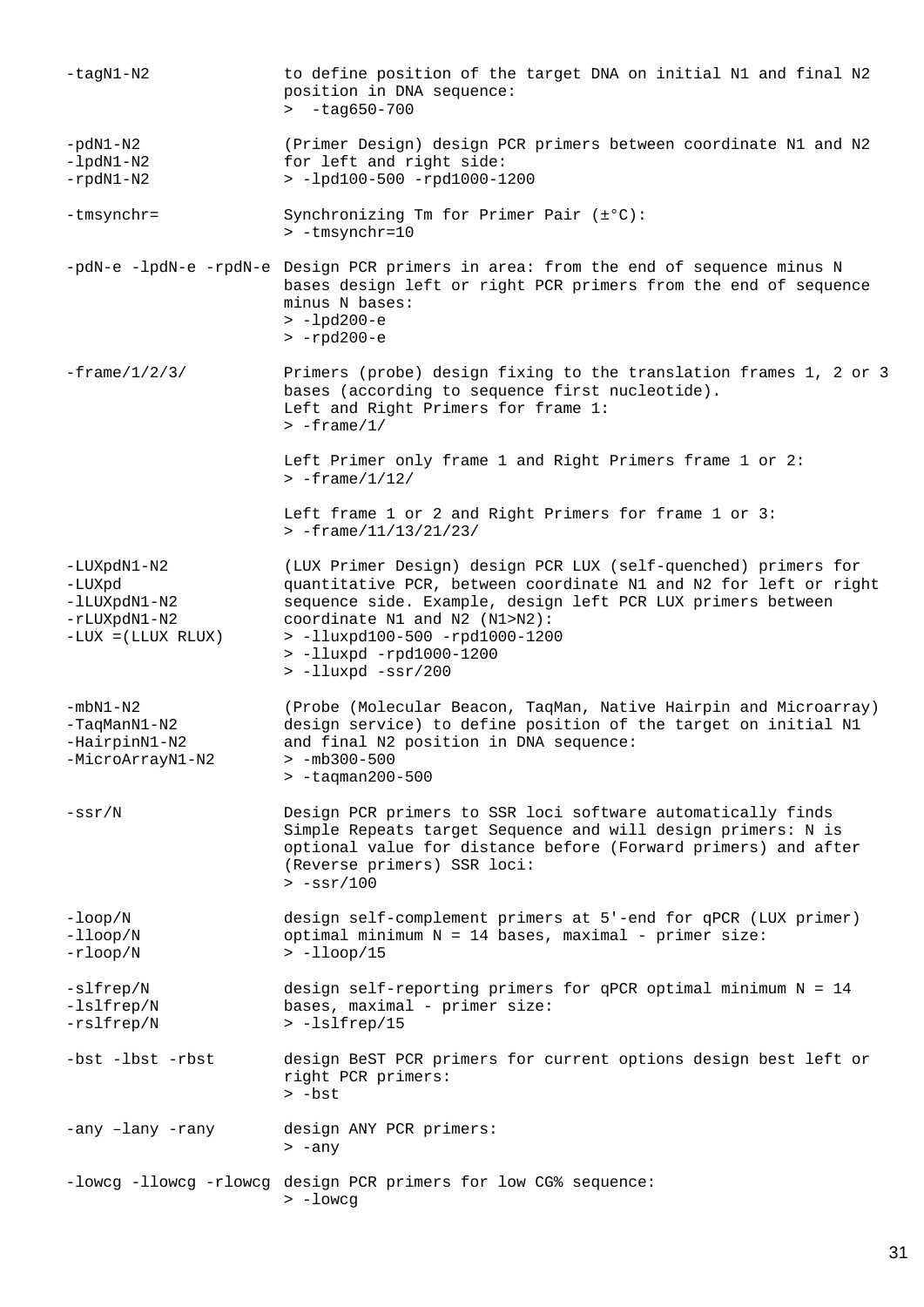| $-taqN1-N2$                                                                   | to define position of the target DNA on initial N1 and final N2<br>position in DNA sequence:<br>$\frac{\text{+}}{\text{+}}$ -tag650-700                                                                                                                                                                                   |
|-------------------------------------------------------------------------------|---------------------------------------------------------------------------------------------------------------------------------------------------------------------------------------------------------------------------------------------------------------------------------------------------------------------------|
| $-pdN1-N2$<br>$-lpdN1-N2$<br>$-rpdN1-N2$                                      | (Primer Design) design PCR primers between coordinate N1 and N2<br>for left and right side:<br>> -lpd100-500 -rpd1000-1200                                                                                                                                                                                                |
| -tmsynchr=                                                                    | Synchronizing Tm for Primer Pair (±°C):<br>> -tmsynchr=10                                                                                                                                                                                                                                                                 |
|                                                                               | -pdN-e -lpdN-e -rpdN-e Design PCR primers in area: from the end of sequence minus N<br>bases design left or right PCR primers from the end of sequence<br>minus N bases:<br>$> -lpd200 - e$<br>$>$ -rpd200-e                                                                                                              |
| $-f$ rame/ $1/2/3/$                                                           | Primers (probe) design fixing to the translation frames 1, 2 or 3<br>bases (according to sequence first nucleotide).<br>Left and Right Primers for frame 1:<br>$> -$ frame/1/                                                                                                                                             |
|                                                                               | Left Primer only frame 1 and Right Primers frame 1 or 2:<br>$> -$ frame/1/12/                                                                                                                                                                                                                                             |
|                                                                               | Left frame 1 or 2 and Right Primers for frame 1 or 3:<br>$> -$ frame/11/13/21/23/                                                                                                                                                                                                                                         |
| -LUXpdN1-N2<br>-LUXpd<br>-lLUXpdN1-N2<br>-rLUXpdN1-N2<br>$-LUX = (LLUX RLUX)$ | (LUX Primer Design) design PCR LUX (self-quenched) primers for<br>quantitative PCR, between coordinate N1 and N2 for left or right<br>sequence side. Example, design left PCR LUX primers between<br>coordinate N1 and N2 (N1>N2):<br>> -11uxpd100-500 -rpd1000-1200<br>> -11uxpd -rpd1000-1200<br>$>$ -lluxpd $-ssr/200$ |
| $-mbN1-N2$<br>-TaqManN1-N2<br>-HairpinN1-N2<br>-MicroArrayN1-N2               | (Probe (Molecular Beacon, TaqMan, Native Hairpin and Microarray)<br>design service) to define position of the target on initial N1<br>and final N2 position in DNA sequence:<br>$> -mb300 - 500$<br>$> -t$ aqman200-500                                                                                                   |
| $-ssr/N$                                                                      | Design PCR primers to SSR loci software automatically finds<br>Simple Repeats target Sequence and will design primers: N is<br>optional value for distance before (Forward primers) and after<br>(Reverse primers) SSR loci:<br>$> -ssr/100$                                                                              |
| $-$ loop/ $N$<br>$-11$ oop/N<br>$-r\text{loop}/N$                             | design self-complement primers at 5'-end for qPCR (LUX primer)<br>optimal minimum $N = 14$ bases, maximal - primer size:<br>$>$ -11 $\text{loop}/15$                                                                                                                                                                      |
| -slfrep/N<br>$-lslfrep/N$<br>-rslfrep/N                                       | design self-reporting primers for qPCR optimal minimum $N = 14$<br>bases, maximal - primer size:<br>> -lslfrep/15                                                                                                                                                                                                         |
| -bst -lbst -rbst                                                              | design BeST PCR primers for current options design best left or<br>right PCR primers:<br>$>$ -bst                                                                                                                                                                                                                         |
| -any -lany -rany                                                              | design ANY PCR primers:<br>$> -any$                                                                                                                                                                                                                                                                                       |
| -lowcg -llowcg -rlowcg                                                        | design PCR primers for low CG% sequence:<br>$> -$ lowcg                                                                                                                                                                                                                                                                   |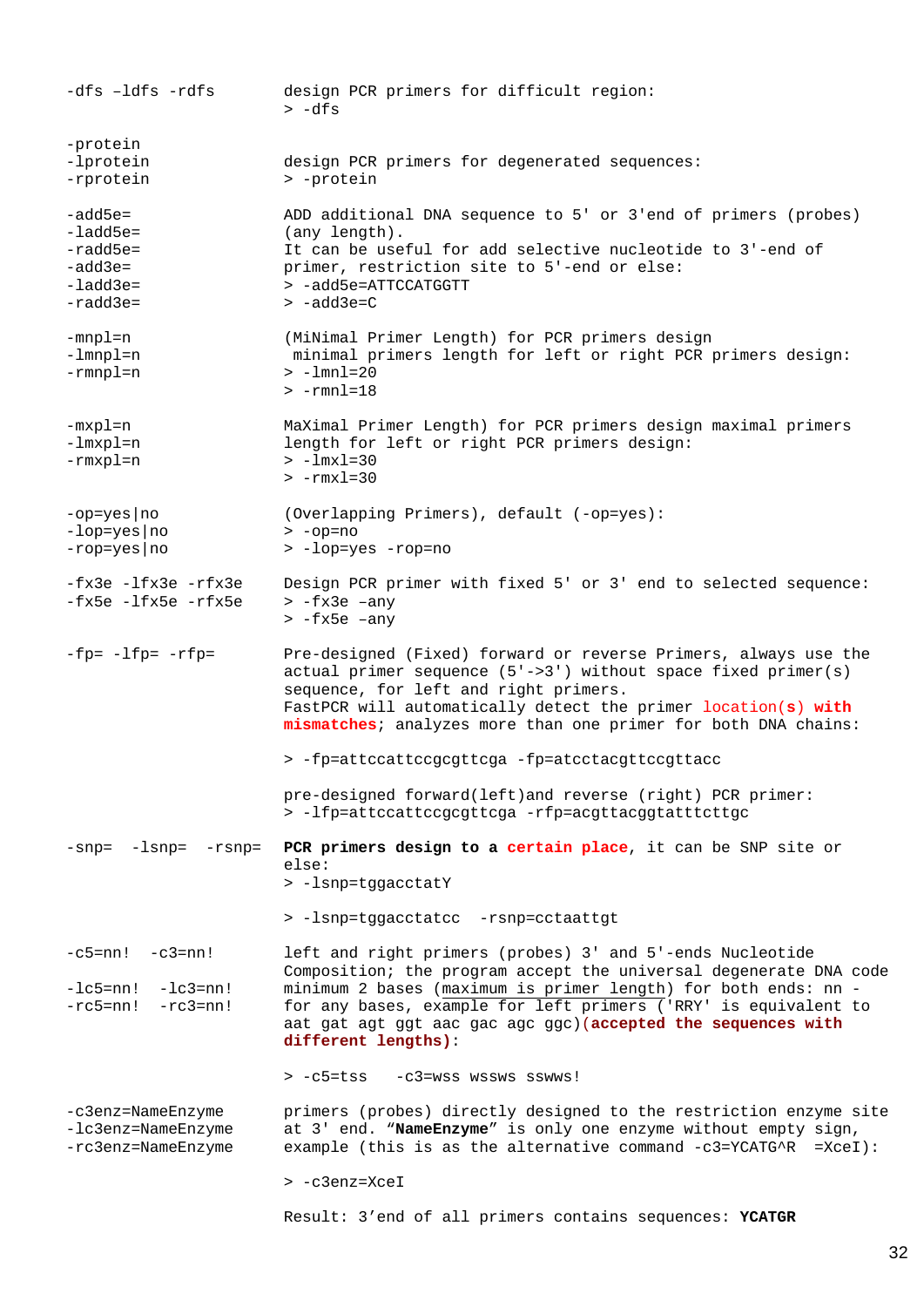-dfs –ldfs -rdfs design PCR primers for difficult region: > -dfs -protein -lprotein -rprotein design PCR primers for degenerated sequences: > -protein -add5e= -ladd5e= -radd5e= -add3e= -ladd3e= -radd3e= ADD additional DNA sequence to 5' or 3'end of primers (probes) (any length). It can be useful for add selective nucleotide to 3'-end of primer, restriction site to 5'-end or else: > -add5e=ATTCCATGGTT > -add3e=C -mnpl=n -lmnpl=n -rmnpl=n (MiNimal Primer Length) for PCR primers design minimal primers length for left or right PCR primers design: > -lmnl=20 > -rmnl=18 -mxpl=n -lmxpl=n -rmxpl=n MaXimal Primer Length) for PCR primers design maximal primers length for left or right PCR primers design: > -lmxl=30  $> -rmx1=30$ -op=yes|no -lop=yes|no -rop=yes|no (Overlapping Primers), default (-op=yes): > -op=no > -lop=yes -rop=no -fx3e -lfx3e -rfx3e -fx5e -lfx5e -rfx5e Design PCR primer with fixed 5' or 3' end to selected sequence: > -fx3e –any > -fx5e –any -fp= -lfp= -rfp= Pre-designed (Fixed) forward or reverse Primers, always use the actual primer sequence  $(5'-3')$  without space fixed primer(s) sequence, for left and right primers. FastPCR will automatically detect the primer location(**s**) **with mismatches**; analyzes more than one primer for both DNA chains: > -fp=attccattccgcgttcga -fp=atcctacgttccgttacc pre-designed forward(left)and reverse (right) PCR primer: > -lfp=attccattccgcgttcga -rfp=acgttacggtatttcttgc -snp= -lsnp= -rsnp= **PCR primers design to a certain place**, it can be SNP site or else: > -lsnp=tggacctatY > -lsnp=tggacctatcc -rsnp=cctaattgt  $-c5=nn!$   $-c3=nn!$  $-lc5=nn!$   $-lc3=nn!$  $-rc5=nn!$   $-rc3=nn!$ left and right primers (probes) 3' and 5'-ends Nucleotide Composition; the program accept the universal degenerate DNA code minimum 2 bases (maximum is primer length) for both ends: nn for any bases, example for left primers ('RRY' is equivalent to aat gat agt ggt aac gac agc ggc)(**accepted the sequences with different lengths)**: > -c5=tss -c3=wss wssws sswws! -c3enz=NameEnzyme -lc3enz=NameEnzyme -rc3enz=NameEnzyme primers (probes) directly designed to the restriction enzyme site at 3' end. "**NameEnzyme**" is only one enzyme without empty sign, example (this is as the alternative command  $-c3=YCATG^+R =XceI$ ): > -c3enz=XceI Result: 3'end of all primers contains sequences: **YCATGR**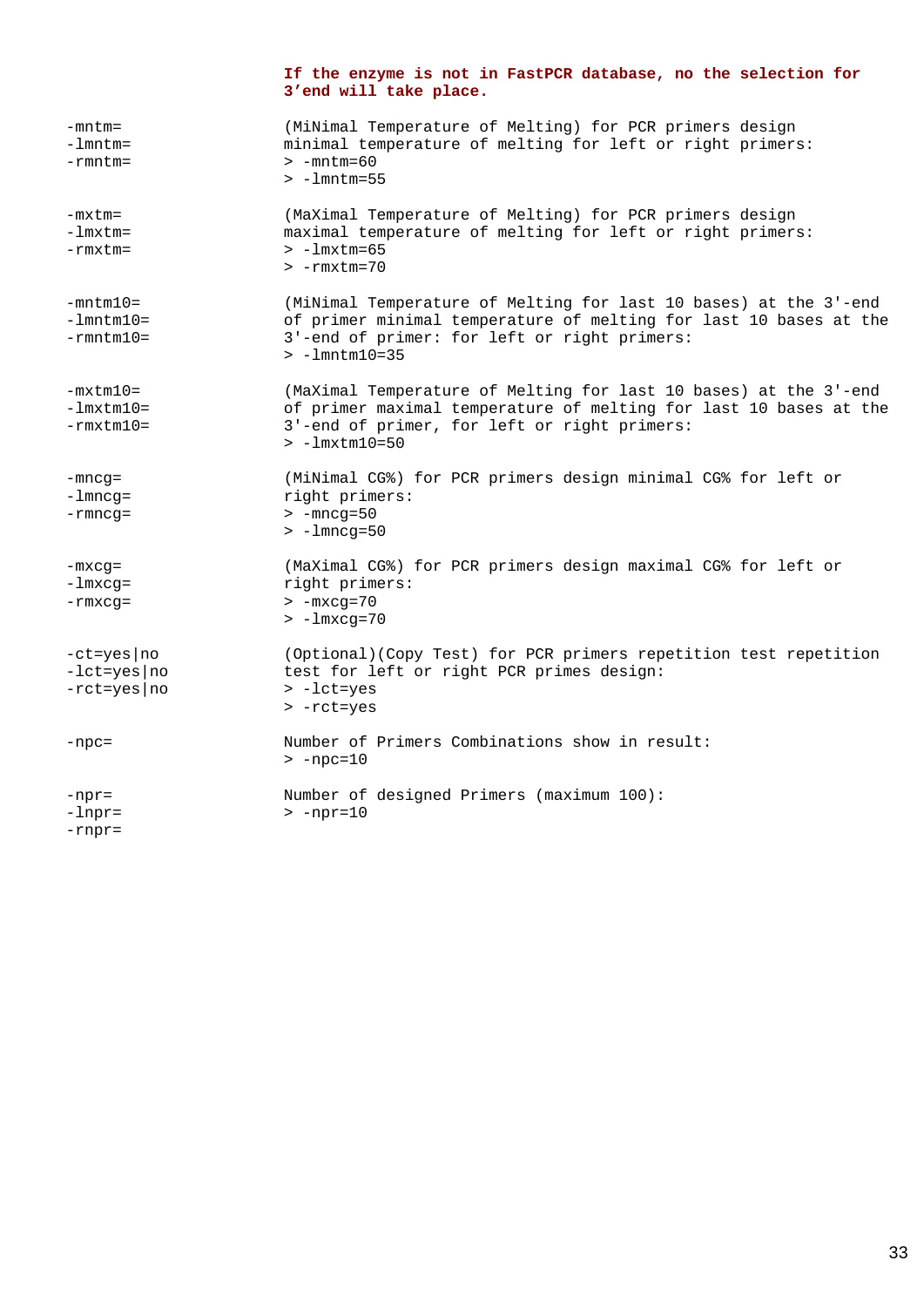|                                                                      | If the enzyme is not in FastPCR database, no the selection for<br>3'end will take place.                                                                                                                           |
|----------------------------------------------------------------------|--------------------------------------------------------------------------------------------------------------------------------------------------------------------------------------------------------------------|
| $-mntm=$<br>$-lmntm=$<br>$-rmntm =$                                  | (MiNimal Temperature of Melting) for PCR primers design<br>minimal temperature of melting for left or right primers:<br>$> -mntm=60$<br>$> -l$ mntm=55                                                             |
| $-mx$ tm=<br>$-lmxtm =$<br>$-rmxtm =$                                | (MaXimal Temperature of Melting) for PCR primers design<br>maximal temperature of melting for left or right primers:<br>$> -lmx$ tm=65<br>$> -r$ m $x$ tm=70                                                       |
| $-mntm10=$<br>$-lmntm10=$<br>$-rmntm10=$                             | (MiNimal Temperature of Melting for last 10 bases) at the 3'-end<br>of primer minimal temperature of melting for last 10 bases at the<br>3'-end of primer: for left or right primers:<br>$> -1$ mntm $10 = 35$     |
| $-mxtm10=$<br>$-lmxtm10=$<br>$-rmxtm10=$                             | (MaXimal Temperature of Melting for last 10 bases) at the 3'-end<br>of primer maximal temperature of melting for last 10 bases at the<br>3'-end of primer, for left or right primers:<br>$> -1$ m $x$ tm $10 = 50$ |
| $-mncg=$<br>$-l$ mncq=<br>$-rmncg =$                                 | (MiNimal CG%) for PCR primers design minimal CG% for left or<br>right primers:<br>$> -mncg = 50$<br>$> -lmncq=50$                                                                                                  |
| $-mxcg =$<br>-lmxcg=<br>$-rmxcg =$                                   | (MaXimal CG%) for PCR primers design maximal CG% for left or<br>right primers:<br>$> -mxcg = 70$<br>$> -lmxcg = 70$                                                                                                |
| $-ct = yes \cdot no$<br>$-let = yes \mid no$<br>$-rct = yes \mid no$ | (Optional) (Copy Test) for PCR primers repetition test repetition<br>test for left or right PCR primes design:<br>$> -let = yes$<br>$> -rct = yes$                                                                 |
| $-npc =$                                                             | Number of Primers Combinations show in result:<br>$>$ -npc=10                                                                                                                                                      |
| $-npr =$<br>$-lnpr=$<br>$-rnpr =$                                    | Number of designed Primers (maximum 100):<br>$> -npr=10$                                                                                                                                                           |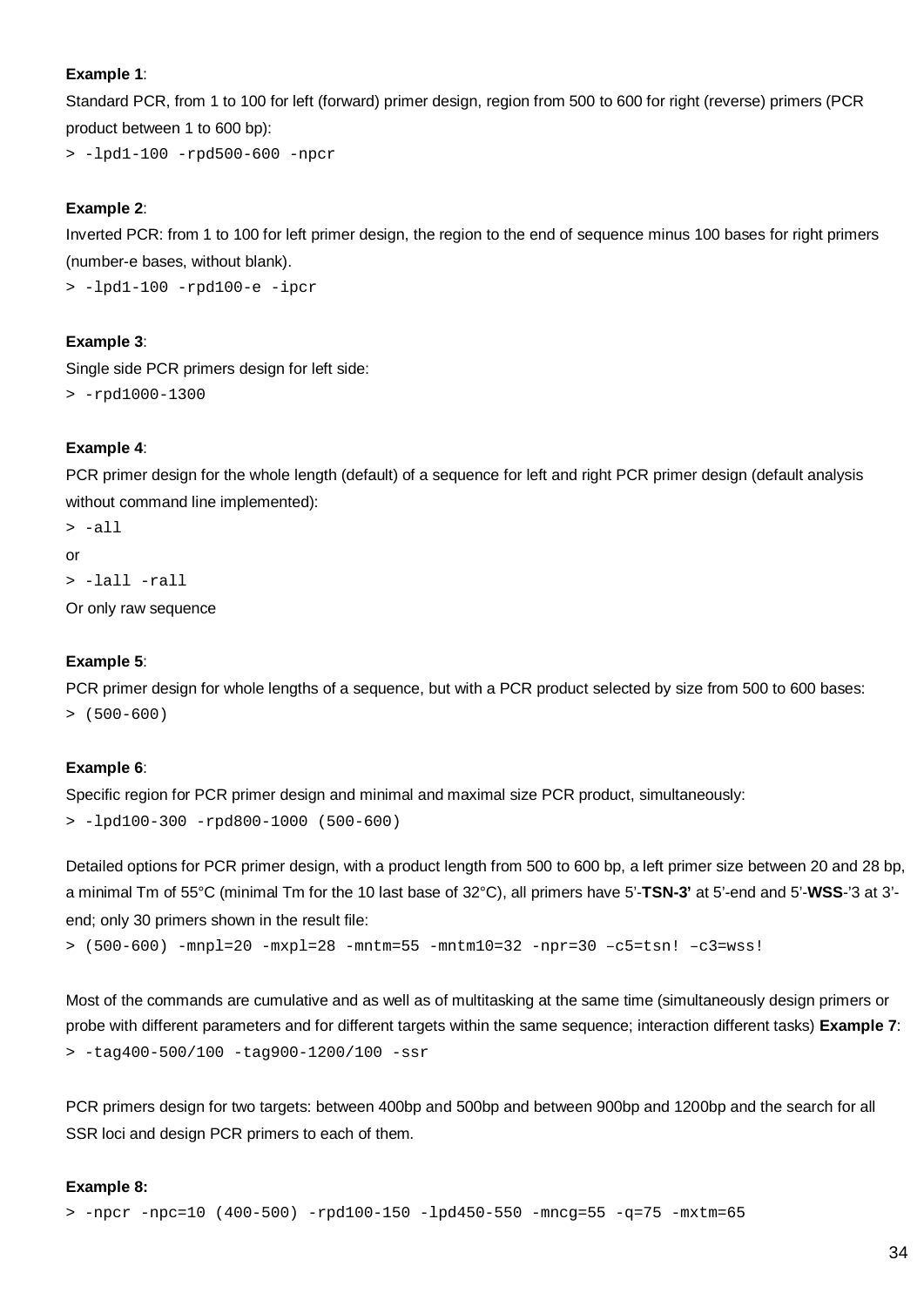#### **Example 1**:

Standard PCR, from 1 to 100 for left (forward) primer design, region from 500 to 600 for right (reverse) primers (PCR product between 1 to 600 bp):

> -lpd1-100 -rpd500-600 -npcr

#### **Example 2**:

Inverted PCR: from 1 to 100 for left primer design, the region to the end of sequence minus 100 bases for right primers (number-e bases, without blank).

> -lpd1-100 -rpd100-e -ipcr

#### **Example 3**:

Single side PCR primers design for left side:

> -rpd1000-1300

#### **Example 4**:

PCR primer design for the whole length (default) of a sequence for left and right PCR primer design (default analysis without command line implemented):

 $> -a11$ or > -lall -rall

Or only raw sequence

#### **Example 5**:

PCR primer design for whole lengths of a sequence, but with a PCR product selected by size from 500 to 600 bases:  $>$  (500-600)

#### **Example 6**:

Specific region for PCR primer design and minimal and maximal size PCR product, simultaneously: > -lpd100-300 -rpd800-1000 (500-600)

Detailed options for PCR primer design, with a product length from 500 to 600 bp, a left primer size between 20 and 28 bp, a minimal Tm of 55°C (minimal Tm for the 10 last base of 32°C), all primers have 5'-**TSN-3'** at 5'-end and 5'-**WSS**-'3 at 3' end; only 30 primers shown in the result file:

```
> (500-600) -mnpl=20 -mxpl=28 -mntm=55 -mntm10=32 -npr=30 –c5=tsn! –c3=wss!
```
Most of the commands are cumulative and as well as of multitasking at the same time (simultaneously design primers or probe with different parameters and for different targets within the same sequence; interaction different tasks) **Example 7**: > -tag400-500/100 -tag900-1200/100 -ssr

PCR primers design for two targets: between 400bp and 500bp and between 900bp and 1200bp and the search for all SSR loci and design PCR primers to each of them.

#### **Example 8:**

```
> -npcr -npc=10 (400-500) -rpd100-150 -lpd450-550 -mncg=55 -q=75 -mxtm=65
```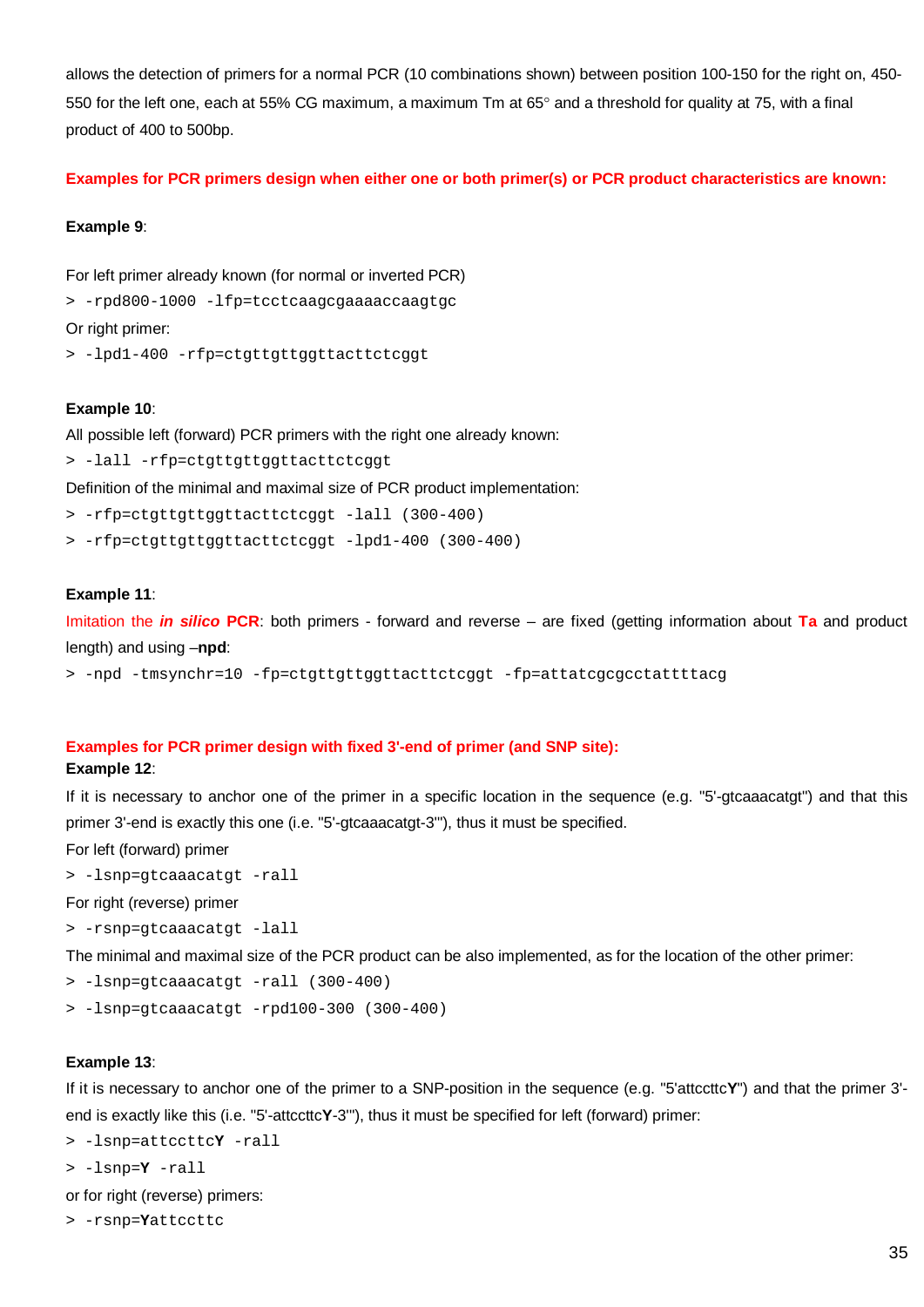allows the detection of primers for a normal PCR (10 combinations shown) between position 100-150 for the right on, 450- 550 for the left one, each at 55% CG maximum, a maximum Tm at 65° and a threshold for quality at 75, with a final product of 400 to 500bp.

**Examples for PCR primers design when either one or both primer(s) or PCR product characteristics are known:**

#### **Example 9**:

For left primer already known (for normal or inverted PCR)

> -rpd800-1000 -lfp=tcctcaagcgaaaaccaagtgc

Or right primer:

> -lpd1-400 -rfp=ctgttgttggttacttctcggt

#### **Example 10**:

All possible left (forward) PCR primers with the right one already known:

> -lall -rfp=ctgttgttggttacttctcggt

Definition of the minimal and maximal size of PCR product implementation:

- > -rfp=ctgttgttggttacttctcggt -lall (300-400)
- > -rfp=ctgttgttggttacttctcggt -lpd1-400 (300-400)

#### **Example 11**:

Imitation the *in silico* **PCR**: both primers - forward and reverse – are fixed (getting information about **Ta** and product length) and using –**npd**:

> -npd -tmsynchr=10 -fp=ctgttgttggttacttctcggt -fp=attatcgcgcctattttacg

#### **Examples for PCR primer design with fixed 3'-end of primer (and SNP site):**

#### **Example 12**:

If it is necessary to anchor one of the primer in a specific location in the sequence (e.g. "5'-gtcaaacatgt") and that this primer 3'-end is exactly this one (i.e. "5'-gtcaaacatgt-3'"), thus it must be specified.

For left (forward) primer

```
> -lsnp=gtcaaacatgt -rall
```
For right (reverse) primer

> -rsnp=gtcaaacatgt -lall

The minimal and maximal size of the PCR product can be also implemented, as for the location of the other primer:

- > -lsnp=gtcaaacatgt -rall (300-400)
- > -lsnp=gtcaaacatgt -rpd100-300 (300-400)

#### **Example 13**:

If it is necessary to anchor one of the primer to a SNP-position in the sequence (e.g. "5'attccttc**Y**") and that the primer 3' end is exactly like this (i.e. "5'-attccttc**Y**-3'"), thus it must be specified for left (forward) primer:

> -lsnp=attccttc**Y** -rall

```
> -lsnp=Y -rall
```
or for right (reverse) primers:

```
> -rsnp=Yattccttc
```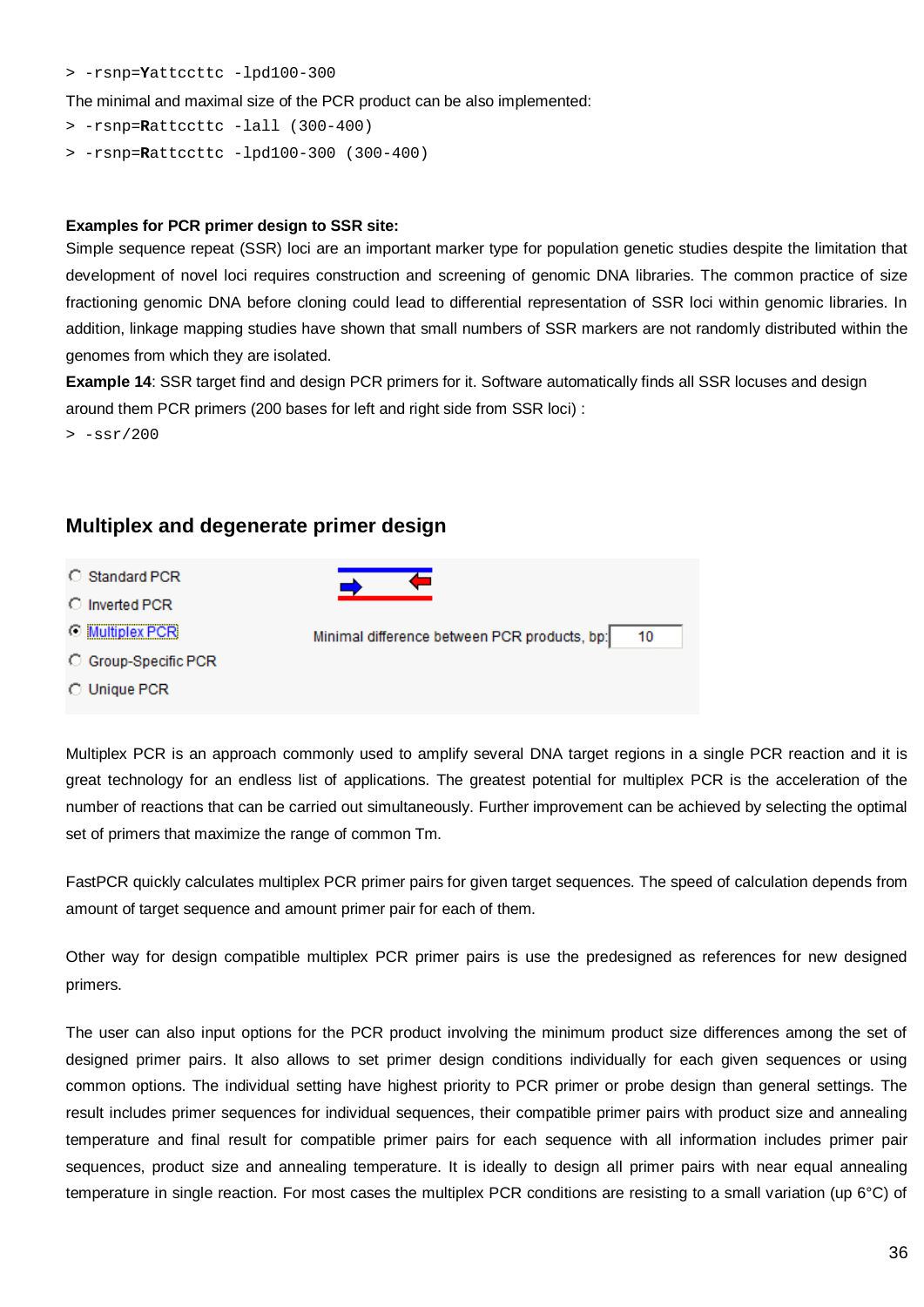#### > -rsnp=**Y**attccttc -lpd100-300

The minimal and maximal size of the PCR product can be also implemented:

- > -rsnp=**R**attccttc -lall (300-400)
- > -rsnp=**R**attccttc -lpd100-300 (300-400)

#### **Examples for PCR primer design to SSR site:**

Simple sequence repeat (SSR) loci are an important marker type for population genetic studies despite the limitation that development of novel loci requires construction and screening of genomic DNA libraries. The common practice of size fractioning genomic DNA before cloning could lead to differential representation of SSR loci within genomic libraries. In addition, linkage mapping studies have shown that small numbers of SSR markers are not randomly distributed within the genomes from which they are isolated.

**Example 14**: SSR target find and design PCR primers for it. Software automatically finds all SSR locuses and design around them PCR primers (200 bases for left and right side from SSR loci) :

 $> -ssr/200$ 

### **Multiplex and degenerate primer design**

- C Standard PCR
- C Inverted PCR
- **O** Multiplex PCR
- C Group-Specific PCR
- C Unique PCR



Multiplex PCR is an approach commonly used to amplify several DNA target regions in a single PCR reaction and it is great technology for an endless list of applications. The greatest potential for multiplex PCR is the acceleration of the number of reactions that can be carried out simultaneously. Further improvement can be achieved by selecting the optimal set of primers that maximize the range of common Tm.

FastPCR quickly calculates multiplex PCR primer pairs for given target sequences. The speed of calculation depends from amount of target sequence and amount primer pair for each of them.

Other way for design compatible multiplex PCR primer pairs is use the predesigned as references for new designed primers.

The user can also input options for the PCR product involving the minimum product size differences among the set of designed primer pairs. It also allows to set primer design conditions individually for each given sequences or using common options. The individual setting have highest priority to PCR primer or probe design than general settings. The result includes primer sequences for individual sequences, their compatible primer pairs with product size and annealing temperature and final result for compatible primer pairs for each sequence with all information includes primer pair sequences, product size and annealing temperature. It is ideally to design all primer pairs with near equal annealing temperature in single reaction. For most cases the multiplex PCR conditions are resisting to a small variation (up 6°C) of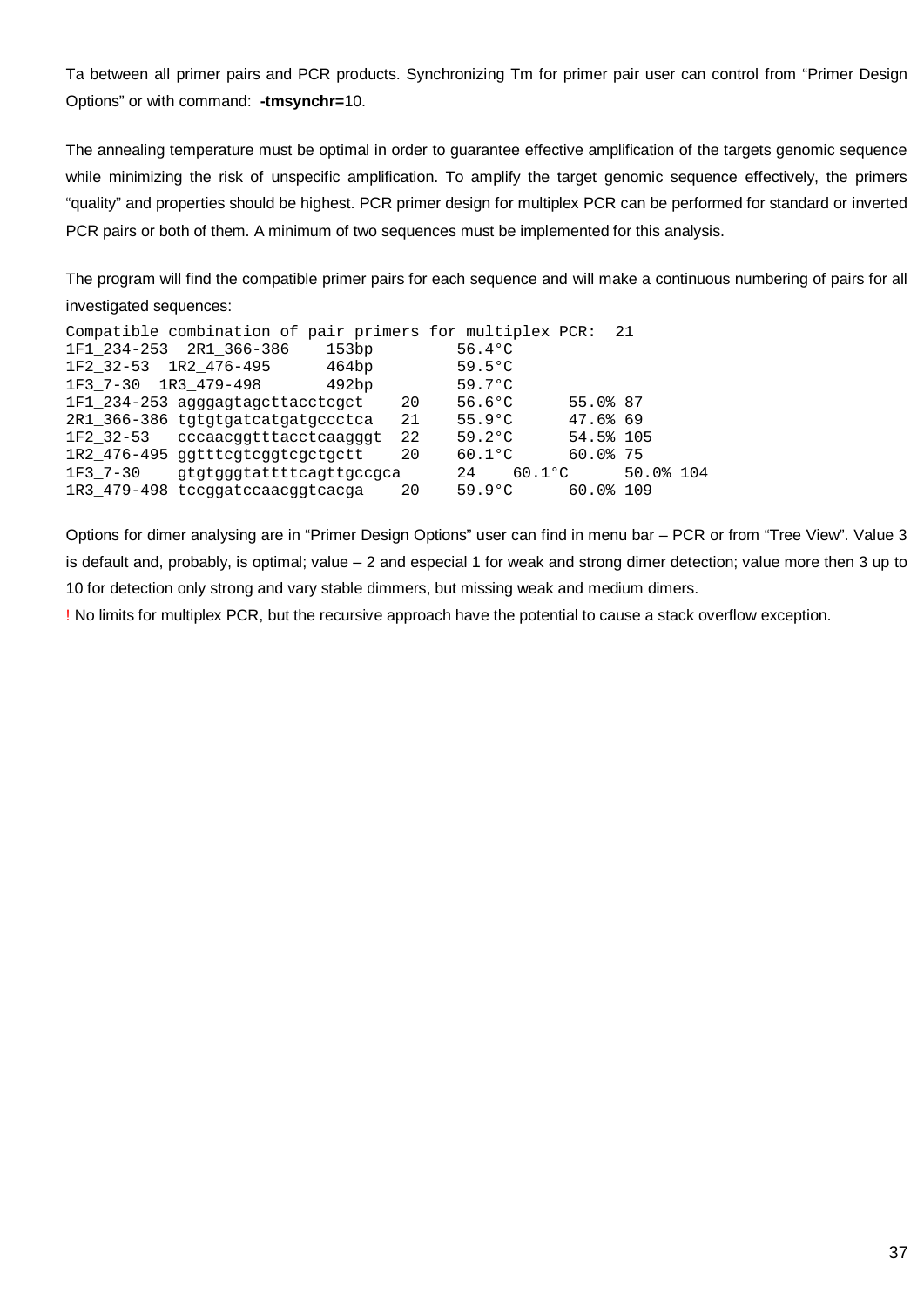Ta between all primer pairs and PCR products. Synchronizing Tm for primer pair user can control from "Primer Design Options" or with command: **-tmsynchr=**10.

The annealing temperature must be optimal in order to guarantee effective amplification of the targets genomic sequence while minimizing the risk of unspecific amplification. To amplify the target genomic sequence effectively, the primers "quality" and properties should be highest. PCR primer design for multiplex PCR can be performed for standard or inverted PCR pairs or both of them. A minimum of two sequences must be implemented for this analysis.

The program will find the compatible primer pairs for each sequence and will make a continuous numbering of pairs for all investigated sequences:

| Compatible combination of pair primers for multiplex PCR: 21 |    |                       |             |           |  |
|--------------------------------------------------------------|----|-----------------------|-------------|-----------|--|
| 1F1 234-253 2R1 366-386<br>153bp                             |    | $56.4$ °C             |             |           |  |
| 1F2 32-53 1R2 476-495<br>464bp                               |    | $59.5^{\circ}$ C      |             |           |  |
| 1F3 7-30 1R3 479-498<br>492bp                                |    | 59.7°C                |             |           |  |
| 1F1_234-253 agggagtagcttacctcgct                             | 20 | $56.6$ <sup>o</sup> C | 55.0% 87    |           |  |
| 2R1 366-386 tgtgtgatcatgatgccctca                            | 21 | $55.9^{\circ}$ C      | 47.6% 69    |           |  |
| 1F2_32-53 cccaacggtttacctcaagggt                             | 22 | $59.2^{\circ}$ C      | 54.5% 105   |           |  |
| 1R2_476-495 ggtttcgtcggtcgctgctt                             | 20 | $60.1$ °C             | $60.0$ $75$ |           |  |
| 1F3 7-30<br>qtqtqqqtattttcaqttqccqca                         |    | $60.1$ °C<br>24       |             | 50.0% 104 |  |
| 1R3 479-498 tccqqatccaacqqtcacqa                             | 20 | 59.9°C                | 60.0%109    |           |  |

Options for dimer analysing are in "Primer Design Options" user can find in menu bar – PCR or from "Tree View". Value 3 is default and, probably, is optimal; value – 2 and especial 1 for weak and strong dimer detection; value more then 3 up to 10 for detection only strong and vary stable dimmers, but missing weak and medium dimers.

! No limits for multiplex PCR, but the recursive approach have the potential to cause a stack overflow exception.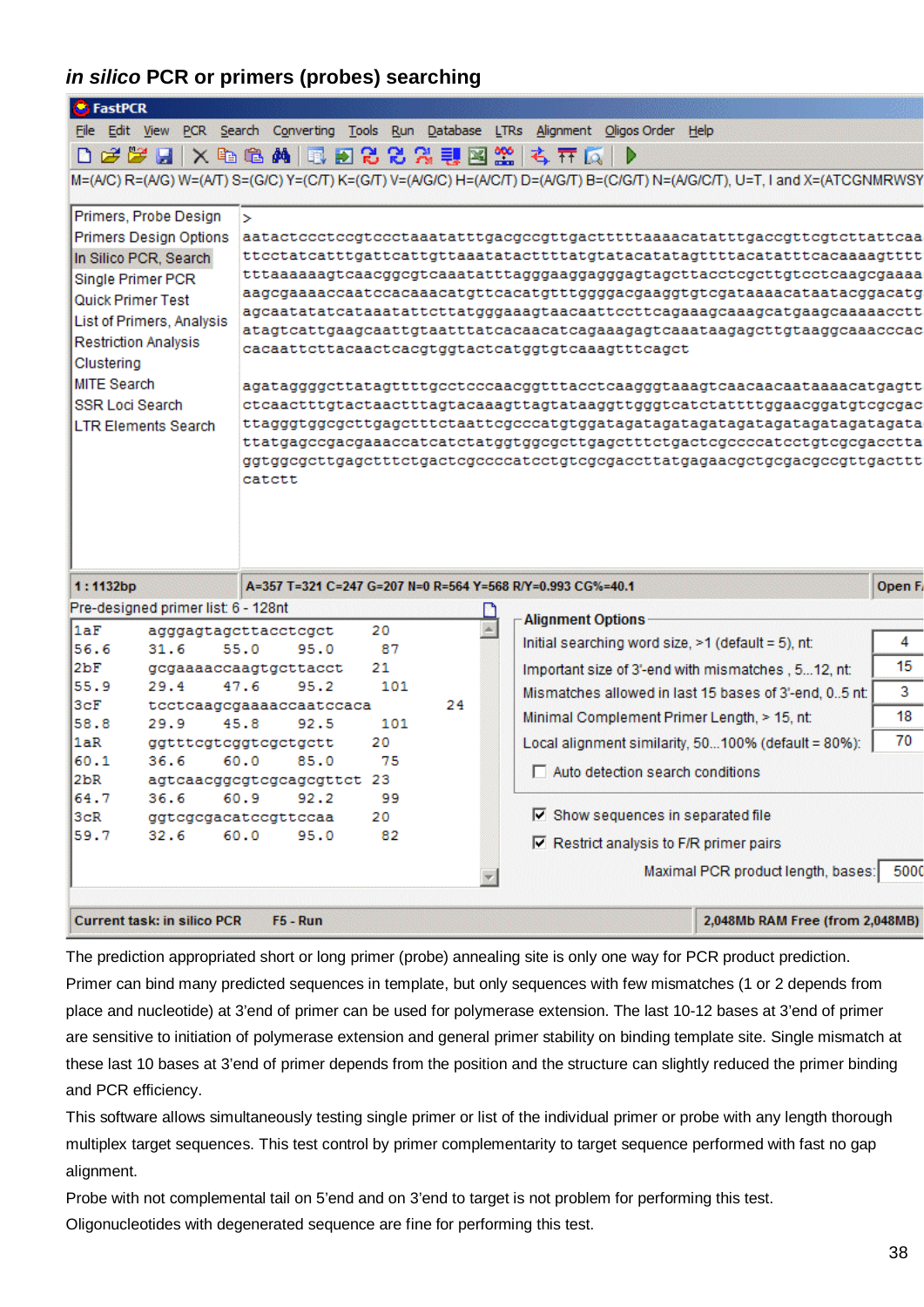# *in silico* **PCR or primers (probes) searching**

| <b>FastPCR</b>         |                                     |                                           |          |    |                                                                                                                               |               |
|------------------------|-------------------------------------|-------------------------------------------|----------|----|-------------------------------------------------------------------------------------------------------------------------------|---------------|
|                        |                                     |                                           |          |    | File Edit View PCR Search Converting Tools Run Database LTRs Alignment Oligos Order Help                                      |               |
|                        |                                     | D 2 2 2 3 × 4 8 4 5 2 2 2 2 3 3 2 3 4 7 5 |          |    | Þ                                                                                                                             |               |
|                        |                                     |                                           |          |    | M=(A/C) R=(A/G) W=(A/T) S=(G/C) Y=(C/T) K=(G/T) V=(A/G/C) H=(A/C/T) D=(A/G/T) B=(C/G/T) N=(A/G/C/T), U=T, I and X=(ATCGNMRWSY |               |
|                        | Primers, Probe Design               | ×.                                        |          |    |                                                                                                                               |               |
|                        | Primers Design Options              |                                           |          |    | aatactccctccgtccctaaatatttgacgccgttgactttttaaaacatatttgaccgttcgtcttattcaa                                                     |               |
|                        | In Silico PCR, Search               |                                           |          |    | ttcctatcatttgattcattgttaaatatacttttatgtatacatatagttttacatatttcacaaaagtttt                                                     |               |
|                        | Single Primer PCR                   |                                           |          |    |                                                                                                                               |               |
|                        | Quick Primer Test                   |                                           |          |    | aagcgaaaaccaatccacaaacatgttcacatgtttggggacgaaggtgtcgataaaacataatacggacatg                                                     |               |
|                        | List of Primers, Analysis           |                                           |          |    | agcaatatatcataaatattcttatgggaaagtaacaattccttcagaaagcaaagcatgaagcaaaaacctt                                                     |               |
|                        | <b>Restriction Analysis</b>         |                                           |          |    | atagtcattgaagcaattgtaatttatcacaacatcagaaagagtcaaataagagcttgtaaggcaaacccac<br>cacaattcttacaactcacgtggtactcatggtgtcaaagtttcagct |               |
| Clustering             |                                     |                                           |          |    |                                                                                                                               |               |
| <b>MITE Search</b>     |                                     |                                           |          |    | agataggggcttatagttttgcctcccaacggtttacctcaagggtaaagtcaacaacaataaaacatgagtt                                                     |               |
| <b>SSR Loci Search</b> |                                     |                                           |          |    | ctcaactttgtactaactttagtacaaagttagtataaggttgggtcatctattttggaacggatgtcgcgac                                                     |               |
|                        | <b>LTR Elements Search</b>          |                                           |          |    |                                                                                                                               |               |
|                        |                                     |                                           |          |    | ttatgageegaegaaaeeateatetatggtggegettgagetttetgaetegeeecateetgtegegaeetta                                                     |               |
|                        |                                     | catctt                                    |          |    | ggtggcgcttgagctttctgactcgccccatcctgtcgcgaccttatgagaacgctgcgacgccgttgacttt                                                     |               |
|                        |                                     |                                           |          |    |                                                                                                                               |               |
|                        |                                     |                                           |          |    |                                                                                                                               |               |
|                        |                                     |                                           |          |    |                                                                                                                               |               |
|                        |                                     |                                           |          |    |                                                                                                                               |               |
| 1:1132bp               |                                     |                                           |          |    | A=357 T=321 C=247 G=207 N=0 R=564 Y=568 R/Y=0.993 CG%=40.1                                                                    | <b>Open F</b> |
|                        | Pre-designed primer list: 6 - 128nt |                                           |          |    | <b>Alignment Options</b>                                                                                                      |               |
| 1aF                    |                                     | agggagtagcttacctcgct                      | 20       |    | Initial searching word size, >1 (default = 5), nt:                                                                            | 4             |
| 56.6<br>2bF            | 31.6                                | 55.0<br>95.0<br>gcgaaaaccaagtgcttacct     | 87<br>21 |    |                                                                                                                               | 15            |
| 55.9                   | 29.4                                | 47.6<br>95.2                              | 101      |    | Important size of 3'-end with mismatches, 512, nt:                                                                            |               |
| 3cF                    |                                     | tectcaagegaaaaccaatecaca                  |          | 24 | Mismatches allowed in last 15 bases of 3'-end, 05 nt:                                                                         | 3             |
| 58.8                   | 29.9                                | 45.8<br>92.5                              | 101      |    | Minimal Complement Primer Length, > 15, nt:                                                                                   | 18            |
| 1aR                    |                                     | ggtttcgtcggtcgctgctt                      | 20       |    | Local alignment similarity, 50100% (default = 80%):                                                                           | 70            |
| 60.1                   | 36.6                                | 60.0<br>85.0                              | 75       |    | $\Box$ Auto detection search conditions                                                                                       |               |
| 2bR.                   |                                     | agtcaacggcgtcgcagcgttct 23                |          |    |                                                                                                                               |               |
| 64.7                   | 36.6                                | 60.9<br>92.2                              | 99       |    | $\nabla$ Show sequences in separated file                                                                                     |               |
| 3cR                    | 32.6                                | ggtcgcgacatccgttccaa<br>60.0<br>95.0      | 20<br>82 |    |                                                                                                                               |               |
| 59.7                   |                                     |                                           |          |    | $\nabla$ Restrict analysis to F/R primer pairs                                                                                |               |
|                        |                                     |                                           |          |    | Maximal PCR product length, bases:                                                                                            | 5000          |
|                        |                                     |                                           |          |    |                                                                                                                               |               |
|                        | <b>Current task: in silico PCR</b>  | $F5 - Run$                                |          |    | 2,048Mb RAM Free (from 2,048MB)                                                                                               |               |

The prediction appropriated short or long primer (probe) annealing site is only one way for PCR product prediction. Primer can bind many predicted sequences in template, but only sequences with few mismatches (1 or 2 depends from place and nucleotide) at 3'end of primer can be used for polymerase extension. The last 10-12 bases at 3'end of primer are sensitive to initiation of polymerase extension and general primer stability on binding template site. Single mismatch at these last 10 bases at 3'end of primer depends from the position and the structure can slightly reduced the primer binding and PCR efficiency.

This software allows simultaneously testing single primer or list of the individual primer or probe with any length thorough multiplex target sequences. This test control by primer complementarity to target sequence performed with fast no gap alignment.

Probe with not complemental tail on 5'end and on 3'end to target is not problem for performing this test.

Oligonucleotides with degenerated sequence are fine for performing this test.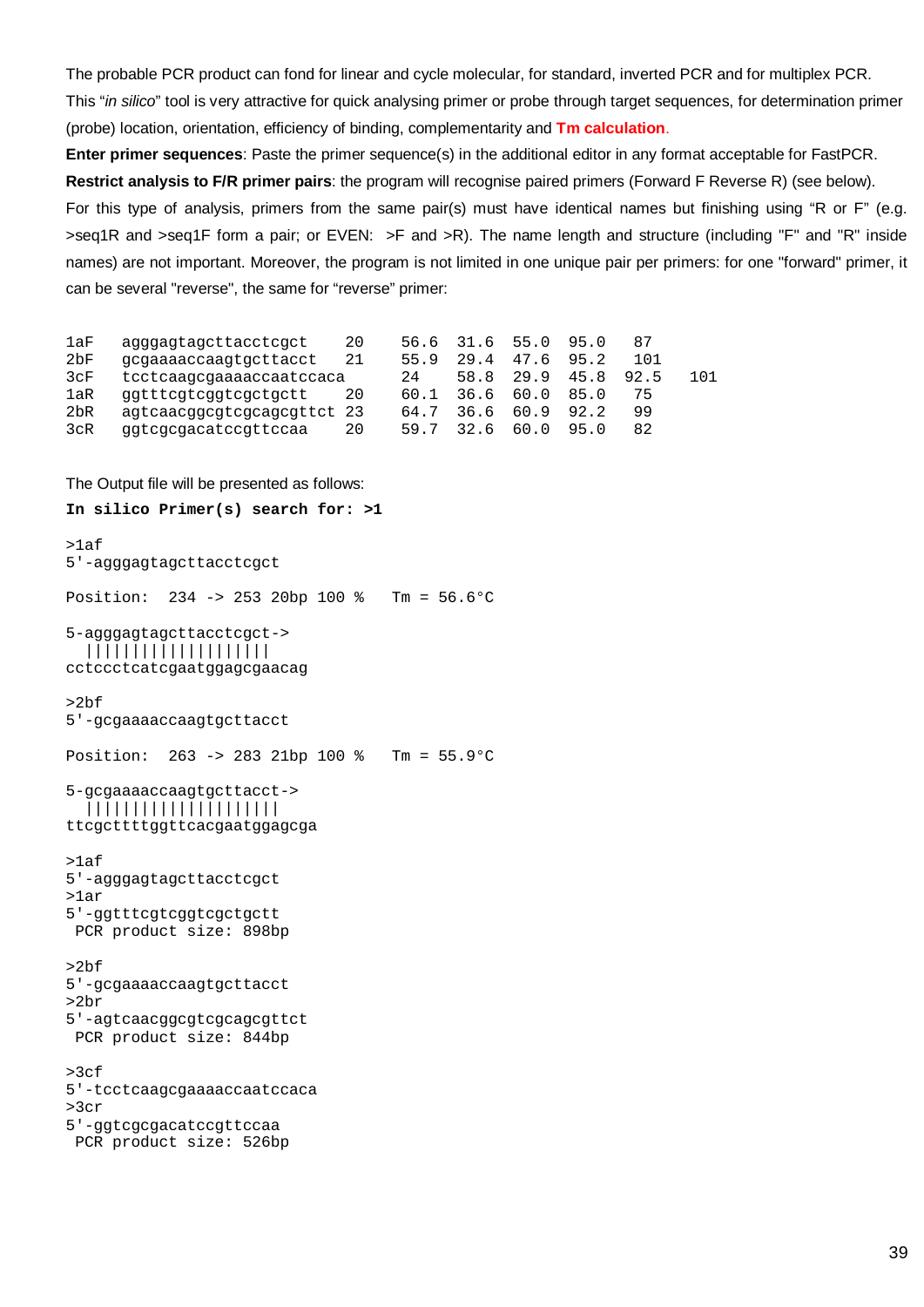The probable PCR product can fond for linear and cycle molecular, for standard, inverted PCR and for multiplex PCR. This "*in silico*" tool is very attractive for quick analysing primer or probe through target sequences, for determination primer (probe) location, orientation, efficiency of binding, complementarity and **Tm calculation**.

**Enter primer sequences**: Paste the primer sequence(s) in the additional editor in any format acceptable for FastPCR. **Restrict analysis to F/R primer pairs**: the program will recognise paired primers (Forward F Reverse R) (see below). For this type of analysis, primers from the same pair(s) must have identical names but finishing using "R or F" (e.g. >seq1R and >seq1F form a pair; or EVEN: >F and >R). The name length and structure (including "F" and "R" inside names) are not important. Moreover, the program is not limited in one unique pair per primers: for one "forward" primer, it can be several "reverse", the same for "reverse" primer:

| 1aF             | agggagtagcttacctcgct       | 20 | 56.6 | 31.6 | 55.0 | 95.0 |       |     |
|-----------------|----------------------------|----|------|------|------|------|-------|-----|
| 2 <sub>DF</sub> | gcgaaaaccaagtgcttacct      | 21 | 55.9 | 29.4 | 47.6 | 95.2 | 1 N 1 |     |
| 3cF             | tcctcaaqcqaaaaccaatccaca   |    | 24   | 58.8 | 29.9 | 45.8 | 92.5  | 101 |
| 1aR             | ggtttcgtcggtcgctgctt       | 20 | 60.1 | 36.6 | 60.0 | 85.0 |       |     |
| 2 <sub>bR</sub> | agtcaacggcgtcgcagcgttct 23 |    | 64.7 | 36.6 | 60.9 | 92.2 | 99    |     |
| 3cR             | ggtcgcgacatccgttccaa       | 20 | 59.7 | h    | 60.0 | 95.0 | 82    |     |

The Output file will be presented as follows:

```
In silico Primer(s) search for: >1
>1af
5'-agggagtagcttacctcgct
Position: 234 -> 253 20bp 100 % Tm = 56.6°C
5-agggagtagcttacctcgct->
   ||||||||||||||||||||
cctccctcatcgaatggagcgaacag
>2bf
5'-gcgaaaaccaagtgcttacct
Position: 263 -> 283 21bp 100 % Tm = 55.9°C
5-gcgaaaaccaagtgcttacct->
   |||||||||||||||||||||
ttcgcttttggttcacgaatggagcga
>1af
5'-agggagtagcttacctcgct
>1ar
5'-ggtttcgtcggtcgctgctt
 PCR product size: 898bp
>2bf
5'-gcgaaaaccaagtgcttacct
>2br
5'-agtcaacggcgtcgcagcgttct
 PCR product size: 844bp
>3c<sub>f</sub>5'-tcctcaagcgaaaaccaatccaca
>3cr
5'-ggtcgcgacatccgttccaa
 PCR product size: 526bp
```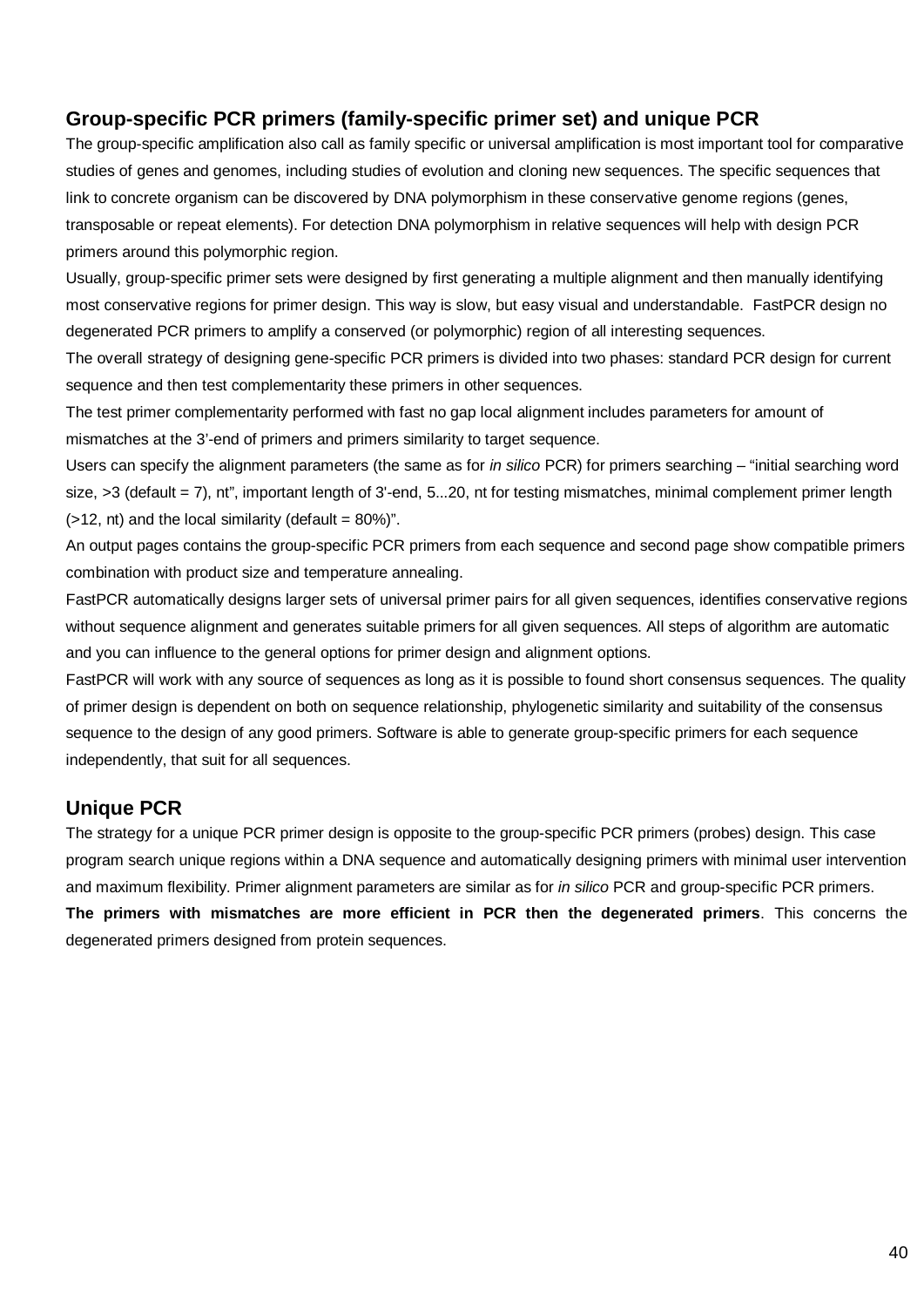# **Group-specific PCR primers (family-specific primer set) and unique PCR**

The group-specific amplification also call as family specific or universal amplification is most important tool for comparative studies of genes and genomes, including studies of evolution and cloning new sequences. The specific sequences that link to concrete organism can be discovered by DNA polymorphism in these conservative genome regions (genes, transposable or repeat elements). For detection DNA polymorphism in relative sequences will help with design PCR primers around this polymorphic region.

Usually, group-specific primer sets were designed by first generating a multiple alignment and then manually identifying most conservative regions for primer design. This way is slow, but easy visual and understandable. FastPCR design no degenerated PCR primers to amplify a conserved (or polymorphic) region of all interesting sequences.

The overall strategy of designing gene-specific PCR primers is divided into two phases: standard PCR design for current sequence and then test complementarity these primers in other sequences.

The test primer complementarity performed with fast no gap local alignment includes parameters for amount of mismatches at the 3'-end of primers and primers similarity to target sequence.

Users can specify the alignment parameters (the same as for *in silico* PCR) for primers searching – "initial searching word size, >3 (default = 7), nt", important length of 3'-end, 5...20, nt for testing mismatches, minimal complement primer length  $($ >12, nt) and the local similarity (default = 80%)".

An output pages contains the group-specific PCR primers from each sequence and second page show compatible primers combination with product size and temperature annealing.

FastPCR automatically designs larger sets of universal primer pairs for all given sequences, identifies conservative regions without sequence alignment and generates suitable primers for all given sequences. All steps of algorithm are automatic and you can influence to the general options for primer design and alignment options.

FastPCR will work with any source of sequences as long as it is possible to found short consensus sequences. The quality of primer design is dependent on both on sequence relationship, phylogenetic similarity and suitability of the consensus sequence to the design of any good primers. Software is able to generate group-specific primers for each sequence independently, that suit for all sequences.

# **Unique PCR**

The strategy for a unique PCR primer design is opposite to the group-specific PCR primers (probes) design. This case program search unique regions within a DNA sequence and automatically designing primers with minimal user intervention and maximum flexibility. Primer alignment parameters are similar as for *in silico* PCR and group-specific PCR primers. **The primers with mismatches are more efficient in PCR then the degenerated primers**. This concerns the degenerated primers designed from protein sequences.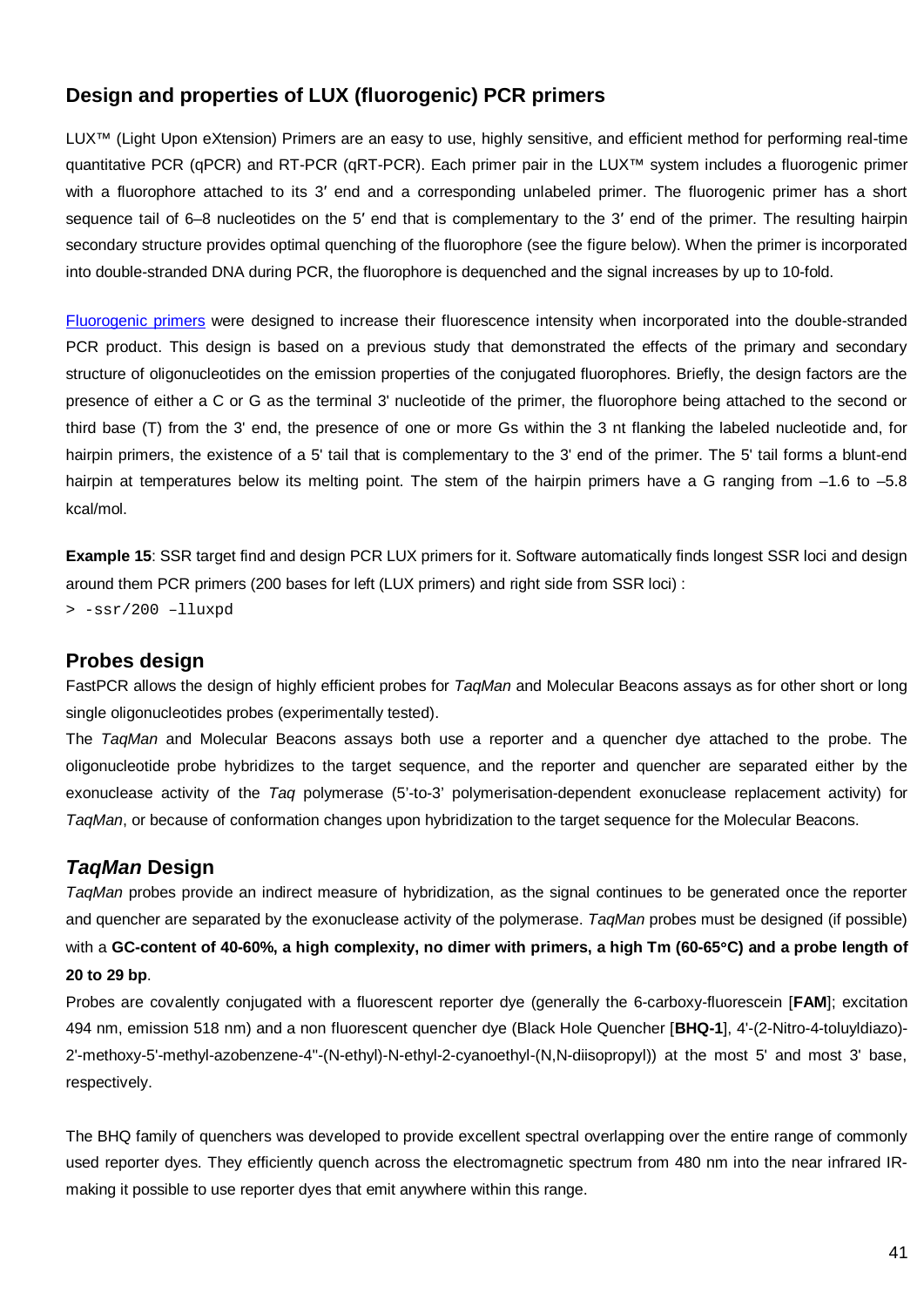# **Design and properties of LUX (fluorogenic) PCR primers**

LUX™ (Light Upon eXtension) Primers are an easy to use, highly sensitive, and efficient method for performing real-time quantitative PCR (qPCR) and RT-PCR (qRT-PCR). Each primer pair in the LUX™ system includes a fluorogenic primer with a fluorophore attached to its 3' end and a corresponding unlabeled primer. The fluorogenic primer has a short sequence tail of 6–8 nucleotides on the 5′ end that is complementary to the 3′ end of the primer. The resulting hairpin secondary structure provides optimal quenching of the fluorophore (see the figure below). When the primer is incorporated into double-stranded DNA during PCR, the fluorophore is dequenched and the signal increases by up to 10-fold.

[Fluorogenic primers](http://nar.oxfordjournals.org/cgi/content/full/30/9/e37) were designed to increase their fluorescence intensity when incorporated into the double-stranded PCR product. This design is based on a previous study that demonstrated the effects of the primary and secondary structure of oligonucleotides on the emission properties of the conjugated fluorophores. Briefly, the design factors are the presence of either a C or G as the terminal 3' nucleotide of the primer, the fluorophore being attached to the second or third base (T) from the 3' end, the presence of one or more Gs within the 3 nt flanking the labeled nucleotide and, for hairpin primers, the existence of a 5' tail that is complementary to the 3' end of the primer. The 5' tail forms a blunt-end hairpin at temperatures below its melting point. The stem of the hairpin primers have a G ranging from -1.6 to -5.8 kcal/mol.

**Example 15:** SSR target find and design PCR LUX primers for it. Software automatically finds longest SSR loci and design around them PCR primers (200 bases for left (LUX primers) and right side from SSR loci) :

> -ssr/200 –lluxpd

### **Probes design**

FastPCR allows the design of highly efficient probes for *TaqMan* and Molecular Beacons assays as for other short or long single oligonucleotides probes (experimentally tested).

The *TaqMan* and Molecular Beacons assays both use a reporter and a quencher dye attached to the probe. The oligonucleotide probe hybridizes to the target sequence, and the reporter and quencher are separated either by the exonuclease activity of the *Taq* polymerase (5'-to-3' polymerisation-dependent exonuclease replacement activity) for *TaqMan*, or because of conformation changes upon hybridization to the target sequence for the Molecular Beacons.

### *TaqMan* **Design**

*TaqMan* probes provide an indirect measure of hybridization, as the signal continues to be generated once the reporter and quencher are separated by the exonuclease activity of the polymerase. *TaqMan* probes must be designed (if possible) with a **GC-content of 40-60%, a high complexity, no dimer with primers, a high Tm (60-65**°**C) and a probe length of 20 to 29 bp**.

Probes are covalently conjugated with a fluorescent reporter dye (generally the 6-carboxy-fluorescein [**FAM**]; excitation 494 nm, emission 518 nm) and a non fluorescent quencher dye (Black Hole Quencher [**BHQ-1**], 4'-(2-Nitro-4-toluyldiazo)- 2'-methoxy-5'-methyl-azobenzene-4''-(N-ethyl)-N-ethyl-2-cyanoethyl-(N,N-diisopropyl)) at the most 5' and most 3' base, respectively.

The BHQ family of quenchers was developed to provide excellent spectral overlapping over the entire range of commonly used reporter dyes. They efficiently quench across the electromagnetic spectrum from 480 nm into the near infrared IRmaking it possible to use reporter dyes that emit anywhere within this range.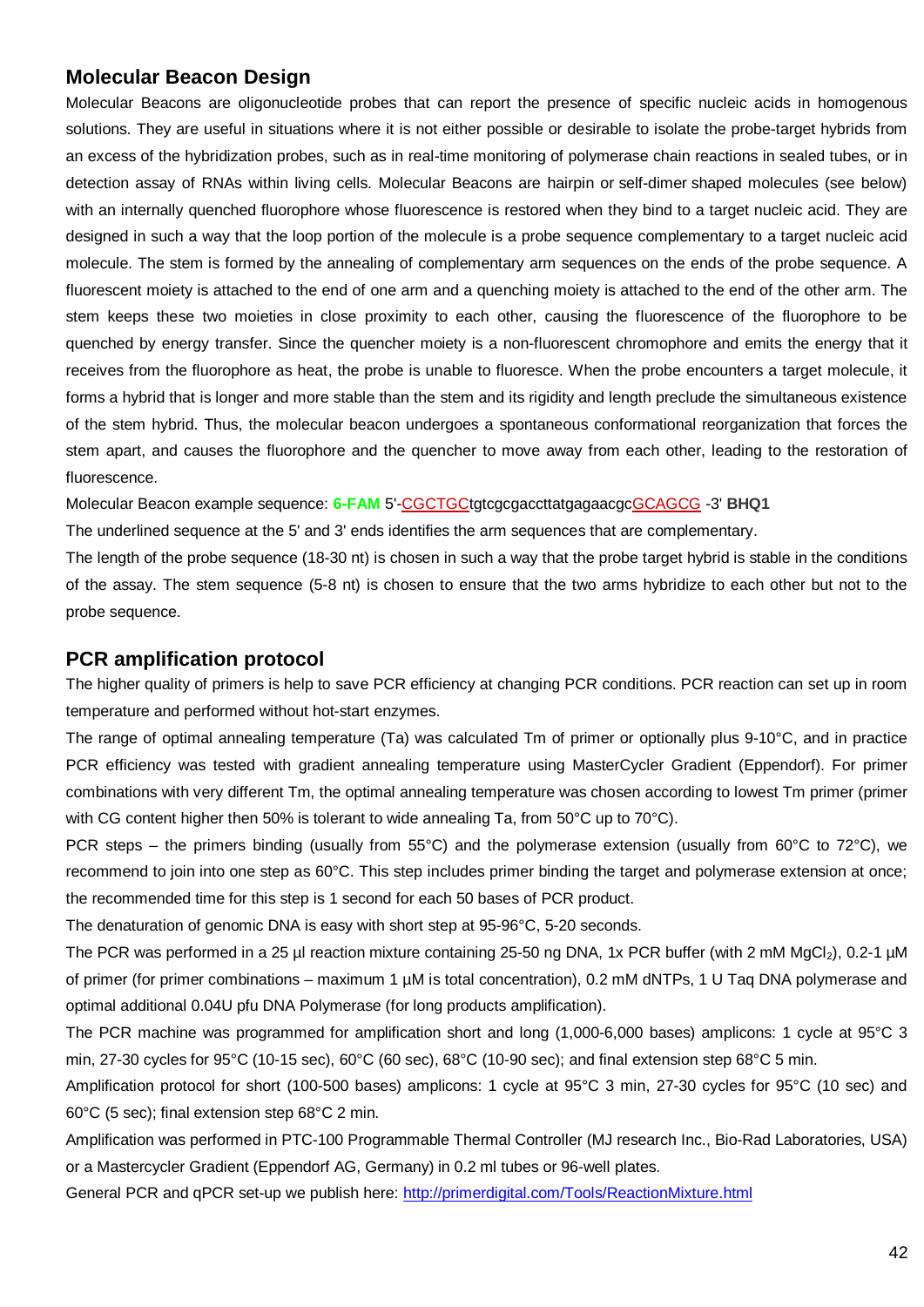### **Molecular Beacon Design**

Molecular Beacons are oligonucleotide probes that can report the presence of specific nucleic acids in homogenous solutions. They are useful in situations where it is not either possible or desirable to isolate the probe-target hybrids from an excess of the hybridization probes, such as in real-time monitoring of polymerase chain reactions in sealed tubes, or in detection assay of RNAs within living cells. Molecular Beacons are hairpin or self-dimer shaped molecules (see below) with an internally quenched fluorophore whose fluorescence is restored when they bind to a target nucleic acid. They are designed in such a way that the loop portion of the molecule is a probe sequence complementary to a target nucleic acid molecule. The stem is formed by the annealing of complementary arm sequences on the ends of the probe sequence. A fluorescent moiety is attached to the end of one arm and a quenching moiety is attached to the end of the other arm. The stem keeps these two moieties in close proximity to each other, causing the fluorescence of the fluorophore to be quenched by energy transfer. Since the quencher moiety is a non-fluorescent chromophore and emits the energy that it receives from the fluorophore as heat, the probe is unable to fluoresce. When the probe encounters a target molecule, it forms a hybrid that is longer and more stable than the stem and its rigidity and length preclude the simultaneous existence of the stem hybrid. Thus, the molecular beacon undergoes a spontaneous conformational reorganization that forces the stem apart, and causes the fluorophore and the quencher to move away from each other, leading to the restoration of fluorescence.

Molecular Beacon example sequence: **6-FAM** 5'-CGCTGCtgtcgcgaccttatgagaacgcGCAGCG -3' **BHQ1**

The underlined sequence at the 5' and 3' ends identifies the arm sequences that are complementary.

The length of the probe sequence (18-30 nt) is chosen in such a way that the probe target hybrid is stable in the conditions of the assay. The stem sequence (5-8 nt) is chosen to ensure that the two arms hybridize to each other but not to the probe sequence.

#### **PCR amplification protocol**

The higher quality of primers is help to save PCR efficiency at changing PCR conditions. PCR reaction can set up in room temperature and performed without hot-start enzymes.

The range of optimal annealing temperature (Ta) was calculated Tm of primer or optionally plus 9-10°C, and in practice PCR efficiency was tested with gradient annealing temperature using MasterCycler Gradient (Eppendorf). For primer combinations with very different Tm, the optimal annealing temperature was chosen according to lowest Tm primer (primer with CG content higher then 50% is tolerant to wide annealing Ta, from 50°C up to 70°C).

PCR steps – the primers binding (usually from 55°C) and the polymerase extension (usually from 60°C to 72°C), we recommend to join into one step as 60°C. This step includes primer binding the target and polymerase extension at once; the recommended time for this step is 1 second for each 50 bases of PCR product.

The denaturation of genomic DNA is easy with short step at 95-96°C, 5-20 seconds.

The PCR was performed in a 25 µl reaction mixture containing 25-50 ng DNA, 1x PCR buffer (with 2 mM MgCl<sub>2</sub>), 0.2-1 µM of primer (for primer combinations – maximum 1 µM is total concentration), 0.2 mM dNTPs, 1 U Taq DNA polymerase and optimal additional 0.04U pfu DNA Polymerase (for long products amplification).

The PCR machine was programmed for amplification short and long (1,000-6,000 bases) amplicons: 1 cycle at 95°C 3 min, 27-30 cycles for 95°C (10-15 sec), 60°C (60 sec), 68°C (10-90 sec); and final extension step 68°C 5 min.

Amplification protocol for short (100-500 bases) amplicons: 1 cycle at 95°C 3 min, 27-30 cycles for 95°C (10 sec) and 60°C (5 sec); final extension step 68°C 2 min.

Amplification was performed in PTC-100 Programmable Thermal Controller (MJ research Inc., Bio-Rad Laboratories, USA) or a Mastercycler Gradient (Eppendorf AG, Germany) in 0.2 ml tubes or 96-well plates.

General PCR and qPCR set-up we publish here: http://primerdigital.com/Tools/ReactionMixture.html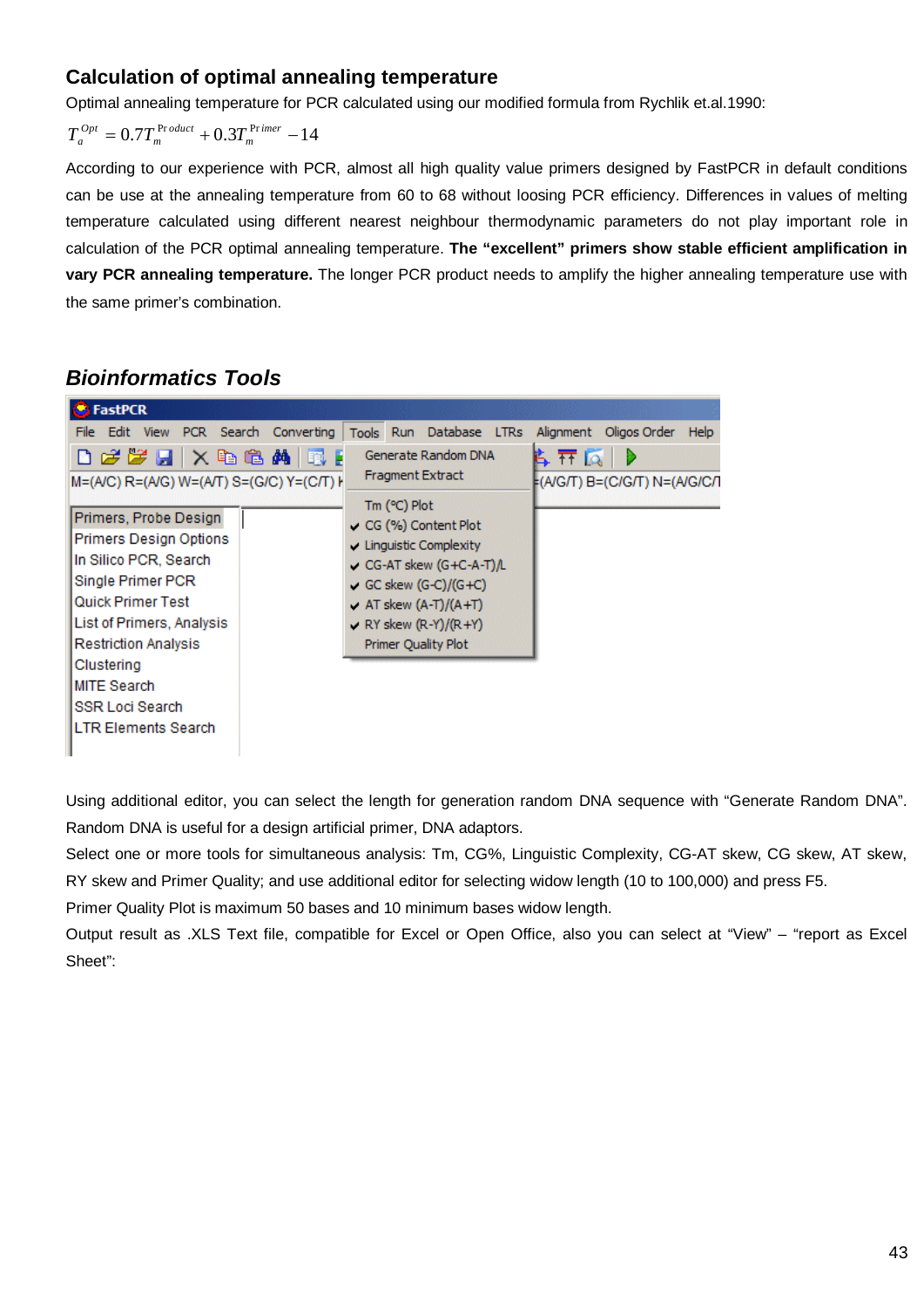### **Calculation of optimal annealing temperature**

Optimal annealing temperature for PCR calculated using our modified formula from Rychlik et.al.1990:

$$
T_a^{Opt} = 0.7T_m^{Product} + 0.3T_m^{Primer} - 14
$$

According to our experience with PCR, almost all high quality value primers designed by FastPCR in default conditions can be use at the annealing temperature from 60 to 68 without loosing PCR efficiency. Differences in values of melting temperature calculated using different nearest neighbour thermodynamic parameters do not play important role in calculation of the PCR optimal annealing temperature. **The "excellent" primers show stable efficient amplification in vary PCR annealing temperature.** The longer PCR product needs to amplify the higher annealing temperature use with the same primer's combination.

# *Bioinformatics Tools*

| <b>FastPCR</b>                                                                                                                                                                                                                                                                                             |                                                                                                                                                                                                                                                                                            |                                            |
|------------------------------------------------------------------------------------------------------------------------------------------------------------------------------------------------------------------------------------------------------------------------------------------------------------|--------------------------------------------------------------------------------------------------------------------------------------------------------------------------------------------------------------------------------------------------------------------------------------------|--------------------------------------------|
| File Edit View PCR Search Converting                                                                                                                                                                                                                                                                       | Tools Run Database LTRs                                                                                                                                                                                                                                                                    | Alignment Oligos Order<br>Help             |
| d <i>ée</i> Fix & Camie E<br>M=(A/C) R=(A/G) W=(A/T) S=(G/C) Y=(C/T) H<br>Primers, Probe Design<br><b>Primers Design Options</b><br>In Silico PCR, Search<br>Single Primer PCR<br><b>Quick Primer Test</b><br>List of Primers, Analysis<br><b>Restriction Analysis</b><br>Clustering<br><b>MITE Search</b> | Generate Random DNA<br><b>Fragment Extract</b><br>$Tm$ ( $C$ ) Plot<br>$\sim$ CG (%) Content Plot<br>$\sqrt{\phantom{a}}$ Linguistic Complexity<br>CG-AT skew $(G+C-A-T)L$<br>GC skew $(G-C)/(G+C)$<br>$\sqrt{AT}$ skew (A-T)/(A+T)<br>RY skew $(R-Y)/(R+Y)$<br><b>Primer Quality Plot</b> | 6. TT 12.<br>⊧(A/G/T) B=(C/G/T) N=(A/G/C/I |
| <b>SSR Loci Search</b><br><b>LTR Elements Search</b>                                                                                                                                                                                                                                                       |                                                                                                                                                                                                                                                                                            |                                            |
|                                                                                                                                                                                                                                                                                                            |                                                                                                                                                                                                                                                                                            |                                            |

Using additional editor, you can select the length for generation random DNA sequence with "Generate Random DNA". Random DNA is useful for a design artificial primer, DNA adaptors.

Select one or more tools for simultaneous analysis: Tm, CG%, Linguistic Complexity, CG-AT skew, CG skew, AT skew, RY skew and Primer Quality; and use additional editor for selecting widow length (10 to 100,000) and press F5.

Primer Quality Plot is maximum 50 bases and 10 minimum bases widow length.

Output result as .XLS Text file, compatible for Excel or Open Office, also you can select at "View" – "report as Excel Sheet":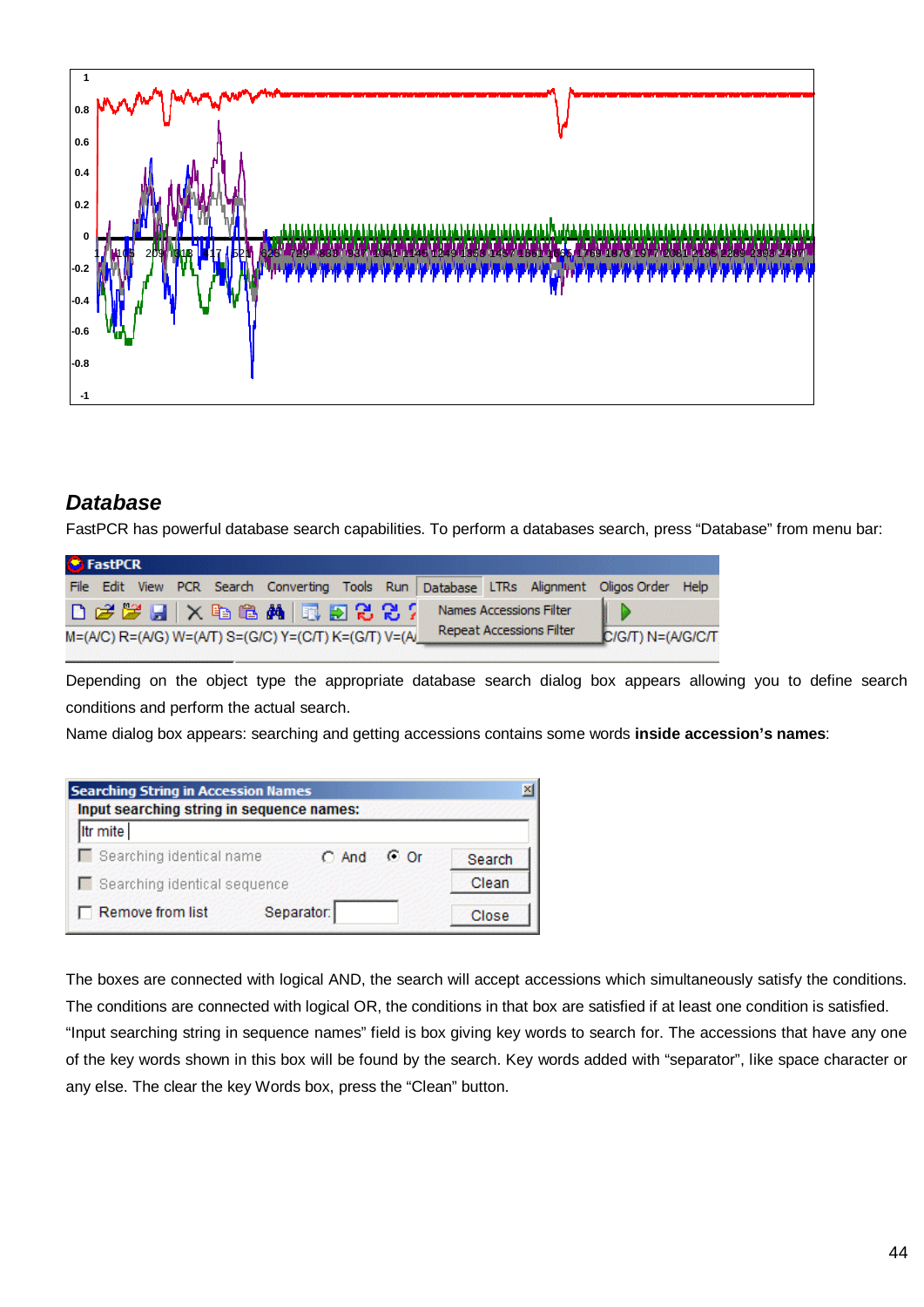

# *Database*

FastPCR has powerful database search capabilities. To perform a databases search, press "Database" from menu bar:

| <b>G</b> FastPCR |  |                                                                                               |  |  |                                 |                                                                                          |  |
|------------------|--|-----------------------------------------------------------------------------------------------|--|--|---------------------------------|------------------------------------------------------------------------------------------|--|
|                  |  |                                                                                               |  |  |                                 | File Edit View PCR Search Converting Tools Run Database LTRs Alignment Oligos Order Help |  |
|                  |  | $D \not\in \mathcal{B} \cup \{ \mathbf{A} \mid \mathbf{A} \mid \mathbf{B} \in \mathcal{B} \}$ |  |  | Names Accessions Filter         |                                                                                          |  |
|                  |  | M=(A/C) R=(A/G) W=(A/T) S=(G/C) Y=(C/T) K=(G/T) V=(A                                          |  |  | <b>Repeat Accessions Filter</b> | C/G/T) N=(A/G/C/T                                                                        |  |

Depending on the object type the appropriate database search dialog box appears allowing you to define search conditions and perform the actual search.

Name dialog box appears: searching and getting accessions contains some words **inside accession's names**:

| <b>Searching String in Accession Names</b><br>Input searching string in sequence names: |            |            |        |
|-----------------------------------------------------------------------------------------|------------|------------|--------|
| Itr mite                                                                                |            |            |        |
| Searching identical name                                                                | $C$ And    | $\circ$ Or | Search |
| Searching identical sequence                                                            |            |            | Clean  |
| Remove from list                                                                        | Separator: |            | Close  |

The boxes are connected with logical AND, the search will accept accessions which simultaneously satisfy the conditions. The conditions are connected with logical OR, the conditions in that box are satisfied if at least one condition is satisfied. "Input searching string in sequence names" field is box giving key words to search for. The accessions that have any one of the key words shown in this box will be found by the search. Key words added with "separator", like space character or any else. The clear the key Words box, press the "Clean" button.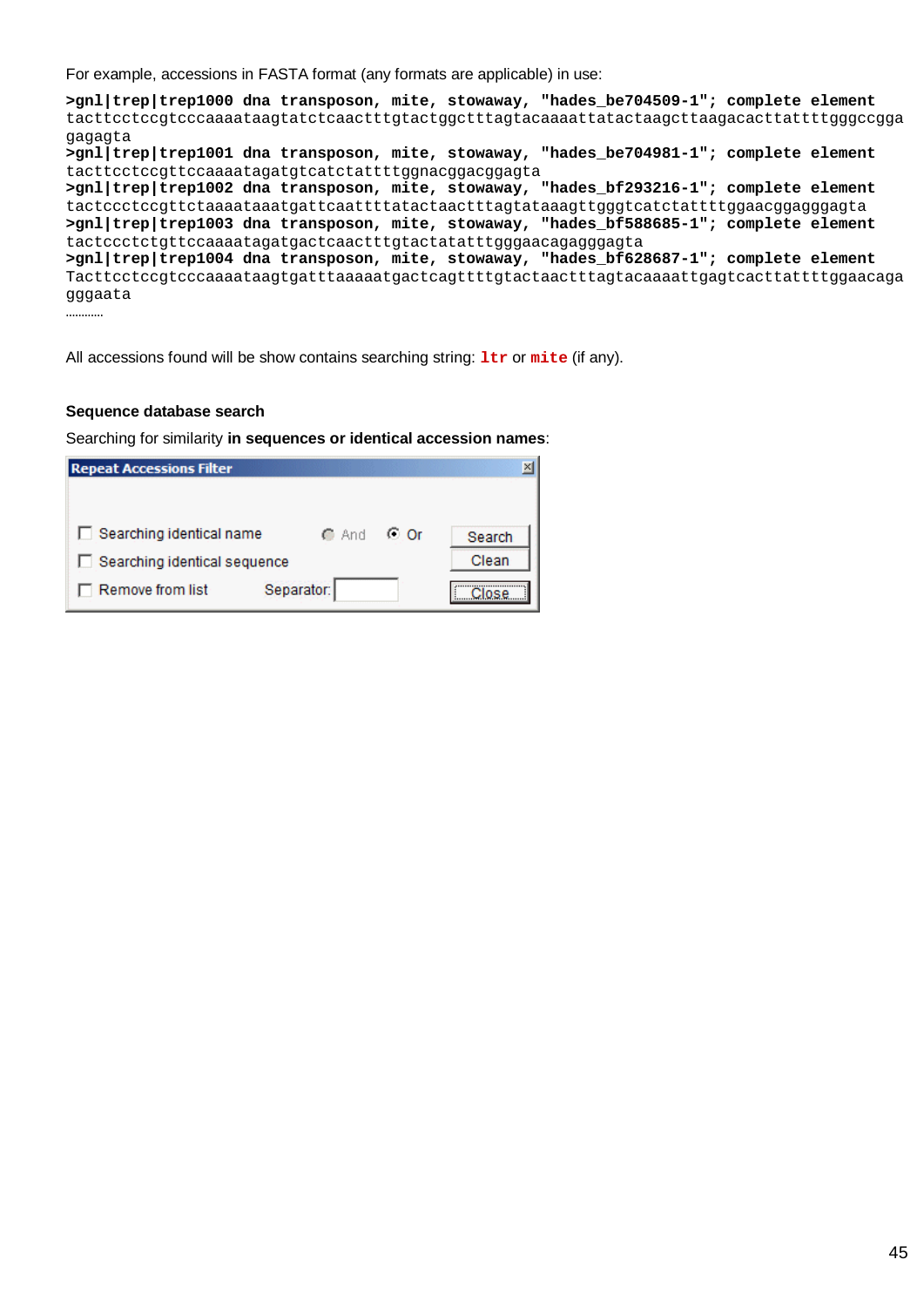For example, accessions in FASTA format (any formats are applicable) in use:

**>gnl|trep|trep1000 dna transposon, mite, stowaway, "hades\_be704509-1"; complete element** tacttcctccgtcccaaaataagtatctcaactttgtactggctttagtacaaaattatactaagcttaagacacttattttgggccgga gagagta **>gnl|trep|trep1001 dna transposon, mite, stowaway, "hades\_be704981-1"; complete element** tacttcctccgttccaaaatagatgtcatctattttggnacggacggagta **>gnl|trep|trep1002 dna transposon, mite, stowaway, "hades\_bf293216-1"; complete element** tactccctccgttctaaaataaatgattcaattttatactaactttagtataaagttgggtcatctattttggaacggagggagta **>gnl|trep|trep1003 dna transposon, mite, stowaway, "hades\_bf588685-1"; complete element** tactccctctgttccaaaatagatgactcaactttgtactatatttgggaacagagggagta **>gnl|trep|trep1004 dna transposon, mite, stowaway, "hades\_bf628687-1"; complete element** Tacttcctccgtcccaaaataagtgatttaaaaatgactcagttttgtactaactttagtacaaaattgagtcacttattttggaacaga gggaata …………

All accessions found will be show contains searching string: **ltr** or **mite** (if any).

#### **Sequence database search**

Searching for similarity **in sequences or identical accession names**:

| <b>Repeat Accessions Filter</b> |            |      | $\mathbf{x}$ |
|---------------------------------|------------|------|--------------|
|                                 |            |      |              |
| Searching identical name        | ⊙ And      | O Or | Search       |
| Searching identical sequence    |            |      | Clean        |
| Remove from list                | Separator: |      |              |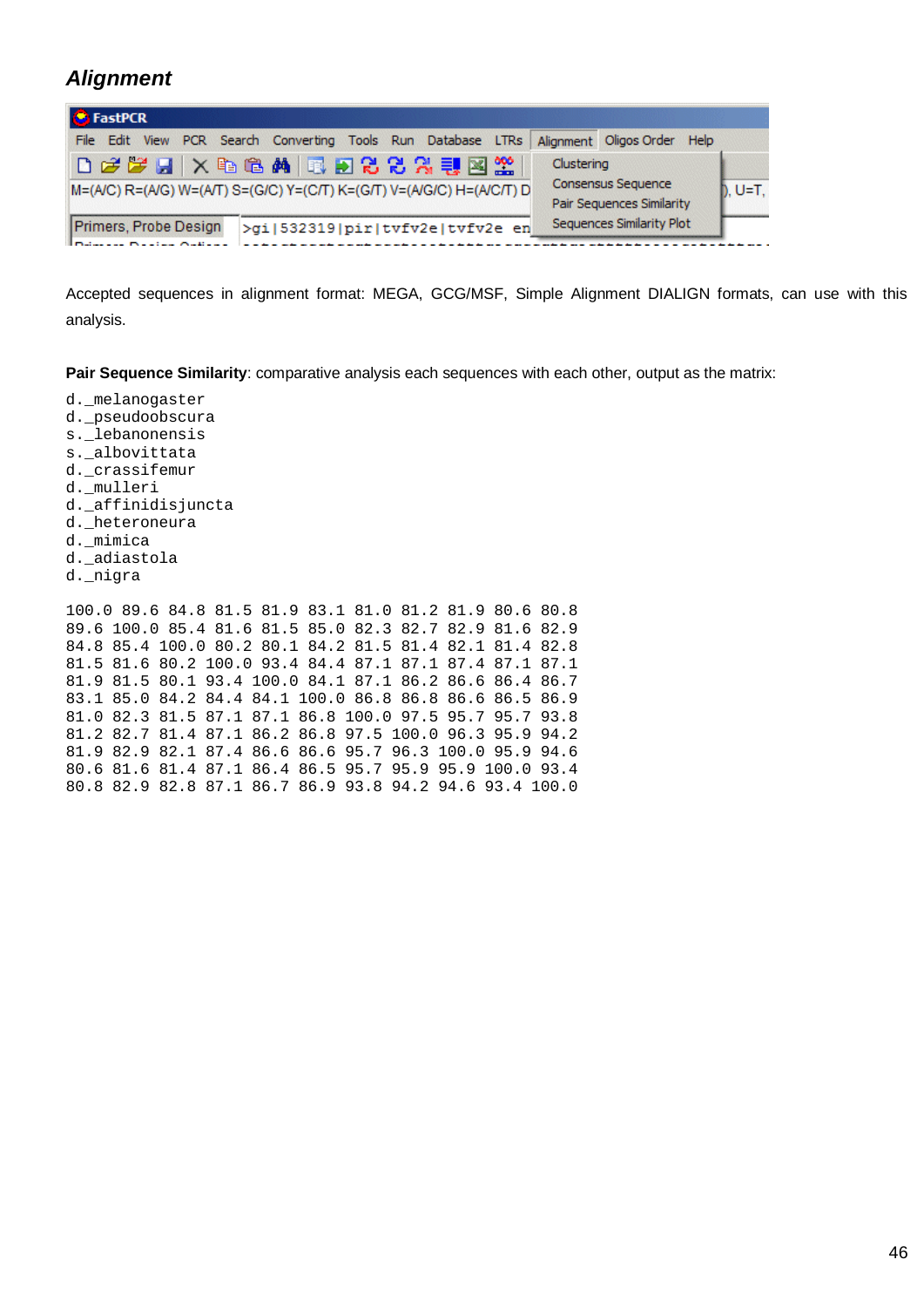# *Alignment*

| <b>B</b> FastPCR                                                                          |                                                                                          |                                  |
|-------------------------------------------------------------------------------------------|------------------------------------------------------------------------------------------|----------------------------------|
|                                                                                           | File Edit View PCR Search Converting Tools Run Database LTRs                             | Alignment Oligos Order Help      |
| DFFFX电电角同题88分引图2<br>M=(A/C) R=(A/G) W=(A/T) S=(G/C) Y=(C/T) K=(G/T) V=(A/G/C) H=(A/C/T) D | Clustering<br><b>Consensus Sequence</b><br>$b. U=T.$<br><b>Pair Sequences Similarity</b> |                                  |
| Primers, Probe Design<br>Industry news notice in the set                                  | >gi 532319 pir tvfv2e tvfv2e en                                                          | <b>Sequences Similarity Plot</b> |

Accepted sequences in alignment format: MEGA, GCG/MSF, Simple Alignment DIALIGN formats, can use with this analysis.

**Pair Sequence Similarity**: comparative analysis each sequences with each other, output as the matrix:

d.\_melanogaster d.\_pseudoobscura s.\_lebanonensis s.\_albovittata d.\_crassifemur d. mulleri d.\_affinidisjuncta d.\_heteroneura d.\_mimica d.\_adiastola d.\_nigra

100.0 89.6 84.8 81.5 81.9 83.1 81.0 81.2 81.9 80.6 80.8 89.6 100.0 85.4 81.6 81.5 85.0 82.3 82.7 82.9 81.6 82.9 84.8 85.4 100.0 80.2 80.1 84.2 81.5 81.4 82.1 81.4 82.8 81.5 81.6 80.2 100.0 93.4 84.4 87.1 87.1 87.4 87.1 87.1 81.9 81.5 80.1 93.4 100.0 84.1 87.1 86.2 86.6 86.4 86.7 83.1 85.0 84.2 84.4 84.1 100.0 86.8 86.8 86.6 86.5 86.9 81.0 82.3 81.5 87.1 87.1 86.8 100.0 97.5 95.7 95.7 93.8 81.2 82.7 81.4 87.1 86.2 86.8 97.5 100.0 96.3 95.9 94.2 81.9 82.9 82.1 87.4 86.6 86.6 95.7 96.3 100.0 95.9 94.6 80.6 81.6 81.4 87.1 86.4 86.5 95.7 95.9 95.9 100.0 93.4 80.8 82.9 82.8 87.1 86.7 86.9 93.8 94.2 94.6 93.4 100.0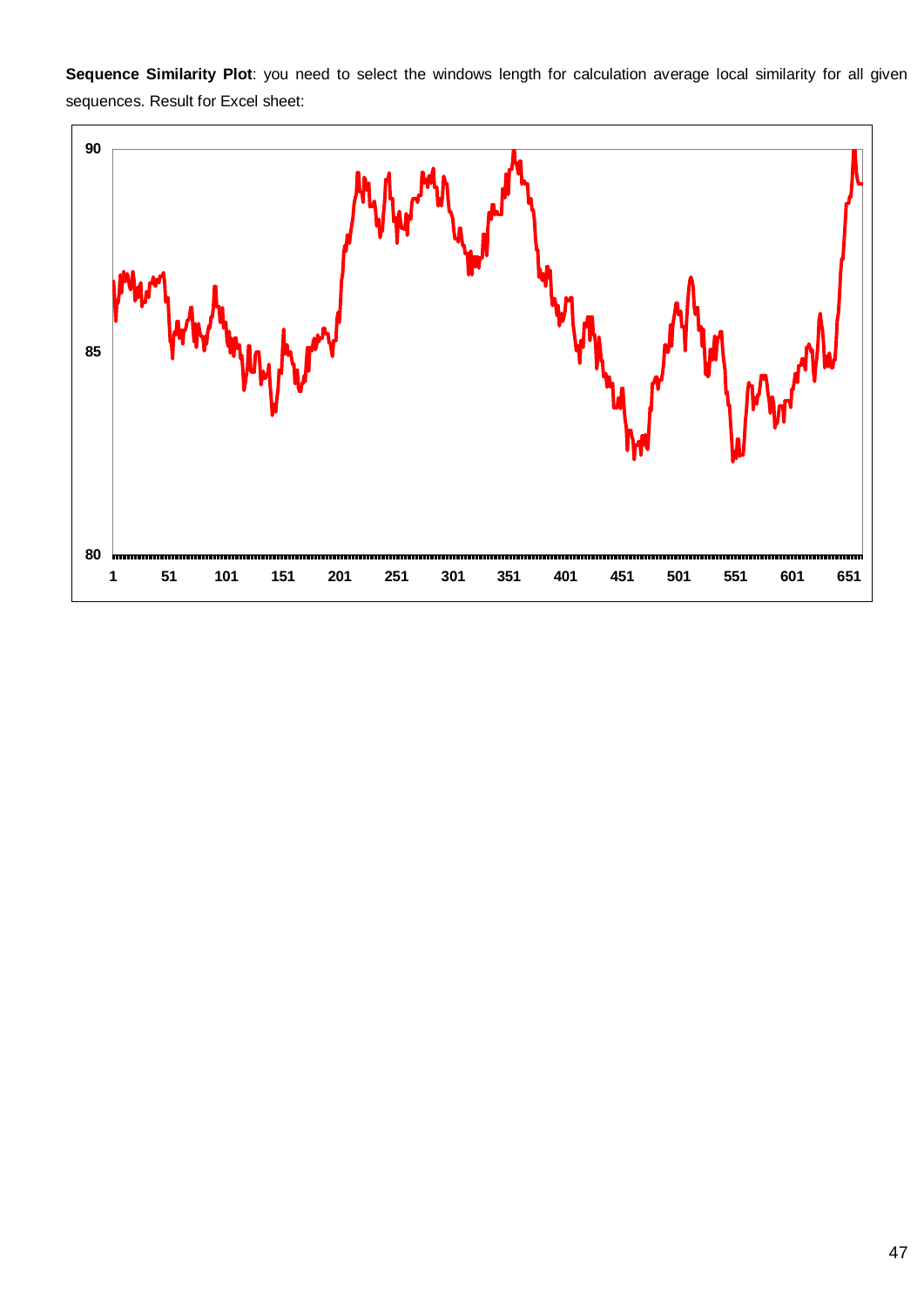**Sequence Similarity Plot**: you need to select the windows length for calculation average local similarity for all given sequences. Result for Excel sheet:

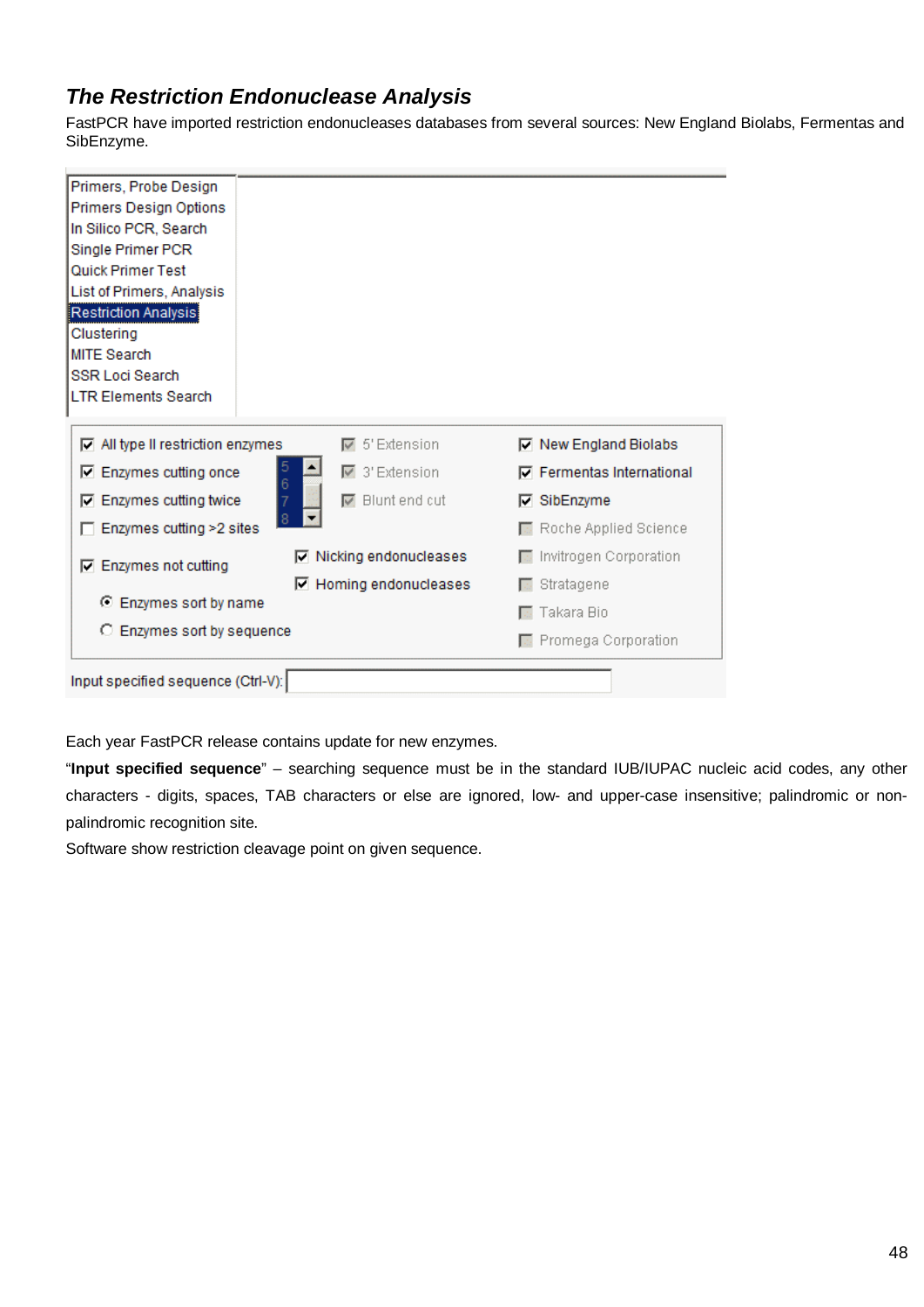# *The Restriction Endonuclease Analysis*

FastPCR have imported restriction endonucleases databases from several sources: New England Biolabs, Fermentas and SibEnzyme.

| Primers, Probe Design                    |                                         |                                  |
|------------------------------------------|-----------------------------------------|----------------------------------|
| Primers Design Options                   |                                         |                                  |
| In Silico PCR, Search                    |                                         |                                  |
| Single Primer PCR                        |                                         |                                  |
| Quick Primer Test                        |                                         |                                  |
| List of Primers, Analysis                |                                         |                                  |
| Restriction Analysis<br>Clustering       |                                         |                                  |
| <b>MITE Search</b>                       |                                         |                                  |
| <b>SSR Loci Search</b>                   |                                         |                                  |
| <b>LTR Elements Search</b>               |                                         |                                  |
|                                          |                                         |                                  |
| $\nabla$ All type II restriction enzymes | $\overline{\triangledown}$ 5' Extension | <b>▽ New England Biolabs</b>     |
| 5<br>$\nabla$ Enzymes cutting once<br>6  | $\overline{\triangledown}$ 3' Extension | <b>▽</b> Fermentas International |
| <b>▽</b> Enzymes cutting twice           | $\nabla$ Blunt end cut                  | $\nabla$ SibEnzyme               |
| 8<br>Enzymes cutting >2 sites            |                                         | Roche Applied Science            |
| $\nabla$ Enzymes not cutting             | <b>▽</b> Nicking endonucleases          | Invitrogen Corporation           |
|                                          | □ Homing endonucleases                  | Stratagene                       |
| ⊙ Enzymes sort by name                   |                                         | Takara Bio                       |
| C Enzymes sort by sequence               |                                         | Promega Corporation              |
|                                          |                                         |                                  |
| Input specified sequence (Ctrl-V):       |                                         |                                  |
|                                          |                                         |                                  |

Each year FastPCR release contains update for new enzymes.

"**Input specified sequence**" – searching sequence must be in the standard IUB/IUPAC nucleic acid codes, any other characters - digits, spaces, TAB characters or else are ignored, low- and upper-case insensitive; palindromic or nonpalindromic recognition site.

Software show restriction cleavage point on given sequence.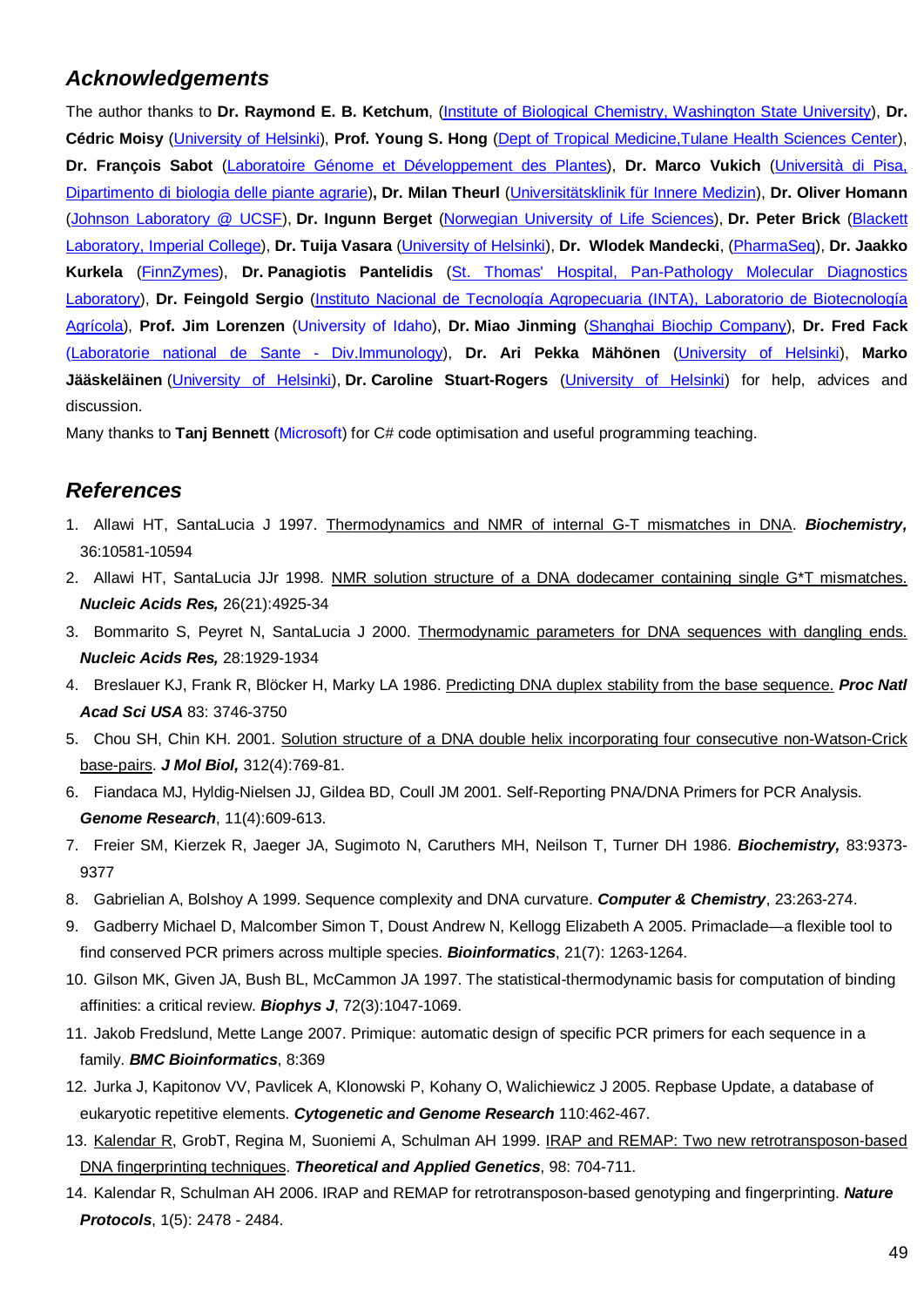# *Acknowledgements*

The author thanks to **Dr. Raymond E. B. Ketchum**, [\(Institute of Biological Chemistry, Washington State University\),](http://ibc.wsu.edu/research/ketchum/index.htm) **Dr. Cédric Moisy** [\(University of Helsinki\),](http://www.biocenter.helsinki.fi/bi/) **Prof. Young S. Hong** [\(Dept of Tropical Medicine,Tulane Health Sciences Center\),](http://www.som.tulane.edu/mcb/faculty/alphabeticalA-J.html) **Dr. François Sabot** [\(Laboratoire Génome et Développement des Plantes\)](http://lgdp.univ-perp.fr/presentation.html), **Dr. Marco Vukich** (Università di Pisa, Dipartimento di biologia delle piante agrarie)**, Dr. Milan Theurl** [\(Universitätsklinik für Innere Medizin\)](http://www.meduniwien.ac.at/krebszentrum/), **Dr. Oliver Homann** ([Johnson Laboratory @ UCSF\)](http://www.ucsf.edu/), **Dr. Ingunn Berget** [\(Norwegian University of Life Sciences\),](http://www.umb.no/) **Dr. Peter Brick** ([Blackett](http://www.bio.ph.ic.ac.uk/xtal/structure.html) [Laboratory, Imperial College\)](http://www.bio.ph.ic.ac.uk/xtal/structure.html), **Dr. Tuija Vasara** ([University of Helsinki\),](http://www.helsinki.fi/ecology/info/tuijavasara.htm) **Dr. Wlodek Mandecki**, [\(PharmaSeq\)](http://www.pharmaseq.com/), **Dr. Jaakko Kurkela** [\(FinnZymes\)](http://www.finnzymes.fi/), **Dr. Panagiotis Pantelidis** [\(St. Thomas' Hospital, Pan-Pathology Molecular Diagnostics](http://www.clinchem.org/cgi/content/full/49/11/1945) [Laboratory\)](http://www.clinchem.org/cgi/content/full/49/11/1945), **Dr. Feingold Sergio** [\(Instituto Nacional de Tecnología Agropecuaria \(INTA\), Laboratorio de Biotecnología](http://www.inta.gov.ar/) [Agrícola\)](http://www.inta.gov.ar/), **Prof. Jim Lorenzen** (University of Idaho), **Dr. Miao Jinming** [\(Shanghai Biochip Company\)](http://www.shbiochip.com/english/Company.asp), **Dr. Fred Fack** ([Laboratorie national de Sante - Div.Immunology\),](http://www.crp-sante.lu/en/LI_OC.shtml) **Dr. Ari Pekka Mähönen** [\(University of Helsinki\),](http://www.biocenter.helsinki.fi/bi/) **Marko Jääskeläinen** [\(University of Helsinki\),](http://www.biocenter.helsinki.fi/bi/) **Dr. Caroline Stuart-Rogers** [\(University of Helsinki\)](http://www.biocenter.helsinki.fi/bi/) for help, advices and discussion.

Many thanks to **Tanj Bennett** (Microsoft) for C# code optimisation and useful programming teaching.

# *References*

- 1. Allawi HT, SantaLucia J 1997. [Thermodynamics and NMR of internal G-T mismatches in DNA.](http://pubs.acs.org/doi/full/10.1021/bi962590c) *Biochemistry,* 36:10581-10594
- 2. Allawi HT, SantaLucia JJr 1998. [NMR solution structure of a DNA dodecamer containing single G\\*T mismatches.](http://nar.oupjournals.org/cgi/content/full/26/21/4925) *Nucleic Acids Res,* 26(21):4925-34
- 3. Bommarito S, Peyret N, SantaLucia J 2000. [Thermodynamic parameters for DNA sequences with dangling ends.](http://nar.oupjournals.org/cgi/content/full/28/9/1929) *Nucleic Acids Res,* 28:1929-1934
- 4. Breslauer KJ, Frank R, Blöcker H, Marky LA 1986. [Predicting DNA duplex stability from the base sequence.](http://www.ncbi.nlm.nih.gov/entrez/query.fcgi?cmd=Retrieve&db=PubMed&list_uids=3459152&dopt=Abstract) *Proc Natl Acad Sci USA* 83: 3746-3750
- 5. Chou SH, Chin KH. 2001. [Solution structure of a DNA double helix incorporating four consecutive non-Watson-Crick](http://www.ncbi.nlm.nih.gov/entrez/query.fcgi?cmd=Retrieve&db=PubMed&list_uids=11575931&dopt=Abstract) [base-pairs.](http://www.ncbi.nlm.nih.gov/entrez/query.fcgi?cmd=Retrieve&db=PubMed&list_uids=11575931&dopt=Abstract) *J Mol Biol,* 312(4):769-81.
- 6. Fiandaca MJ, Hyldig-Nielsen JJ, Gildea BD, Coull JM 2001. Self-Reporting PNA/DNA Primers for PCR Analysis. *Genome Research*, 11(4):609-613.
- 7. Freier SM, Kierzek R, Jaeger JA, Sugimoto N, Caruthers MH, Neilson T, Turner DH 1986. *Biochemistry,* 83:9373- 9377
- 8. Gabrielian A, Bolshoy A 1999. Sequence complexity and DNA curvature. *Computer & Chemistry*, 23:263-274.
- 9. Gadberry Michael D, Malcomber Simon T, Doust Andrew N, Kellogg Elizabeth A 2005. Primaclade—a flexible tool to find conserved PCR primers across multiple species. *Bioinformatics*, 21(7): 1263-1264.
- 10. Gilson MK, Given JA, Bush BL, McCammon JA 1997. The statistical-thermodynamic basis for computation of binding affinities: a critical review. *Biophys J*, 72(3):1047-1069.
- 11. Jakob Fredslund, Mette Lange 2007. Primique: automatic design of specific PCR primers for each sequence in a family. *BMC Bioinformatics*, 8:369
- 12. Jurka J, Kapitonov VV, Pavlicek A, Klonowski P, Kohany O, Walichiewicz J 2005. Repbase Update, a database of eukaryotic repetitive elements. *Cytogenetic and Genome Research* 110:462-467.
- 13. [Kalendar R,](http://www.biocenter.helsinki.fi/bi/bare-1_html/ruslan.htm) GrobT, Regina M, Suoniemi A, Schulman AH 1999. [IRAP and REMAP: Two new retrotransposon-based](http://link.springer.de/link/service/journals/00122/bibs/9098005/90980704.htm) [DNA fingerprinting techniques.](http://link.springer.de/link/service/journals/00122/bibs/9098005/90980704.htm) *Theoretical and Applied Genetics*, 98: 704-711.
- 14. Kalendar R, Schulman AH 2006. IRAP and REMAP for retrotransposon-based genotyping and fingerprinting. *Nature Protocols*, 1(5): 2478 - 2484.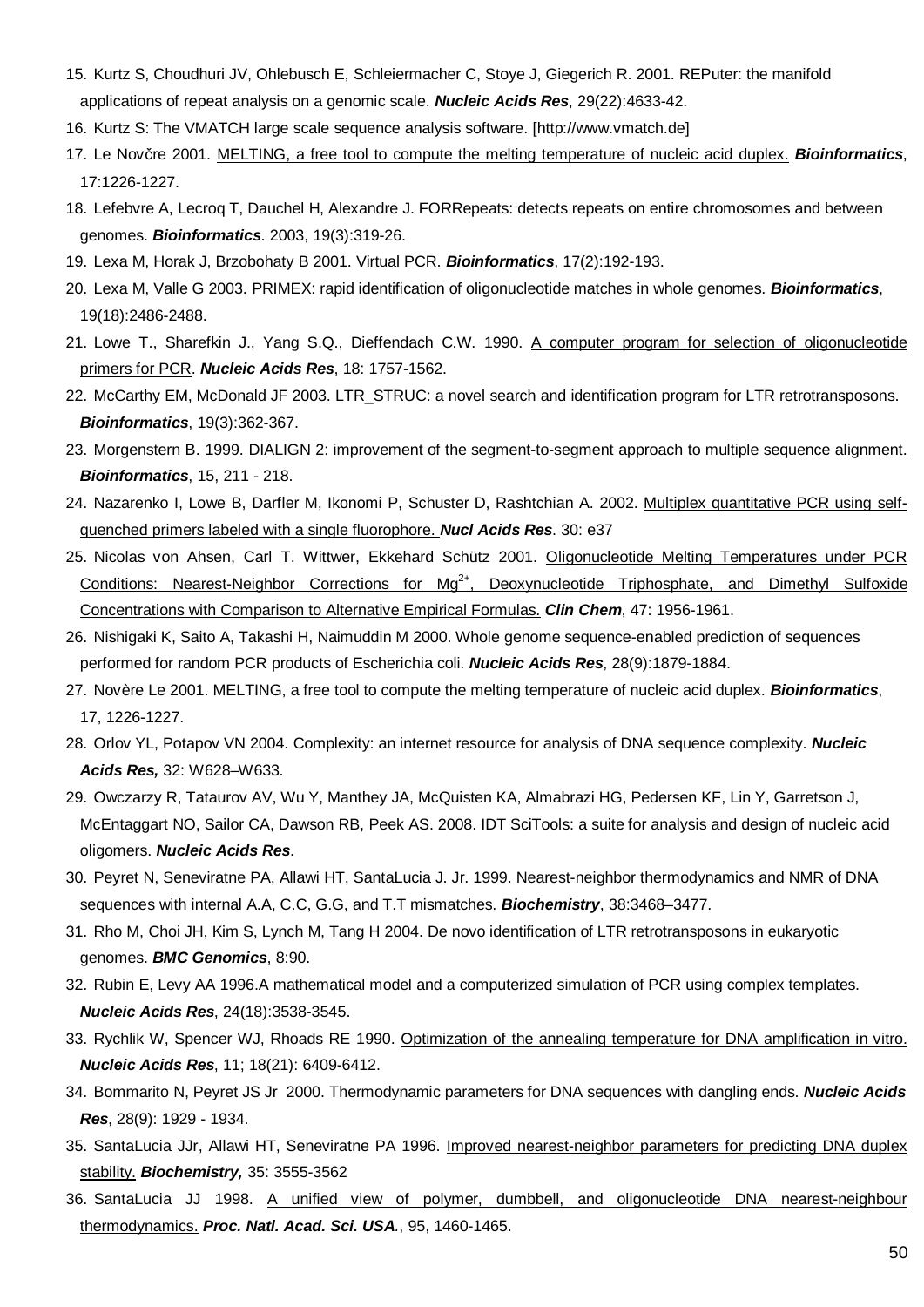- 15. Kurtz S, Choudhuri JV, Ohlebusch E, Schleiermacher C, Stoye J, Giegerich R. 2001. REPuter: the manifold applications of repeat analysis on a genomic scale. *Nucleic Acids Res*, 29(22):4633-42.
- 16. Kurtz S: The VMATCH large scale sequence analysis software. [http://www.vmatch.de]
- 17. Le Novčre 2001. [MELTING, a free tool to compute the melting temperature of nucleic acid duplex.](http://www.pasteur.fr/recherche/unites/neubiomol/SOFTWARES/melting/melting.html) *Bioinformatics*, 17:1226-1227.
- 18. Lefebvre A, Lecroq T, Dauchel H, Alexandre J. FORRepeats: detects repeats on entire chromosomes and between genomes. *Bioinformatics*. 2003, 19(3):319-26.
- 19. Lexa M, Horak J, Brzobohaty B 2001. Virtual PCR. *Bioinformatics*, 17(2):192-193.
- 20. Lexa M, Valle G 2003. PRIMEX: rapid identification of oligonucleotide matches in whole genomes. *Bioinformatics*, 19(18):2486-2488.
- 21. Lowe T., Sharefkin J., Yang S.Q., Dieffendach C.W. 1990. [A computer program for selection of oligonucleotide](http://www.ncbi.nlm.nih.gov/entrez/query.fcgi?cmd=Retrieve&db=PubMed&list_uids=1692404&dopt=Abstract) [primers for PCR.](http://www.ncbi.nlm.nih.gov/entrez/query.fcgi?cmd=Retrieve&db=PubMed&list_uids=1692404&dopt=Abstract) *Nucleic Acids Res*, 18: 1757-1562.
- 22. McCarthy EM, McDonald JF 2003. LTR\_STRUC: a novel search and identification program for LTR retrotransposons. *Bioinformatics*, 19(3):362-367.
- 23. Morgenstern B. 1999. [DIALIGN 2: improvement of the segment-to-segment approach to multiple sequence alignment.](http://bioinformatics.oupjournals.org/cgi/content/abstract/15/3/211) *Bioinformatics*, 15, 211 - 218.
- 24. Nazarenko I, Lowe B, Darfler M, Ikonomi P, Schuster D, Rashtchian A. 2002. [Multiplex quantitative PCR using self](http://nar.oxfordjournals.org/cgi/content/full/30/9/e37)[quenched primers labeled with a single fluorophore.](http://nar.oxfordjournals.org/cgi/content/full/30/9/e37) *Nucl Acids Res*. 30: e37
- 25. Nicolas von Ahsen, Carl T. Wittwer, Ekkehard Schütz 2001. [Oligonucleotide Melting Temperatures under PCR](http://www.clinchem.org/cgi/content/full/47/11/1956#R18) Conditions: Nearest-Neighbor Corrections for Mg<sup>2+</sup>[, Deoxynucleotide Triphosphate, and Dimethyl Sulfoxide](http://www.clinchem.org/cgi/content/full/47/11/1956#R18) [Concentrations with Comparison to Alternative Empirical Formulas.](http://www.clinchem.org/cgi/content/full/47/11/1956#R18) *Clin Chem*, 47: 1956-1961.
- 26. Nishigaki K, Saito A, Takashi H, Naimuddin M 2000. Whole genome sequence-enabled prediction of sequences performed for random PCR products of Escherichia coli. *Nucleic Acids Res*, 28(9):1879-1884.
- 27. Novère Le 2001. MELTING, a free tool to compute the melting temperature of nucleic acid duplex. *Bioinformatics*, 17, 1226-1227.
- 28. Orlov YL, Potapov VN 2004. Complexity: an internet resource for analysis of DNA sequence complexity. *Nucleic Acids Res,* 32: W628–W633.
- 29. Owczarzy R, Tataurov AV, Wu Y, Manthey JA, McQuisten KA, Almabrazi HG, Pedersen KF, Lin Y, Garretson J, McEntaggart NO, Sailor CA, Dawson RB, Peek AS. 2008. IDT SciTools: a suite for analysis and design of nucleic acid oligomers. *Nucleic Acids Res*.
- 30. Peyret N, Seneviratne PA, Allawi HT, SantaLucia J. Jr. 1999. Nearest-neighbor thermodynamics and NMR of DNA sequences with internal A.A, C.C, G.G, and T.T mismatches. *Biochemistry*, 38:3468–3477.
- 31. Rho M, Choi JH, Kim S, Lynch M, Tang H 2004. De novo identification of LTR retrotransposons in eukaryotic genomes. *BMC Genomics*, 8:90.
- 32. Rubin E, Levy AA 1996.A mathematical model and a computerized simulation of PCR using complex templates. *Nucleic Acids Res*, 24(18):3538-3545.
- 33. Rychlik W, Spencer WJ, Rhoads RE 1990. [Optimization of the annealing temperature for DNA amplification in vitro.](http://www.ncbi.nlm.nih.gov/entrez/query.fcgi?cmd=Retrieve&db=PubMed&list_uids=2243783&dopt=Abstract) *Nucleic Acids Res*, 11; 18(21): 6409-6412.
- 34. Bommarito N, Peyret JS Jr 2000. Thermodynamic parameters for DNA sequences with dangling ends. *Nucleic Acids Res*, 28(9): 1929 - 1934.
- 35. SantaLucia JJr, Allawi HT, Seneviratne PA 1996. [Improved nearest-neighbor parameters for predicting DNA duplex](http://pubs.acs.org/doi/full/10.1021/bi951907q) [stability.](http://pubs.acs.org/doi/full/10.1021/bi951907q) *Biochemistry,* 35: 3555-3562
- 36. SantaLucia JJ 1998. [A unified view of polymer, dumbbell, and oligonucleotide DNA nearest-neighbour](http://www.pnas.org/cgi/content/full/95/4/1460) thermodynamics. *Proc. Natl. Acad. Sci. USA.*, 95, 1460-1465.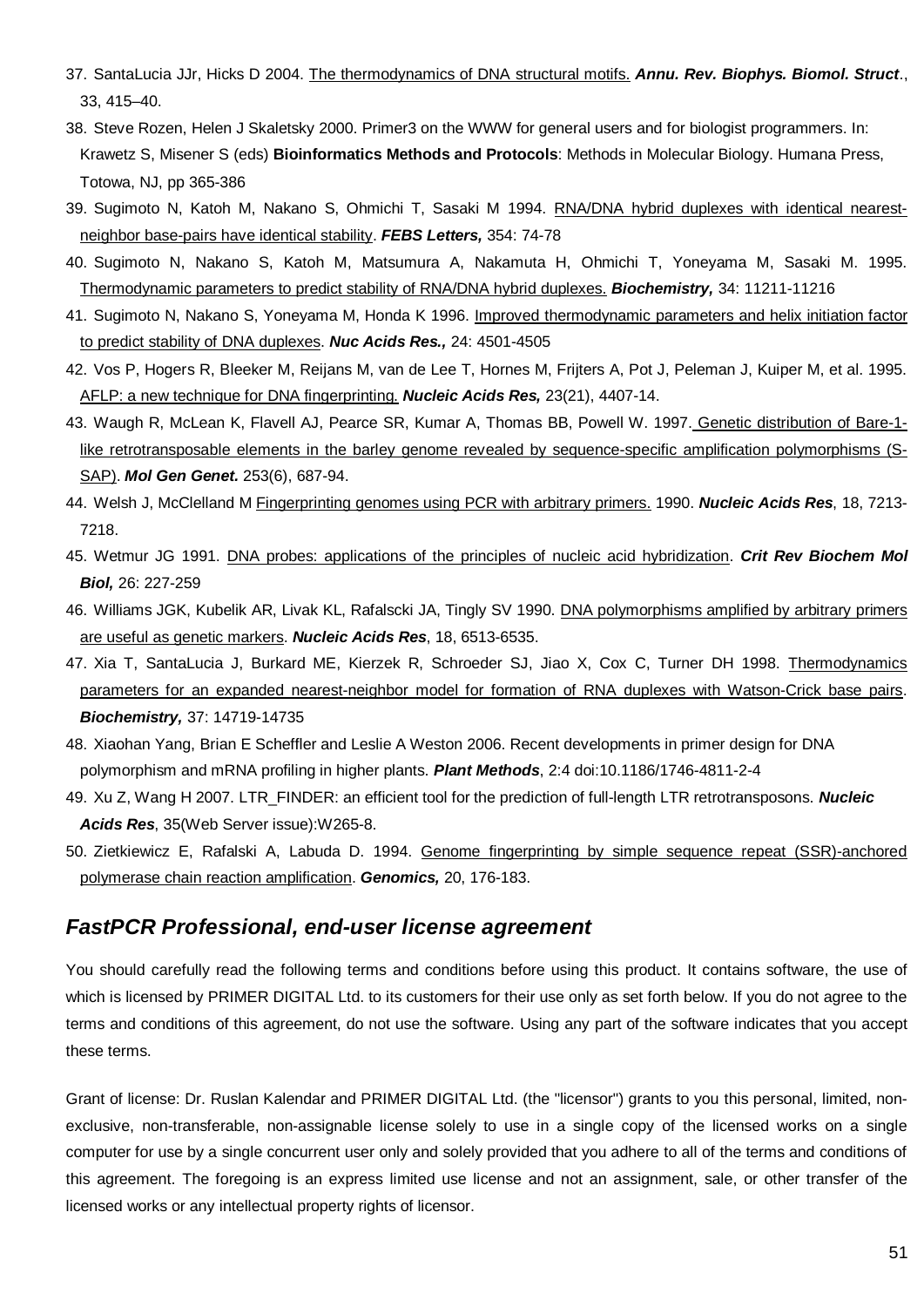- 37. SantaLucia JJr, Hicks D 2004. [The thermodynamics of DNA structural motifs.](http://arjournals.annualreviews.org/doi/abs/10.1146/annurev.biophys.32.110601.141800?cookieSet=1) *Annu. Rev. Biophys. Biomol. Struct*., 33, 415–40.
- 38. Steve Rozen, Helen J Skaletsky 2000. Primer3 on the WWW for general users and for biologist programmers. In: Krawetz S, Misener S (eds) **Bioinformatics Methods and Protocols**: Methods in Molecular Biology. Humana Press, Totowa, NJ, pp 365-386
- 39. Sugimoto N, Katoh M, Nakano S, Ohmichi T, Sasaki M 1994. [RNA/DNA hybrid duplexes with identical nearest](http://www.ncbi.nlm.nih.gov/entrez/query.fcgi?cmd=Retrieve&db=PubMed&list_uids=7525350&dopt=Abstract)[neighbor base-pairs have identical stability.](http://www.ncbi.nlm.nih.gov/entrez/query.fcgi?cmd=Retrieve&db=PubMed&list_uids=7525350&dopt=Abstract) *FEBS Letters,* 354: 74-78
- 40. Sugimoto N, Nakano S, Katoh M, Matsumura A, Nakamuta H, Ohmichi T, Yoneyama M, Sasaki M. 1995. [Thermodynamic parameters to predict stability of RNA/DNA hybrid duplexes.](http://pubs.acs.org/doi/abs/10.1021/bi00035a029) *Biochemistry,* 34: 11211-11216
- 41. Sugimoto N, Nakano S, Yoneyama M, Honda K 1996. [Improved thermodynamic parameters and helix initiation factor](http://nar.oupjournals.org/cgi/content/full/24/22/4501) [to predict stability of DNA duplexes.](http://nar.oupjournals.org/cgi/content/full/24/22/4501) *Nuc Acids Res.,* 24: 4501-4505
- 42. Vos P, Hogers R, Bleeker M, Reijans M, van de Lee T, Hornes M, Frijters A, Pot J, Peleman J, Kuiper M, et al. 1995. [AFLP: a new technique for DNA fingerprinting.](http://www.ncbi.nlm.nih.gov/entrez/query.fcgi?cmd=Retrieve&db=PubMed&list_uids=7501463&dopt=Abstract) *Nucleic Acids Res,* 23(21), 4407-14.
- 43. Waugh R, McLean K, Flavell AJ, Pearce SR, Kumar A, Thomas BB, Powell W. 1997[. Genetic distribution of Bare-1](http://www.ncbi.nlm.nih.gov/entrez/query.fcgi?cmd=Retrieve&db=PubMed&list_uids=9079879&dopt=Abstract) [like retrotransposable elements in the barley genome revealed by sequence-specific amplification polymorphisms \(S-](http://www.ncbi.nlm.nih.gov/entrez/query.fcgi?cmd=Retrieve&db=PubMed&list_uids=9079879&dopt=Abstract)[SAP\).](http://www.ncbi.nlm.nih.gov/entrez/query.fcgi?cmd=Retrieve&amp;db=PubMed&amp;list_uids=9079879&amp;dopt=Abstract) *Mol Gen Genet.* 253(6), 687-94.
- 44. Welsh J, McClelland M [Fingerprinting genomes using PCR with arbitrary primers. 1](http://www.ncbi.nlm.nih.gov/entrez/query.fcgi?cmd=Retrieve&db=PubMed&list_uids=2259619&dopt=Abstract)990. *Nucleic Acids Res*, 18, 7213- 7218.
- 45. Wetmur JG 1991. [DNA probes: applications of the principles of nucleic acid hybridization.](http://www.ncbi.nlm.nih.gov/entrez/query.fcgi?cmd=Retrieve&db=PubMed&list_uids=1718662&dopt=Abstract) *Crit Rev Biochem Mol Biol,* 26: 227-259
- 46. Williams JGK, Kubelik AR, Livak KL, Rafalscki JA, Tingly SV 1990. [DNA polymorphisms amplified by arbitrary primers](http://www.ncbi.nlm.nih.gov/entrez/query.fcgi?cmd=Retrieve&db=PubMed&list_uids=1979162&dopt=Abstract) [are useful as genetic markers.](http://www.ncbi.nlm.nih.gov/entrez/query.fcgi?cmd=Retrieve&db=PubMed&list_uids=1979162&dopt=Abstract) *Nucleic Acids Res*, 18, 6513-6535.
- 47. Xia T, SantaLucia J, Burkard ME, Kierzek R, Schroeder SJ, Jiao X, Cox C, Turner DH 1998. [Thermodynamics](http://pubs.acs.org/doi/full/10.1021/bi9809425) [parameters for an expanded nearest-neighbor model for formation of RNA duplexes with Watson-Crick base pairs.](http://pubs.acs.org/doi/full/10.1021/bi9809425) *Biochemistry,* 37: 14719-14735
- 48. Xiaohan Yang, Brian E Scheffler and Leslie A Weston 2006. Recent developments in primer design for DNA polymorphism and mRNA profiling in higher plants. *Plant Methods*, 2:4 doi:10.1186/1746-4811-2-4
- 49. Xu Z, Wang H 2007. LTR\_FINDER: an efficient tool for the prediction of full-length LTR retrotransposons. *Nucleic Acids Res*, 35(Web Server issue):W265-8.
- 50. Zietkiewicz E, Rafalski A, Labuda D. 1994. Genome fingerprinting by simple sequence repeat (SSR)-anchored polymerase chain reaction amplification. *Genomics,* 20, 176-183.

### *FastPCR Professional, end-user license agreement*

You should carefully read the following terms and conditions before using this product. It contains software, the use of which is licensed by PRIMER DIGITAL Ltd. to its customers for their use only as set forth below. If you do not agree to the terms and conditions of this agreement, do not use the software. Using any part of the software indicates that you accept these terms.

Grant of license: Dr. Ruslan Kalendar and PRIMER DIGITAL Ltd. (the "licensor") grants to you this personal, limited, nonexclusive, non-transferable, non-assignable license solely to use in a single copy of the licensed works on a single computer for use by a single concurrent user only and solely provided that you adhere to all of the terms and conditions of this agreement. The foregoing is an express limited use license and not an assignment, sale, or other transfer of the licensed works or any intellectual property rights of licensor.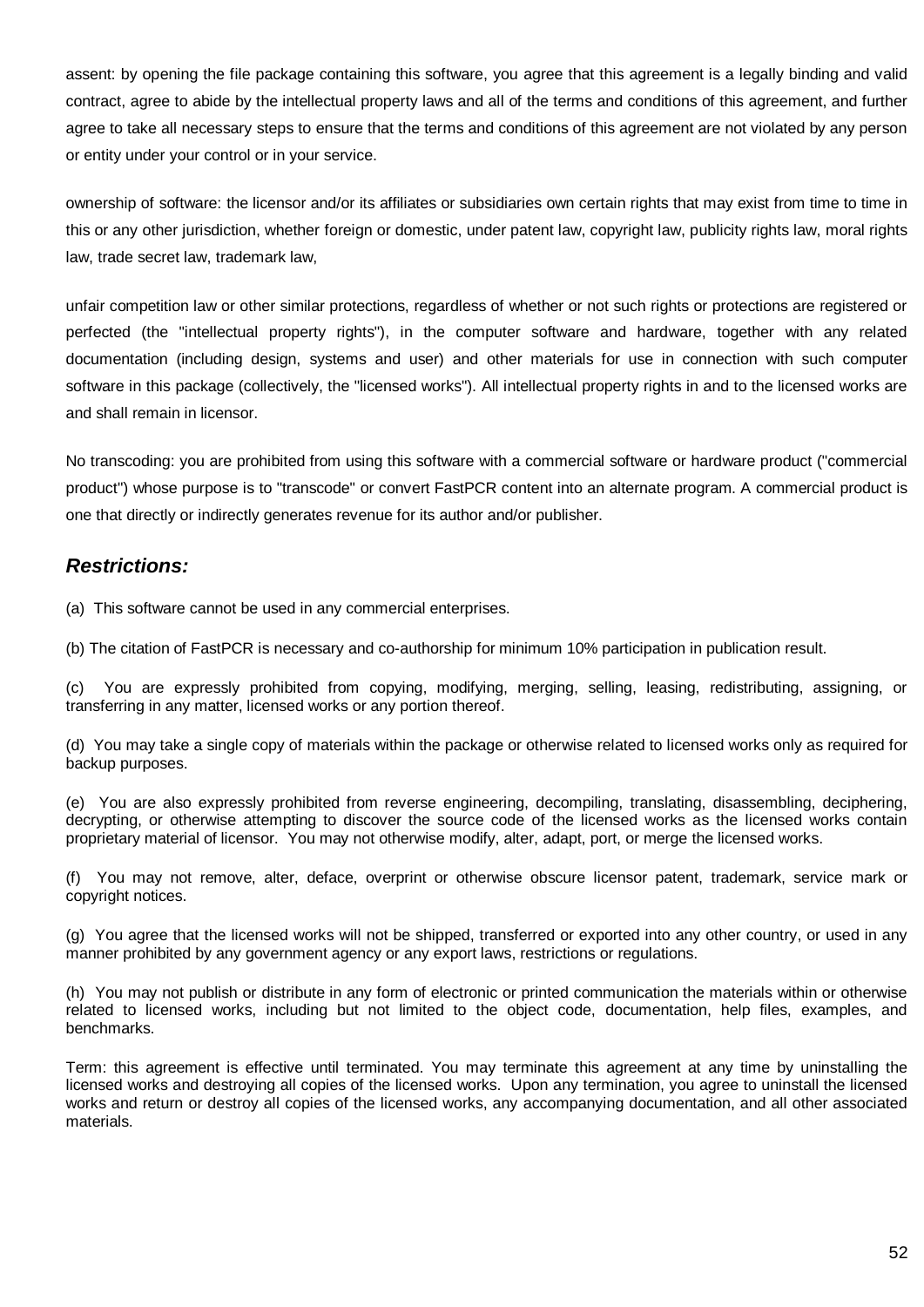assent: by opening the file package containing this software, you agree that this agreement is a legally binding and valid contract, agree to abide by the intellectual property laws and all of the terms and conditions of this agreement, and further agree to take all necessary steps to ensure that the terms and conditions of this agreement are not violated by any person or entity under your control or in your service.

ownership of software: the licensor and/or its affiliates or subsidiaries own certain rights that may exist from time to time in this or any other jurisdiction, whether foreign or domestic, under patent law, copyright law, publicity rights law, moral rights law, trade secret law, trademark law,

unfair competition law or other similar protections, regardless of whether or not such rights or protections are registered or perfected (the "intellectual property rights"), in the computer software and hardware, together with any related documentation (including design, systems and user) and other materials for use in connection with such computer software in this package (collectively, the "licensed works"). All intellectual property rights in and to the licensed works are and shall remain in licensor.

No transcoding: you are prohibited from using this software with a commercial software or hardware product ("commercial product") whose purpose is to "transcode" or convert FastPCR content into an alternate program. A commercial product is one that directly or indirectly generates revenue for its author and/or publisher.

### *Restrictions:*

(a) This software cannot be used in any commercial enterprises.

(b) The citation of FastPCR is necessary and co-authorship for minimum 10% participation in publication result.

(c) You are expressly prohibited from copying, modifying, merging, selling, leasing, redistributing, assigning, or transferring in any matter, licensed works or any portion thereof.

(d) You may take a single copy of materials within the package or otherwise related to licensed works only as required for backup purposes.

(e) You are also expressly prohibited from reverse engineering, decompiling, translating, disassembling, deciphering, decrypting, or otherwise attempting to discover the source code of the licensed works as the licensed works contain proprietary material of licensor. You may not otherwise modify, alter, adapt, port, or merge the licensed works.

(f) You may not remove, alter, deface, overprint or otherwise obscure licensor patent, trademark, service mark or copyright notices.

(g) You agree that the licensed works will not be shipped, transferred or exported into any other country, or used in any manner prohibited by any government agency or any export laws, restrictions or regulations.

(h) You may not publish or distribute in any form of electronic or printed communication the materials within or otherwise related to licensed works, including but not limited to the object code, documentation, help files, examples, and benchmarks.

Term: this agreement is effective until terminated. You may terminate this agreement at any time by uninstalling the licensed works and destroying all copies of the licensed works. Upon any termination, you agree to uninstall the licensed works and return or destroy all copies of the licensed works, any accompanying documentation, and all other associated materials.